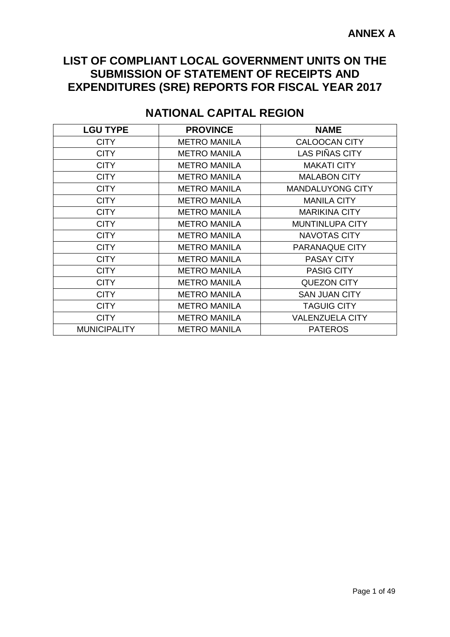## **LIST OF COMPLIANT LOCAL GOVERNMENT UNITS ON THE SUBMISSION OF STATEMENT OF RECEIPTS AND EXPENDITURES (SRE) REPORTS FOR FISCAL YEAR 2017**

| <b>LGU TYPE</b>     | <b>PROVINCE</b>     | <b>NAME</b>             |
|---------------------|---------------------|-------------------------|
| <b>CITY</b>         | <b>METRO MANILA</b> | <b>CALOOCAN CITY</b>    |
| <b>CITY</b>         | <b>METRO MANILA</b> | <b>LAS PIÑAS CITY</b>   |
| <b>CITY</b>         | <b>METRO MANILA</b> | <b>MAKATI CITY</b>      |
| <b>CITY</b>         | <b>METRO MANILA</b> | <b>MALABON CITY</b>     |
| <b>CITY</b>         | <b>METRO MANILA</b> | <b>MANDALUYONG CITY</b> |
| <b>CITY</b>         | <b>METRO MANILA</b> | <b>MANILA CITY</b>      |
| <b>CITY</b>         | <b>METRO MANILA</b> | <b>MARIKINA CITY</b>    |
| <b>CITY</b>         | <b>METRO MANILA</b> | <b>MUNTINLUPA CITY</b>  |
| <b>CITY</b>         | <b>METRO MANILA</b> | <b>NAVOTAS CITY</b>     |
| <b>CITY</b>         | <b>METRO MANILA</b> | PARANAQUE CITY          |
| <b>CITY</b>         | <b>METRO MANILA</b> | <b>PASAY CITY</b>       |
| <b>CITY</b>         | <b>METRO MANILA</b> | <b>PASIG CITY</b>       |
| <b>CITY</b>         | <b>METRO MANILA</b> | <b>QUEZON CITY</b>      |
| <b>CITY</b>         | <b>METRO MANILA</b> | <b>SAN JUAN CITY</b>    |
| <b>CITY</b>         | <b>METRO MANILA</b> | <b>TAGUIG CITY</b>      |
| <b>CITY</b>         | <b>METRO MANILA</b> | <b>VALENZUELA CITY</b>  |
| <b>MUNICIPALITY</b> | <b>METRO MANILA</b> | <b>PATEROS</b>          |

# **NATIONAL CAPITAL REGION**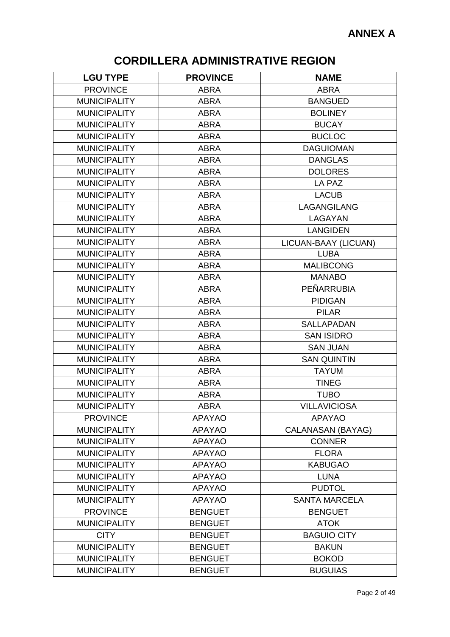# **CORDILLERA ADMINISTRATIVE REGION**

| <b>LGU TYPE</b>     | <b>PROVINCE</b> | <b>NAME</b>              |
|---------------------|-----------------|--------------------------|
| <b>PROVINCE</b>     | <b>ABRA</b>     | <b>ABRA</b>              |
| <b>MUNICIPALITY</b> | <b>ABRA</b>     | <b>BANGUED</b>           |
| <b>MUNICIPALITY</b> | <b>ABRA</b>     | <b>BOLINEY</b>           |
| <b>MUNICIPALITY</b> | <b>ABRA</b>     | <b>BUCAY</b>             |
| <b>MUNICIPALITY</b> | <b>ABRA</b>     | <b>BUCLOC</b>            |
| <b>MUNICIPALITY</b> | <b>ABRA</b>     | <b>DAGUIOMAN</b>         |
| <b>MUNICIPALITY</b> | <b>ABRA</b>     | <b>DANGLAS</b>           |
| <b>MUNICIPALITY</b> | <b>ABRA</b>     | <b>DOLORES</b>           |
| <b>MUNICIPALITY</b> | <b>ABRA</b>     | LA PAZ                   |
| <b>MUNICIPALITY</b> | <b>ABRA</b>     | <b>LACUB</b>             |
| <b>MUNICIPALITY</b> | <b>ABRA</b>     | LAGANGILANG              |
| <b>MUNICIPALITY</b> | <b>ABRA</b>     | LAGAYAN                  |
| <b>MUNICIPALITY</b> | <b>ABRA</b>     | <b>LANGIDEN</b>          |
| <b>MUNICIPALITY</b> | <b>ABRA</b>     | LICUAN-BAAY (LICUAN)     |
| <b>MUNICIPALITY</b> | <b>ABRA</b>     | <b>LUBA</b>              |
| <b>MUNICIPALITY</b> | <b>ABRA</b>     | <b>MALIBCONG</b>         |
| <b>MUNICIPALITY</b> | <b>ABRA</b>     | <b>MANABO</b>            |
| <b>MUNICIPALITY</b> | <b>ABRA</b>     | PEÑARRUBIA               |
| <b>MUNICIPALITY</b> | <b>ABRA</b>     | <b>PIDIGAN</b>           |
| <b>MUNICIPALITY</b> | <b>ABRA</b>     | <b>PILAR</b>             |
| <b>MUNICIPALITY</b> | <b>ABRA</b>     | <b>SALLAPADAN</b>        |
| <b>MUNICIPALITY</b> | <b>ABRA</b>     | <b>SAN ISIDRO</b>        |
| <b>MUNICIPALITY</b> | <b>ABRA</b>     | <b>SAN JUAN</b>          |
| <b>MUNICIPALITY</b> | <b>ABRA</b>     | <b>SAN QUINTIN</b>       |
| <b>MUNICIPALITY</b> | <b>ABRA</b>     | <b>TAYUM</b>             |
| <b>MUNICIPALITY</b> | <b>ABRA</b>     | <b>TINEG</b>             |
| <b>MUNICIPALITY</b> | <b>ABRA</b>     | <b>TUBO</b>              |
| <b>MUNICIPALITY</b> | <b>ABRA</b>     | <b>VILLAVICIOSA</b>      |
| <b>PROVINCE</b>     | <b>APAYAO</b>   | <b>APAYAO</b>            |
| <b>MUNICIPALITY</b> | <b>APAYAO</b>   | <b>CALANASAN (BAYAG)</b> |
| <b>MUNICIPALITY</b> | <b>APAYAO</b>   | <b>CONNER</b>            |
| <b>MUNICIPALITY</b> | <b>APAYAO</b>   | <b>FLORA</b>             |
| <b>MUNICIPALITY</b> | <b>APAYAO</b>   | <b>KABUGAO</b>           |
| <b>MUNICIPALITY</b> | <b>APAYAO</b>   | <b>LUNA</b>              |
| <b>MUNICIPALITY</b> | <b>APAYAO</b>   | <b>PUDTOL</b>            |
| <b>MUNICIPALITY</b> | <b>APAYAO</b>   | <b>SANTA MARCELA</b>     |
| <b>PROVINCE</b>     | <b>BENGUET</b>  | <b>BENGUET</b>           |
| <b>MUNICIPALITY</b> | <b>BENGUET</b>  | <b>ATOK</b>              |
| <b>CITY</b>         | <b>BENGUET</b>  | <b>BAGUIO CITY</b>       |
| <b>MUNICIPALITY</b> | <b>BENGUET</b>  | <b>BAKUN</b>             |
| <b>MUNICIPALITY</b> | <b>BENGUET</b>  | <b>BOKOD</b>             |
| <b>MUNICIPALITY</b> | <b>BENGUET</b>  | <b>BUGUIAS</b>           |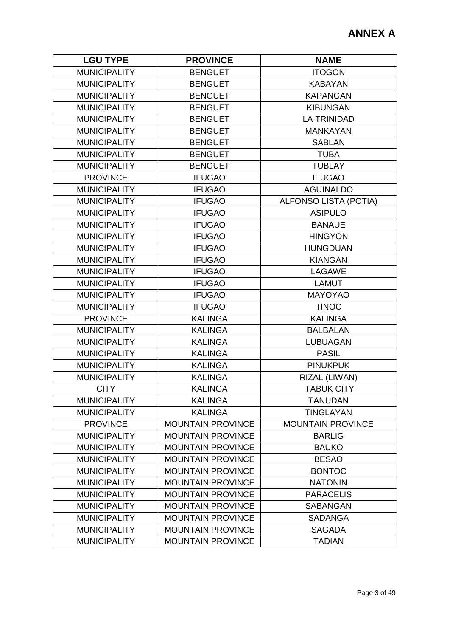| <b>LGU TYPE</b>     | <b>PROVINCE</b>          | <b>NAME</b>                  |
|---------------------|--------------------------|------------------------------|
| <b>MUNICIPALITY</b> | <b>BENGUET</b>           | <b>ITOGON</b>                |
| <b>MUNICIPALITY</b> | <b>BENGUET</b>           | <b>KABAYAN</b>               |
| <b>MUNICIPALITY</b> | <b>BENGUET</b>           | <b>KAPANGAN</b>              |
| <b>MUNICIPALITY</b> | <b>BENGUET</b>           | <b>KIBUNGAN</b>              |
| <b>MUNICIPALITY</b> | <b>BENGUET</b>           | <b>LA TRINIDAD</b>           |
| <b>MUNICIPALITY</b> | <b>BENGUET</b>           | <b>MANKAYAN</b>              |
| <b>MUNICIPALITY</b> | <b>BENGUET</b>           | <b>SABLAN</b>                |
| <b>MUNICIPALITY</b> | <b>BENGUET</b>           | <b>TUBA</b>                  |
| <b>MUNICIPALITY</b> | <b>BENGUET</b>           | <b>TUBLAY</b>                |
| <b>PROVINCE</b>     | <b>IFUGAO</b>            | <b>IFUGAO</b>                |
| <b>MUNICIPALITY</b> | <b>IFUGAO</b>            | <b>AGUINALDO</b>             |
| <b>MUNICIPALITY</b> | <b>IFUGAO</b>            | <b>ALFONSO LISTA (POTIA)</b> |
| <b>MUNICIPALITY</b> | <b>IFUGAO</b>            | <b>ASIPULO</b>               |
| <b>MUNICIPALITY</b> | <b>IFUGAO</b>            | <b>BANAUE</b>                |
| <b>MUNICIPALITY</b> | <b>IFUGAO</b>            | <b>HINGYON</b>               |
| <b>MUNICIPALITY</b> | <b>IFUGAO</b>            | <b>HUNGDUAN</b>              |
| <b>MUNICIPALITY</b> | <b>IFUGAO</b>            | <b>KIANGAN</b>               |
| <b>MUNICIPALITY</b> | <b>IFUGAO</b>            | <b>LAGAWE</b>                |
| <b>MUNICIPALITY</b> | <b>IFUGAO</b>            | <b>LAMUT</b>                 |
| <b>MUNICIPALITY</b> | <b>IFUGAO</b>            | MAYOYAO                      |
| <b>MUNICIPALITY</b> | <b>IFUGAO</b>            | <b>TINOC</b>                 |
| <b>PROVINCE</b>     | <b>KALINGA</b>           | <b>KALINGA</b>               |
| <b>MUNICIPALITY</b> | <b>KALINGA</b>           | <b>BALBALAN</b>              |
| <b>MUNICIPALITY</b> | <b>KALINGA</b>           | <b>LUBUAGAN</b>              |
| <b>MUNICIPALITY</b> | <b>KALINGA</b>           | <b>PASIL</b>                 |
| <b>MUNICIPALITY</b> | <b>KALINGA</b>           | <b>PINUKPUK</b>              |
| <b>MUNICIPALITY</b> | <b>KALINGA</b>           | RIZAL (LIWAN)                |
| <b>CITY</b>         | <b>KALINGA</b>           | <b>TABUK CITY</b>            |
| <b>MUNICIPALITY</b> | <b>KALINGA</b>           | <b>TANUDAN</b>               |
| <b>MUNICIPALITY</b> | <b>KALINGA</b>           | <b>TINGLAYAN</b>             |
| <b>PROVINCE</b>     | <b>MOUNTAIN PROVINCE</b> | <b>MOUNTAIN PROVINCE</b>     |
| <b>MUNICIPALITY</b> | <b>MOUNTAIN PROVINCE</b> | <b>BARLIG</b>                |
| <b>MUNICIPALITY</b> | <b>MOUNTAIN PROVINCE</b> | <b>BAUKO</b>                 |
| <b>MUNICIPALITY</b> | <b>MOUNTAIN PROVINCE</b> | <b>BESAO</b>                 |
| <b>MUNICIPALITY</b> | <b>MOUNTAIN PROVINCE</b> | <b>BONTOC</b>                |
| <b>MUNICIPALITY</b> | <b>MOUNTAIN PROVINCE</b> | <b>NATONIN</b>               |
| <b>MUNICIPALITY</b> | <b>MOUNTAIN PROVINCE</b> | <b>PARACELIS</b>             |
| <b>MUNICIPALITY</b> | <b>MOUNTAIN PROVINCE</b> | <b>SABANGAN</b>              |
| <b>MUNICIPALITY</b> | <b>MOUNTAIN PROVINCE</b> | <b>SADANGA</b>               |
| <b>MUNICIPALITY</b> | <b>MOUNTAIN PROVINCE</b> | <b>SAGADA</b>                |
| <b>MUNICIPALITY</b> | <b>MOUNTAIN PROVINCE</b> | <b>TADIAN</b>                |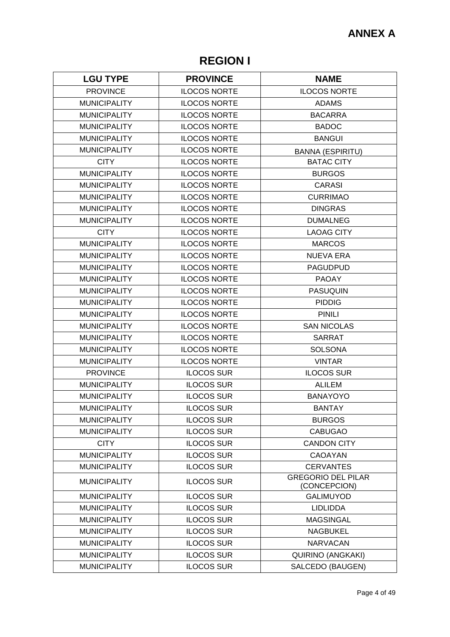# **REGION I**

| <b>LGU TYPE</b>     | <b>PROVINCE</b>     | <b>NAME</b>                               |
|---------------------|---------------------|-------------------------------------------|
| <b>PROVINCE</b>     | <b>ILOCOS NORTE</b> | <b>ILOCOS NORTE</b>                       |
| <b>MUNICIPALITY</b> | <b>ILOCOS NORTE</b> | <b>ADAMS</b>                              |
| <b>MUNICIPALITY</b> | <b>ILOCOS NORTE</b> | <b>BACARRA</b>                            |
| <b>MUNICIPALITY</b> | <b>ILOCOS NORTE</b> | <b>BADOC</b>                              |
| <b>MUNICIPALITY</b> | <b>ILOCOS NORTE</b> | <b>BANGUI</b>                             |
| <b>MUNICIPALITY</b> | <b>ILOCOS NORTE</b> | <b>BANNA (ESPIRITU)</b>                   |
| <b>CITY</b>         | <b>ILOCOS NORTE</b> | <b>BATAC CITY</b>                         |
| <b>MUNICIPALITY</b> | <b>ILOCOS NORTE</b> | <b>BURGOS</b>                             |
| <b>MUNICIPALITY</b> | <b>ILOCOS NORTE</b> | <b>CARASI</b>                             |
| <b>MUNICIPALITY</b> | <b>ILOCOS NORTE</b> | <b>CURRIMAO</b>                           |
| <b>MUNICIPALITY</b> | <b>ILOCOS NORTE</b> | <b>DINGRAS</b>                            |
| <b>MUNICIPALITY</b> | <b>ILOCOS NORTE</b> | <b>DUMALNEG</b>                           |
| <b>CITY</b>         | <b>ILOCOS NORTE</b> | <b>LAOAG CITY</b>                         |
| <b>MUNICIPALITY</b> | <b>ILOCOS NORTE</b> | <b>MARCOS</b>                             |
| <b>MUNICIPALITY</b> | <b>ILOCOS NORTE</b> | <b>NUEVA ERA</b>                          |
| <b>MUNICIPALITY</b> | <b>ILOCOS NORTE</b> | <b>PAGUDPUD</b>                           |
| <b>MUNICIPALITY</b> | <b>ILOCOS NORTE</b> | <b>PAOAY</b>                              |
| <b>MUNICIPALITY</b> | <b>ILOCOS NORTE</b> | <b>PASUQUIN</b>                           |
| <b>MUNICIPALITY</b> | <b>ILOCOS NORTE</b> | <b>PIDDIG</b>                             |
| <b>MUNICIPALITY</b> | <b>ILOCOS NORTE</b> | <b>PINILI</b>                             |
| <b>MUNICIPALITY</b> | <b>ILOCOS NORTE</b> | <b>SAN NICOLAS</b>                        |
| <b>MUNICIPALITY</b> | <b>ILOCOS NORTE</b> | <b>SARRAT</b>                             |
| <b>MUNICIPALITY</b> | <b>ILOCOS NORTE</b> | <b>SOLSONA</b>                            |
| <b>MUNICIPALITY</b> | <b>ILOCOS NORTE</b> | <b>VINTAR</b>                             |
| <b>PROVINCE</b>     | <b>ILOCOS SUR</b>   | <b>ILOCOS SUR</b>                         |
| <b>MUNICIPALITY</b> | <b>ILOCOS SUR</b>   | <b>ALILEM</b>                             |
| <b>MUNICIPALITY</b> | <b>ILOCOS SUR</b>   | <b>BANAYOYO</b>                           |
| <b>MUNICIPALITY</b> | <b>ILOCOS SUR</b>   | <b>BANTAY</b>                             |
| <b>MUNICIPALITY</b> | <b>ILOCOS SUR</b>   | <b>BURGOS</b>                             |
| <b>MUNICIPALITY</b> | <b>ILOCOS SUR</b>   | <b>CABUGAO</b>                            |
| <b>CITY</b>         | <b>ILOCOS SUR</b>   | <b>CANDON CITY</b>                        |
| <b>MUNICIPALITY</b> | <b>ILOCOS SUR</b>   | CAOAYAN                                   |
| <b>MUNICIPALITY</b> | <b>ILOCOS SUR</b>   | <b>CERVANTES</b>                          |
| <b>MUNICIPALITY</b> | <b>ILOCOS SUR</b>   | <b>GREGORIO DEL PILAR</b><br>(CONCEPCION) |
| <b>MUNICIPALITY</b> | <b>ILOCOS SUR</b>   | <b>GALIMUYOD</b>                          |
| <b>MUNICIPALITY</b> | <b>ILOCOS SUR</b>   | <b>LIDLIDDA</b>                           |
| <b>MUNICIPALITY</b> | <b>ILOCOS SUR</b>   | <b>MAGSINGAL</b>                          |
| <b>MUNICIPALITY</b> | <b>ILOCOS SUR</b>   | <b>NAGBUKEL</b>                           |
| <b>MUNICIPALITY</b> | <b>ILOCOS SUR</b>   | <b>NARVACAN</b>                           |
| <b>MUNICIPALITY</b> | <b>ILOCOS SUR</b>   | QUIRINO (ANGKAKI)                         |
| <b>MUNICIPALITY</b> | <b>ILOCOS SUR</b>   | SALCEDO (BAUGEN)                          |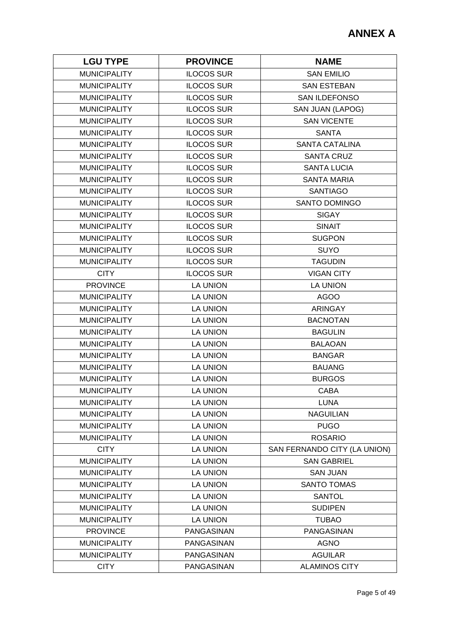| <b>LGU TYPE</b>     | <b>PROVINCE</b>   | <b>NAME</b>                  |
|---------------------|-------------------|------------------------------|
| <b>MUNICIPALITY</b> | <b>ILOCOS SUR</b> | <b>SAN EMILIO</b>            |
| <b>MUNICIPALITY</b> | <b>ILOCOS SUR</b> | <b>SAN ESTEBAN</b>           |
| <b>MUNICIPALITY</b> | <b>ILOCOS SUR</b> | <b>SAN ILDEFONSO</b>         |
| <b>MUNICIPALITY</b> | <b>ILOCOS SUR</b> | SAN JUAN (LAPOG)             |
| <b>MUNICIPALITY</b> | <b>ILOCOS SUR</b> | <b>SAN VICENTE</b>           |
| <b>MUNICIPALITY</b> | <b>ILOCOS SUR</b> | <b>SANTA</b>                 |
| <b>MUNICIPALITY</b> | <b>ILOCOS SUR</b> | <b>SANTA CATALINA</b>        |
| <b>MUNICIPALITY</b> | <b>ILOCOS SUR</b> | <b>SANTA CRUZ</b>            |
| <b>MUNICIPALITY</b> | <b>ILOCOS SUR</b> | <b>SANTA LUCIA</b>           |
| <b>MUNICIPALITY</b> | <b>ILOCOS SUR</b> | <b>SANTA MARIA</b>           |
| <b>MUNICIPALITY</b> | <b>ILOCOS SUR</b> | <b>SANTIAGO</b>              |
| <b>MUNICIPALITY</b> | <b>ILOCOS SUR</b> | SANTO DOMINGO                |
| <b>MUNICIPALITY</b> | <b>ILOCOS SUR</b> | <b>SIGAY</b>                 |
| <b>MUNICIPALITY</b> | <b>ILOCOS SUR</b> | <b>SINAIT</b>                |
| <b>MUNICIPALITY</b> | <b>ILOCOS SUR</b> | <b>SUGPON</b>                |
| <b>MUNICIPALITY</b> | <b>ILOCOS SUR</b> | <b>SUYO</b>                  |
| <b>MUNICIPALITY</b> | <b>ILOCOS SUR</b> | <b>TAGUDIN</b>               |
| <b>CITY</b>         | <b>ILOCOS SUR</b> | <b>VIGAN CITY</b>            |
| <b>PROVINCE</b>     | <b>LA UNION</b>   | <b>LA UNION</b>              |
| <b>MUNICIPALITY</b> | <b>LA UNION</b>   | <b>AGOO</b>                  |
| <b>MUNICIPALITY</b> | <b>LA UNION</b>   | <b>ARINGAY</b>               |
| <b>MUNICIPALITY</b> | <b>LA UNION</b>   | <b>BACNOTAN</b>              |
| <b>MUNICIPALITY</b> | LA UNION          | <b>BAGULIN</b>               |
| <b>MUNICIPALITY</b> | <b>LA UNION</b>   | <b>BALAOAN</b>               |
| <b>MUNICIPALITY</b> | <b>LA UNION</b>   | <b>BANGAR</b>                |
| <b>MUNICIPALITY</b> | <b>LA UNION</b>   | <b>BAUANG</b>                |
| <b>MUNICIPALITY</b> | <b>LA UNION</b>   | <b>BURGOS</b>                |
| <b>MUNICIPALITY</b> | <b>LA UNION</b>   | <b>CABA</b>                  |
| <b>MUNICIPALITY</b> | <b>LA UNION</b>   | <b>LUNA</b>                  |
| <b>MUNICIPALITY</b> | <b>LA UNION</b>   | <b>NAGUILIAN</b>             |
| <b>MUNICIPALITY</b> | <b>LA UNION</b>   | <b>PUGO</b>                  |
| <b>MUNICIPALITY</b> | <b>LA UNION</b>   | <b>ROSARIO</b>               |
| <b>CITY</b>         | <b>LA UNION</b>   | SAN FERNANDO CITY (LA UNION) |
| <b>MUNICIPALITY</b> | <b>LA UNION</b>   | <b>SAN GABRIEL</b>           |
| <b>MUNICIPALITY</b> | <b>LA UNION</b>   | <b>SAN JUAN</b>              |
| <b>MUNICIPALITY</b> | <b>LA UNION</b>   | <b>SANTO TOMAS</b>           |
| <b>MUNICIPALITY</b> | <b>LA UNION</b>   | <b>SANTOL</b>                |
| <b>MUNICIPALITY</b> | <b>LA UNION</b>   | <b>SUDIPEN</b>               |
| <b>MUNICIPALITY</b> | <b>LA UNION</b>   | <b>TUBAO</b>                 |
| <b>PROVINCE</b>     | PANGASINAN        | PANGASINAN                   |
| <b>MUNICIPALITY</b> | PANGASINAN        | <b>AGNO</b>                  |
| <b>MUNICIPALITY</b> | PANGASINAN        | <b>AGUILAR</b>               |
| <b>CITY</b>         | PANGASINAN        | <b>ALAMINOS CITY</b>         |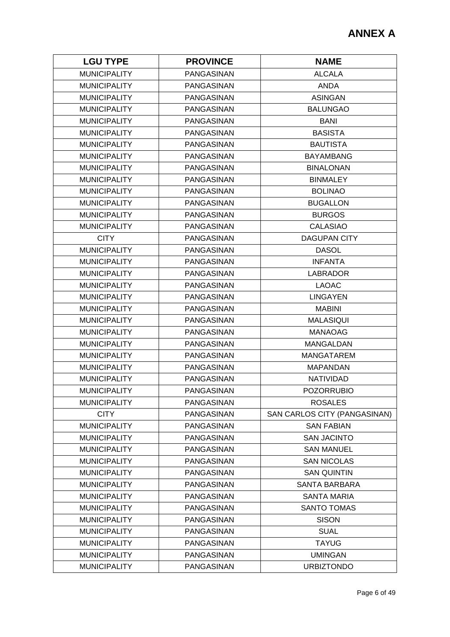| <b>LGU TYPE</b>     | <b>PROVINCE</b>   | <b>NAME</b>                  |
|---------------------|-------------------|------------------------------|
| <b>MUNICIPALITY</b> | PANGASINAN        | <b>ALCALA</b>                |
| <b>MUNICIPALITY</b> | PANGASINAN        | <b>ANDA</b>                  |
| <b>MUNICIPALITY</b> | <b>PANGASINAN</b> | <b>ASINGAN</b>               |
| <b>MUNICIPALITY</b> | <b>PANGASINAN</b> | <b>BALUNGAO</b>              |
| <b>MUNICIPALITY</b> | <b>PANGASINAN</b> | <b>BANI</b>                  |
| <b>MUNICIPALITY</b> | <b>PANGASINAN</b> | <b>BASISTA</b>               |
| <b>MUNICIPALITY</b> | <b>PANGASINAN</b> | <b>BAUTISTA</b>              |
| <b>MUNICIPALITY</b> | <b>PANGASINAN</b> | <b>BAYAMBANG</b>             |
| <b>MUNICIPALITY</b> | PANGASINAN        | <b>BINALONAN</b>             |
| <b>MUNICIPALITY</b> | <b>PANGASINAN</b> | <b>BINMALEY</b>              |
| <b>MUNICIPALITY</b> | PANGASINAN        | <b>BOLINAO</b>               |
| <b>MUNICIPALITY</b> | PANGASINAN        | <b>BUGALLON</b>              |
| <b>MUNICIPALITY</b> | <b>PANGASINAN</b> | <b>BURGOS</b>                |
| <b>MUNICIPALITY</b> | <b>PANGASINAN</b> | <b>CALASIAO</b>              |
| <b>CITY</b>         | PANGASINAN        | <b>DAGUPAN CITY</b>          |
| <b>MUNICIPALITY</b> | PANGASINAN        | <b>DASOL</b>                 |
| <b>MUNICIPALITY</b> | PANGASINAN        | <b>INFANTA</b>               |
| <b>MUNICIPALITY</b> | <b>PANGASINAN</b> | <b>LABRADOR</b>              |
| <b>MUNICIPALITY</b> | PANGASINAN        | <b>LAOAC</b>                 |
| <b>MUNICIPALITY</b> | <b>PANGASINAN</b> | <b>LINGAYEN</b>              |
| <b>MUNICIPALITY</b> | PANGASINAN        | <b>MABINI</b>                |
| <b>MUNICIPALITY</b> | <b>PANGASINAN</b> | <b>MALASIQUI</b>             |
| <b>MUNICIPALITY</b> | <b>PANGASINAN</b> | <b>MANAOAG</b>               |
| <b>MUNICIPALITY</b> | <b>PANGASINAN</b> | <b>MANGALDAN</b>             |
| <b>MUNICIPALITY</b> | <b>PANGASINAN</b> | <b>MANGATAREM</b>            |
| <b>MUNICIPALITY</b> | <b>PANGASINAN</b> | <b>MAPANDAN</b>              |
| <b>MUNICIPALITY</b> | PANGASINAN        | NATIVIDAD                    |
| <b>MUNICIPALITY</b> | <b>PANGASINAN</b> | <b>POZORRUBIO</b>            |
| <b>MUNICIPALITY</b> | PANGASINAN        | <b>ROSALES</b>               |
| <b>CITY</b>         | PANGASINAN        | SAN CARLOS CITY (PANGASINAN) |
| <b>MUNICIPALITY</b> | PANGASINAN        | <b>SAN FABIAN</b>            |
| <b>MUNICIPALITY</b> | PANGASINAN        | <b>SAN JACINTO</b>           |
| <b>MUNICIPALITY</b> | PANGASINAN        | <b>SAN MANUEL</b>            |
| <b>MUNICIPALITY</b> | PANGASINAN        | <b>SAN NICOLAS</b>           |
| <b>MUNICIPALITY</b> | PANGASINAN        | <b>SAN QUINTIN</b>           |
| <b>MUNICIPALITY</b> | PANGASINAN        | <b>SANTA BARBARA</b>         |
| <b>MUNICIPALITY</b> | <b>PANGASINAN</b> | <b>SANTA MARIA</b>           |
| <b>MUNICIPALITY</b> | PANGASINAN        | <b>SANTO TOMAS</b>           |
| <b>MUNICIPALITY</b> | PANGASINAN        | <b>SISON</b>                 |
| <b>MUNICIPALITY</b> | PANGASINAN        | <b>SUAL</b>                  |
| <b>MUNICIPALITY</b> | PANGASINAN        | <b>TAYUG</b>                 |
| <b>MUNICIPALITY</b> | PANGASINAN        | <b>UMINGAN</b>               |
| <b>MUNICIPALITY</b> | PANGASINAN        | <b>URBIZTONDO</b>            |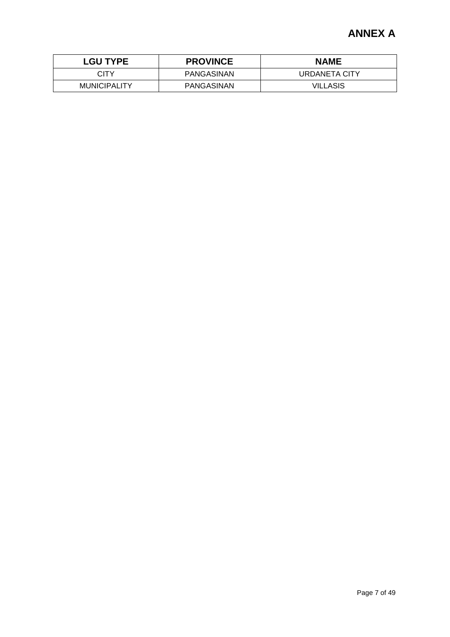| <b>LGU TYPE</b>     | <b>PROVINCE</b>   | <b>NAME</b>   |
|---------------------|-------------------|---------------|
| CITY                | PANGASINAN        | URDANETA CITY |
| <b>MUNICIPALITY</b> | <b>PANGASINAN</b> | VILLASIS      |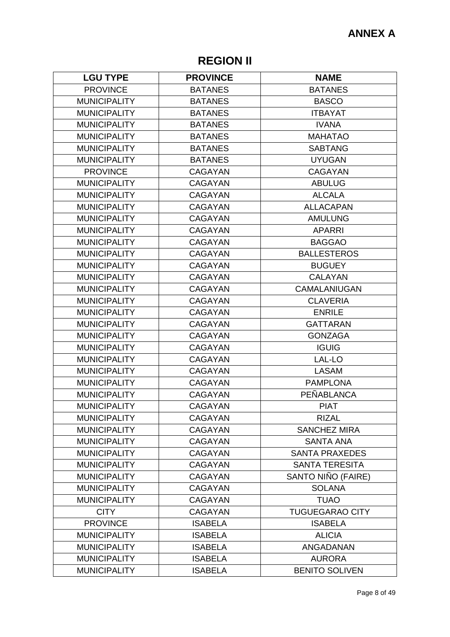# **REGION II**

| <b>LGU TYPE</b>     | <b>PROVINCE</b> | <b>NAME</b>            |
|---------------------|-----------------|------------------------|
| <b>PROVINCE</b>     | <b>BATANES</b>  | <b>BATANES</b>         |
| <b>MUNICIPALITY</b> | <b>BATANES</b>  | <b>BASCO</b>           |
| <b>MUNICIPALITY</b> | <b>BATANES</b>  | <b>ITBAYAT</b>         |
| <b>MUNICIPALITY</b> | <b>BATANES</b>  | <b>IVANA</b>           |
| <b>MUNICIPALITY</b> | <b>BATANES</b>  | <b>MAHATAO</b>         |
| <b>MUNICIPALITY</b> | <b>BATANES</b>  | <b>SABTANG</b>         |
| <b>MUNICIPALITY</b> | <b>BATANES</b>  | <b>UYUGAN</b>          |
| <b>PROVINCE</b>     | <b>CAGAYAN</b>  | <b>CAGAYAN</b>         |
| <b>MUNICIPALITY</b> | <b>CAGAYAN</b>  | <b>ABULUG</b>          |
| <b>MUNICIPALITY</b> | <b>CAGAYAN</b>  | <b>ALCALA</b>          |
| <b>MUNICIPALITY</b> | <b>CAGAYAN</b>  | <b>ALLACAPAN</b>       |
| <b>MUNICIPALITY</b> | <b>CAGAYAN</b>  | <b>AMULUNG</b>         |
| <b>MUNICIPALITY</b> | <b>CAGAYAN</b>  | <b>APARRI</b>          |
| <b>MUNICIPALITY</b> | <b>CAGAYAN</b>  | <b>BAGGAO</b>          |
| <b>MUNICIPALITY</b> | <b>CAGAYAN</b>  | <b>BALLESTEROS</b>     |
| <b>MUNICIPALITY</b> | <b>CAGAYAN</b>  | <b>BUGUEY</b>          |
| <b>MUNICIPALITY</b> | <b>CAGAYAN</b>  | <b>CALAYAN</b>         |
| <b>MUNICIPALITY</b> | <b>CAGAYAN</b>  | CAMALANIUGAN           |
| <b>MUNICIPALITY</b> | <b>CAGAYAN</b>  | <b>CLAVERIA</b>        |
| <b>MUNICIPALITY</b> | <b>CAGAYAN</b>  | <b>ENRILE</b>          |
| <b>MUNICIPALITY</b> | <b>CAGAYAN</b>  | <b>GATTARAN</b>        |
| <b>MUNICIPALITY</b> | <b>CAGAYAN</b>  | <b>GONZAGA</b>         |
| <b>MUNICIPALITY</b> | <b>CAGAYAN</b>  | <b>IGUIG</b>           |
| <b>MUNICIPALITY</b> | <b>CAGAYAN</b>  | LAL-LO                 |
| <b>MUNICIPALITY</b> | <b>CAGAYAN</b>  | <b>LASAM</b>           |
| <b>MUNICIPALITY</b> | <b>CAGAYAN</b>  | <b>PAMPLONA</b>        |
| <b>MUNICIPALITY</b> | <b>CAGAYAN</b>  | <b>PEÑABLANCA</b>      |
| <b>MUNICIPALITY</b> | <b>CAGAYAN</b>  | <b>PIAT</b>            |
| <b>MUNICIPALITY</b> | <b>CAGAYAN</b>  | <b>RIZAL</b>           |
| <b>MUNICIPALITY</b> | <b>CAGAYAN</b>  | <b>SANCHEZ MIRA</b>    |
| <b>MUNICIPALITY</b> | <b>CAGAYAN</b>  | <b>SANTA ANA</b>       |
| <b>MUNICIPALITY</b> | <b>CAGAYAN</b>  | <b>SANTA PRAXEDES</b>  |
| <b>MUNICIPALITY</b> | <b>CAGAYAN</b>  | <b>SANTA TERESITA</b>  |
| <b>MUNICIPALITY</b> | <b>CAGAYAN</b>  | SANTO NIÑO (FAIRE)     |
| <b>MUNICIPALITY</b> | <b>CAGAYAN</b>  | <b>SOLANA</b>          |
| <b>MUNICIPALITY</b> | <b>CAGAYAN</b>  | <b>TUAO</b>            |
| <b>CITY</b>         | <b>CAGAYAN</b>  | <b>TUGUEGARAO CITY</b> |
| <b>PROVINCE</b>     | <b>ISABELA</b>  | <b>ISABELA</b>         |
| <b>MUNICIPALITY</b> | <b>ISABELA</b>  | <b>ALICIA</b>          |
| <b>MUNICIPALITY</b> | <b>ISABELA</b>  | ANGADANAN              |
| <b>MUNICIPALITY</b> | <b>ISABELA</b>  | <b>AURORA</b>          |
| <b>MUNICIPALITY</b> | <b>ISABELA</b>  | <b>BENITO SOLIVEN</b>  |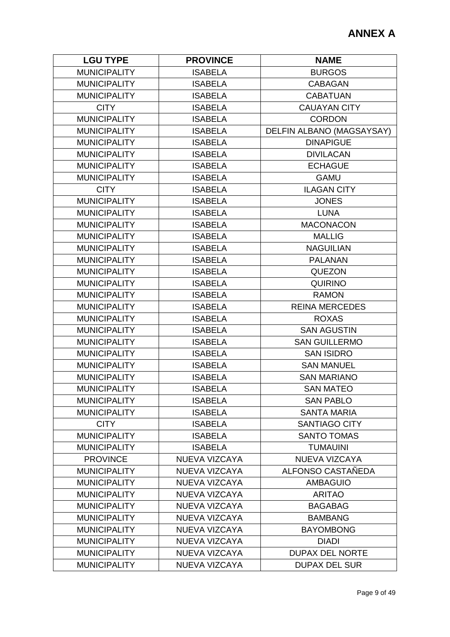| <b>LGU TYPE</b>     | <b>PROVINCE</b>      | <b>NAME</b>               |
|---------------------|----------------------|---------------------------|
| <b>MUNICIPALITY</b> | <b>ISABELA</b>       | <b>BURGOS</b>             |
| <b>MUNICIPALITY</b> | <b>ISABELA</b>       | <b>CABAGAN</b>            |
| <b>MUNICIPALITY</b> | <b>ISABELA</b>       | <b>CABATUAN</b>           |
| <b>CITY</b>         | <b>ISABELA</b>       | <b>CAUAYAN CITY</b>       |
| <b>MUNICIPALITY</b> | <b>ISABELA</b>       | <b>CORDON</b>             |
| <b>MUNICIPALITY</b> | <b>ISABELA</b>       | DELFIN ALBANO (MAGSAYSAY) |
| <b>MUNICIPALITY</b> | <b>ISABELA</b>       | <b>DINAPIGUE</b>          |
| <b>MUNICIPALITY</b> | <b>ISABELA</b>       | <b>DIVILACAN</b>          |
| <b>MUNICIPALITY</b> | <b>ISABELA</b>       | <b>ECHAGUE</b>            |
| <b>MUNICIPALITY</b> | <b>ISABELA</b>       | <b>GAMU</b>               |
| <b>CITY</b>         | <b>ISABELA</b>       | <b>ILAGAN CITY</b>        |
| <b>MUNICIPALITY</b> | <b>ISABELA</b>       | <b>JONES</b>              |
| <b>MUNICIPALITY</b> | <b>ISABELA</b>       | <b>LUNA</b>               |
| <b>MUNICIPALITY</b> | <b>ISABELA</b>       | <b>MACONACON</b>          |
| <b>MUNICIPALITY</b> | <b>ISABELA</b>       | <b>MALLIG</b>             |
| <b>MUNICIPALITY</b> | <b>ISABELA</b>       | <b>NAGUILIAN</b>          |
| <b>MUNICIPALITY</b> | <b>ISABELA</b>       | <b>PALANAN</b>            |
| <b>MUNICIPALITY</b> | <b>ISABELA</b>       | <b>QUEZON</b>             |
| <b>MUNICIPALITY</b> | <b>ISABELA</b>       | <b>QUIRINO</b>            |
| <b>MUNICIPALITY</b> | <b>ISABELA</b>       | <b>RAMON</b>              |
| <b>MUNICIPALITY</b> | <b>ISABELA</b>       | <b>REINA MERCEDES</b>     |
| <b>MUNICIPALITY</b> | <b>ISABELA</b>       | <b>ROXAS</b>              |
| <b>MUNICIPALITY</b> | <b>ISABELA</b>       | <b>SAN AGUSTIN</b>        |
| <b>MUNICIPALITY</b> | <b>ISABELA</b>       | <b>SAN GUILLERMO</b>      |
| <b>MUNICIPALITY</b> | <b>ISABELA</b>       | <b>SAN ISIDRO</b>         |
| <b>MUNICIPALITY</b> | <b>ISABELA</b>       | <b>SAN MANUEL</b>         |
| <b>MUNICIPALITY</b> | <b>ISABELA</b>       | <b>SAN MARIANO</b>        |
| <b>MUNICIPALITY</b> | <b>ISABELA</b>       | <b>SAN MATEO</b>          |
| <b>MUNICIPALITY</b> | <b>ISABELA</b>       | <b>SAN PABLO</b>          |
| <b>MUNICIPALITY</b> | <b>ISABELA</b>       | <b>SANTA MARIA</b>        |
| <b>CITY</b>         | <b>ISABELA</b>       | <b>SANTIAGO CITY</b>      |
| <b>MUNICIPALITY</b> | <b>ISABELA</b>       | <b>SANTO TOMAS</b>        |
| <b>MUNICIPALITY</b> | <b>ISABELA</b>       | <b>TUMAUINI</b>           |
| <b>PROVINCE</b>     | NUEVA VIZCAYA        | NUEVA VIZCAYA             |
| <b>MUNICIPALITY</b> | <b>NUEVA VIZCAYA</b> | ALFONSO CASTAÑEDA         |
| <b>MUNICIPALITY</b> | NUEVA VIZCAYA        | <b>AMBAGUIO</b>           |
| <b>MUNICIPALITY</b> | NUEVA VIZCAYA        | <b>ARITAO</b>             |
| <b>MUNICIPALITY</b> | NUEVA VIZCAYA        | <b>BAGABAG</b>            |
| <b>MUNICIPALITY</b> | NUEVA VIZCAYA        | <b>BAMBANG</b>            |
| <b>MUNICIPALITY</b> | NUEVA VIZCAYA        | <b>BAYOMBONG</b>          |
| <b>MUNICIPALITY</b> | NUEVA VIZCAYA        | <b>DIADI</b>              |
| <b>MUNICIPALITY</b> | NUEVA VIZCAYA        | <b>DUPAX DEL NORTE</b>    |
| <b>MUNICIPALITY</b> | NUEVA VIZCAYA        | <b>DUPAX DEL SUR</b>      |
|                     |                      |                           |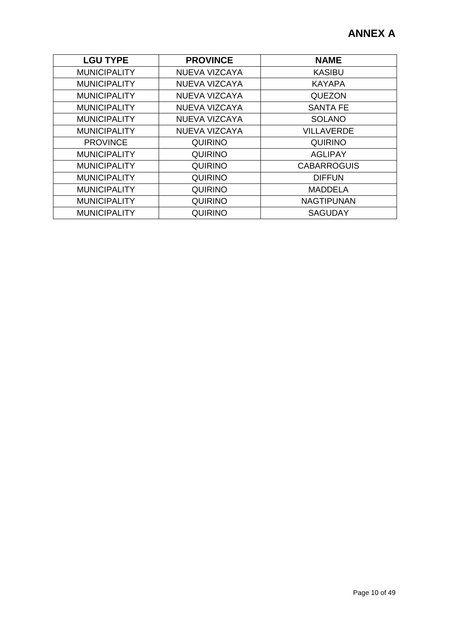| <b>LGU TYPE</b>     | <b>PROVINCE</b> | <b>NAME</b>        |
|---------------------|-----------------|--------------------|
| <b>MUNICIPALITY</b> | NUEVA VIZCAYA   | <b>KASIBU</b>      |
| <b>MUNICIPALITY</b> | NUEVA VIZCAYA   | <b>KAYAPA</b>      |
| <b>MUNICIPALITY</b> | NUEVA VIZCAYA   | <b>QUEZON</b>      |
| <b>MUNICIPALITY</b> | NUEVA VIZCAYA   | <b>SANTA FE</b>    |
| <b>MUNICIPALITY</b> | NUEVA VIZCAYA   | <b>SOLANO</b>      |
| <b>MUNICIPALITY</b> | NUEVA VIZCAYA   | <b>VILLAVERDE</b>  |
| <b>PROVINCE</b>     | <b>QUIRINO</b>  | <b>QUIRINO</b>     |
| <b>MUNICIPALITY</b> | <b>QUIRINO</b>  | <b>AGLIPAY</b>     |
| <b>MUNICIPALITY</b> | <b>QUIRINO</b>  | <b>CABARROGUIS</b> |
| <b>MUNICIPALITY</b> | <b>QUIRINO</b>  | <b>DIFFUN</b>      |
| <b>MUNICIPALITY</b> | <b>QUIRINO</b>  | <b>MADDELA</b>     |
| <b>MUNICIPALITY</b> | <b>QUIRINO</b>  | <b>NAGTIPUNAN</b>  |
| <b>MUNICIPALITY</b> | <b>QUIRINO</b>  | <b>SAGUDAY</b>     |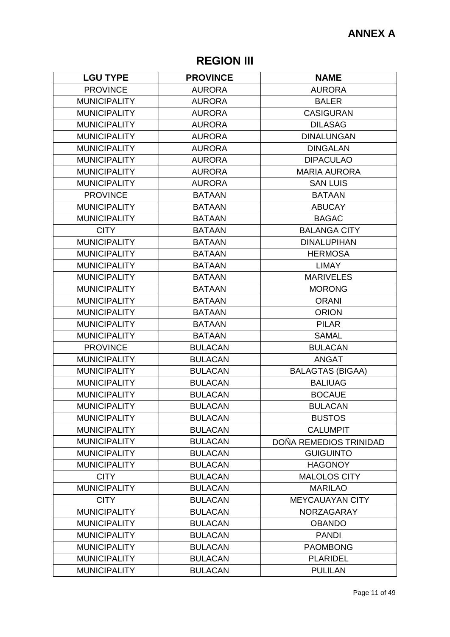# **REGION III**

| <b>LGU TYPE</b>     | <b>PROVINCE</b> | <b>NAME</b>             |
|---------------------|-----------------|-------------------------|
| <b>PROVINCE</b>     | <b>AURORA</b>   | <b>AURORA</b>           |
| <b>MUNICIPALITY</b> | <b>AURORA</b>   | <b>BALER</b>            |
| <b>MUNICIPALITY</b> | <b>AURORA</b>   | <b>CASIGURAN</b>        |
| <b>MUNICIPALITY</b> | <b>AURORA</b>   | <b>DILASAG</b>          |
| <b>MUNICIPALITY</b> | <b>AURORA</b>   | <b>DINALUNGAN</b>       |
| <b>MUNICIPALITY</b> | <b>AURORA</b>   | <b>DINGALAN</b>         |
| <b>MUNICIPALITY</b> | <b>AURORA</b>   | <b>DIPACULAO</b>        |
| <b>MUNICIPALITY</b> | <b>AURORA</b>   | <b>MARIA AURORA</b>     |
| <b>MUNICIPALITY</b> | <b>AURORA</b>   | <b>SAN LUIS</b>         |
| <b>PROVINCE</b>     | <b>BATAAN</b>   | <b>BATAAN</b>           |
| <b>MUNICIPALITY</b> | <b>BATAAN</b>   | <b>ABUCAY</b>           |
| <b>MUNICIPALITY</b> | <b>BATAAN</b>   | <b>BAGAC</b>            |
| <b>CITY</b>         | <b>BATAAN</b>   | <b>BALANGA CITY</b>     |
| <b>MUNICIPALITY</b> | <b>BATAAN</b>   | <b>DINALUPIHAN</b>      |
| <b>MUNICIPALITY</b> | <b>BATAAN</b>   | <b>HERMOSA</b>          |
| <b>MUNICIPALITY</b> | <b>BATAAN</b>   | <b>LIMAY</b>            |
| <b>MUNICIPALITY</b> | <b>BATAAN</b>   | <b>MARIVELES</b>        |
| <b>MUNICIPALITY</b> | <b>BATAAN</b>   | <b>MORONG</b>           |
| <b>MUNICIPALITY</b> | <b>BATAAN</b>   | <b>ORANI</b>            |
| <b>MUNICIPALITY</b> | <b>BATAAN</b>   | <b>ORION</b>            |
| <b>MUNICIPALITY</b> | <b>BATAAN</b>   | <b>PILAR</b>            |
| <b>MUNICIPALITY</b> | <b>BATAAN</b>   | <b>SAMAL</b>            |
| <b>PROVINCE</b>     | <b>BULACAN</b>  | <b>BULACAN</b>          |
| <b>MUNICIPALITY</b> | <b>BULACAN</b>  | <b>ANGAT</b>            |
| <b>MUNICIPALITY</b> | <b>BULACAN</b>  | <b>BALAGTAS (BIGAA)</b> |
| <b>MUNICIPALITY</b> | <b>BULACAN</b>  | <b>BALIUAG</b>          |
| <b>MUNICIPALITY</b> | <b>BULACAN</b>  | <b>BOCAUE</b>           |
| <b>MUNICIPALITY</b> | <b>BULACAN</b>  | <b>BULACAN</b>          |
| <b>MUNICIPALITY</b> | <b>BULACAN</b>  | <b>BUSTOS</b>           |
| <b>MUNICIPALITY</b> | <b>BULACAN</b>  | <b>CALUMPIT</b>         |
| <b>MUNICIPALITY</b> | <b>BULACAN</b>  | DOÑA REMEDIOS TRINIDAD  |
| <b>MUNICIPALITY</b> | <b>BULACAN</b>  | <b>GUIGUINTO</b>        |
| <b>MUNICIPALITY</b> | <b>BULACAN</b>  | <b>HAGONOY</b>          |
| <b>CITY</b>         | <b>BULACAN</b>  | <b>MALOLOS CITY</b>     |
| <b>MUNICIPALITY</b> | <b>BULACAN</b>  | <b>MARILAO</b>          |
| <b>CITY</b>         | <b>BULACAN</b>  | <b>MEYCAUAYAN CITY</b>  |
| <b>MUNICIPALITY</b> | <b>BULACAN</b>  | <b>NORZAGARAY</b>       |
| <b>MUNICIPALITY</b> | <b>BULACAN</b>  | <b>OBANDO</b>           |
| <b>MUNICIPALITY</b> | <b>BULACAN</b>  | <b>PANDI</b>            |
| <b>MUNICIPALITY</b> | <b>BULACAN</b>  | <b>PAOMBONG</b>         |
| <b>MUNICIPALITY</b> | <b>BULACAN</b>  | <b>PLARIDEL</b>         |
| <b>MUNICIPALITY</b> | <b>BULACAN</b>  | <b>PULILAN</b>          |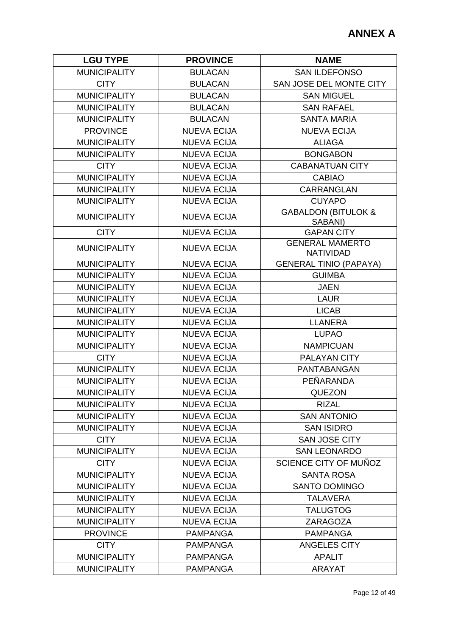| <b>LGU TYPE</b>     | <b>PROVINCE</b>    | <b>NAME</b>                                |
|---------------------|--------------------|--------------------------------------------|
| <b>MUNICIPALITY</b> | <b>BULACAN</b>     | <b>SAN ILDEFONSO</b>                       |
| <b>CITY</b>         | <b>BULACAN</b>     | SAN JOSE DEL MONTE CITY                    |
| <b>MUNICIPALITY</b> | <b>BULACAN</b>     | <b>SAN MIGUEL</b>                          |
| <b>MUNICIPALITY</b> | <b>BULACAN</b>     | <b>SAN RAFAEL</b>                          |
| <b>MUNICIPALITY</b> | <b>BULACAN</b>     | <b>SANTA MARIA</b>                         |
| <b>PROVINCE</b>     | <b>NUEVA ECIJA</b> | <b>NUEVA ECIJA</b>                         |
| <b>MUNICIPALITY</b> | <b>NUEVA ECIJA</b> | <b>ALIAGA</b>                              |
| <b>MUNICIPALITY</b> | <b>NUEVA ECIJA</b> | <b>BONGABON</b>                            |
| <b>CITY</b>         | <b>NUEVA ECIJA</b> | <b>CABANATUAN CITY</b>                     |
| <b>MUNICIPALITY</b> | <b>NUEVA ECIJA</b> | <b>CABIAO</b>                              |
| <b>MUNICIPALITY</b> | <b>NUEVA ECIJA</b> | <b>CARRANGLAN</b>                          |
| <b>MUNICIPALITY</b> | <b>NUEVA ECIJA</b> | <b>CUYAPO</b>                              |
| <b>MUNICIPALITY</b> | <b>NUEVA ECIJA</b> | <b>GABALDON (BITULOK &amp;</b><br>SABANI)  |
| <b>CITY</b>         | <b>NUEVA ECIJA</b> | <b>GAPAN CITY</b>                          |
| <b>MUNICIPALITY</b> | <b>NUEVA ECIJA</b> | <b>GENERAL MAMERTO</b><br><b>NATIVIDAD</b> |
| <b>MUNICIPALITY</b> | <b>NUEVA ECIJA</b> | <b>GENERAL TINIO (PAPAYA)</b>              |
| <b>MUNICIPALITY</b> | <b>NUEVA ECIJA</b> | <b>GUIMBA</b>                              |
| <b>MUNICIPALITY</b> | <b>NUEVA ECIJA</b> | <b>JAEN</b>                                |
| <b>MUNICIPALITY</b> | <b>NUEVA ECIJA</b> | <b>LAUR</b>                                |
| <b>MUNICIPALITY</b> | <b>NUEVA ECIJA</b> | <b>LICAB</b>                               |
| <b>MUNICIPALITY</b> | <b>NUEVA ECIJA</b> | <b>LLANERA</b>                             |
| <b>MUNICIPALITY</b> | <b>NUEVA ECIJA</b> | <b>LUPAO</b>                               |
| <b>MUNICIPALITY</b> | <b>NUEVA ECIJA</b> | <b>NAMPICUAN</b>                           |
| <b>CITY</b>         | <b>NUEVA ECIJA</b> | <b>PALAYAN CITY</b>                        |
| <b>MUNICIPALITY</b> | <b>NUEVA ECIJA</b> | PANTABANGAN                                |
| <b>MUNICIPALITY</b> | <b>NUEVA ECIJA</b> | PEÑARANDA                                  |
| <b>MUNICIPALITY</b> | <b>NUEVA ECIJA</b> | <b>QUEZON</b>                              |
| <b>MUNICIPALITY</b> | <b>NUEVA ECIJA</b> | <b>RIZAL</b>                               |
| <b>MUNICIPALITY</b> | <b>NUEVA ECIJA</b> | <b>SAN ANTONIO</b>                         |
| <b>MUNICIPALITY</b> | <b>NUEVA ECIJA</b> | <b>SAN ISIDRO</b>                          |
| <b>CITY</b>         | <b>NUEVA ECIJA</b> | <b>SAN JOSE CITY</b>                       |
| <b>MUNICIPALITY</b> | <b>NUEVA ECIJA</b> | <b>SAN LEONARDO</b>                        |
| <b>CITY</b>         | <b>NUEVA ECIJA</b> | SCIENCE CITY OF MUÑOZ                      |
| <b>MUNICIPALITY</b> | <b>NUEVA ECIJA</b> | <b>SANTA ROSA</b>                          |
| <b>MUNICIPALITY</b> | <b>NUEVA ECIJA</b> | <b>SANTO DOMINGO</b>                       |
| <b>MUNICIPALITY</b> | <b>NUEVA ECIJA</b> | <b>TALAVERA</b>                            |
| <b>MUNICIPALITY</b> | <b>NUEVA ECIJA</b> | <b>TALUGTOG</b>                            |
| <b>MUNICIPALITY</b> | <b>NUEVA ECIJA</b> | ZARAGOZA                                   |
| <b>PROVINCE</b>     | <b>PAMPANGA</b>    | <b>PAMPANGA</b>                            |
| <b>CITY</b>         | <b>PAMPANGA</b>    | <b>ANGELES CITY</b>                        |
| <b>MUNICIPALITY</b> | <b>PAMPANGA</b>    | <b>APALIT</b>                              |
| <b>MUNICIPALITY</b> | <b>PAMPANGA</b>    | <b>ARAYAT</b>                              |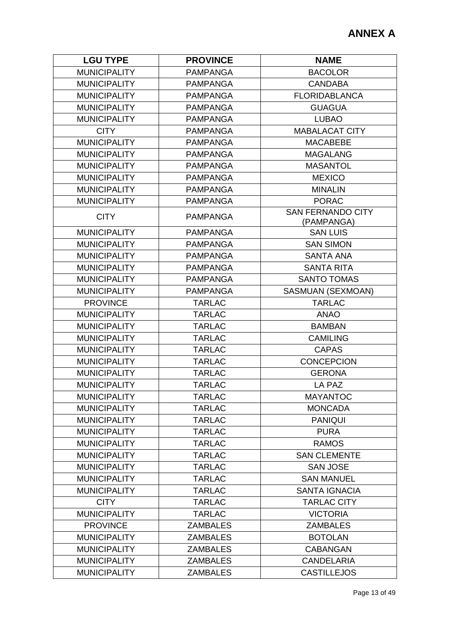| <b>LGU TYPE</b>     | <b>PROVINCE</b> | <b>NAME</b>                            |
|---------------------|-----------------|----------------------------------------|
| <b>MUNICIPALITY</b> | <b>PAMPANGA</b> | <b>BACOLOR</b>                         |
| <b>MUNICIPALITY</b> | <b>PAMPANGA</b> | <b>CANDABA</b>                         |
| <b>MUNICIPALITY</b> | <b>PAMPANGA</b> | <b>FLORIDABLANCA</b>                   |
| <b>MUNICIPALITY</b> | <b>PAMPANGA</b> | <b>GUAGUA</b>                          |
| <b>MUNICIPALITY</b> | <b>PAMPANGA</b> | <b>LUBAO</b>                           |
| <b>CITY</b>         | <b>PAMPANGA</b> | <b>MABALACAT CITY</b>                  |
| <b>MUNICIPALITY</b> | <b>PAMPANGA</b> | <b>MACABEBE</b>                        |
| <b>MUNICIPALITY</b> | <b>PAMPANGA</b> | <b>MAGALANG</b>                        |
| <b>MUNICIPALITY</b> | <b>PAMPANGA</b> | <b>MASANTOL</b>                        |
| <b>MUNICIPALITY</b> | <b>PAMPANGA</b> | <b>MEXICO</b>                          |
| <b>MUNICIPALITY</b> | <b>PAMPANGA</b> | <b>MINALIN</b>                         |
| <b>MUNICIPALITY</b> | <b>PAMPANGA</b> | <b>PORAC</b>                           |
| <b>CITY</b>         | <b>PAMPANGA</b> | <b>SAN FERNANDO CITY</b><br>(PAMPANGA) |
| <b>MUNICIPALITY</b> | <b>PAMPANGA</b> | <b>SAN LUIS</b>                        |
| <b>MUNICIPALITY</b> | <b>PAMPANGA</b> | <b>SAN SIMON</b>                       |
| <b>MUNICIPALITY</b> | <b>PAMPANGA</b> | <b>SANTA ANA</b>                       |
| <b>MUNICIPALITY</b> | <b>PAMPANGA</b> | <b>SANTA RITA</b>                      |
| <b>MUNICIPALITY</b> | <b>PAMPANGA</b> | <b>SANTO TOMAS</b>                     |
| <b>MUNICIPALITY</b> | <b>PAMPANGA</b> | SASMUAN (SEXMOAN)                      |
| <b>PROVINCE</b>     | <b>TARLAC</b>   | <b>TARLAC</b>                          |
| <b>MUNICIPALITY</b> | <b>TARLAC</b>   | <b>ANAO</b>                            |
| <b>MUNICIPALITY</b> | <b>TARLAC</b>   | <b>BAMBAN</b>                          |
| <b>MUNICIPALITY</b> | <b>TARLAC</b>   | <b>CAMILING</b>                        |
| <b>MUNICIPALITY</b> | <b>TARLAC</b>   | <b>CAPAS</b>                           |
| <b>MUNICIPALITY</b> | <b>TARLAC</b>   | <b>CONCEPCION</b>                      |
| <b>MUNICIPALITY</b> | <b>TARLAC</b>   | <b>GERONA</b>                          |
| <b>MUNICIPALITY</b> | <b>TARLAC</b>   | <b>LA PAZ</b>                          |
| <b>MUNICIPALITY</b> | TARLAC          | <b>MAYANTOC</b>                        |
| <b>MUNICIPALITY</b> | <b>TARLAC</b>   | <b>MONCADA</b>                         |
| <b>MUNICIPALITY</b> | <b>TARLAC</b>   | <b>PANIQUI</b>                         |
| <b>MUNICIPALITY</b> | <b>TARLAC</b>   | <b>PURA</b>                            |
| <b>MUNICIPALITY</b> | <b>TARLAC</b>   | <b>RAMOS</b>                           |
| <b>MUNICIPALITY</b> | <b>TARLAC</b>   | <b>SAN CLEMENTE</b>                    |
| <b>MUNICIPALITY</b> | <b>TARLAC</b>   | <b>SAN JOSE</b>                        |
| <b>MUNICIPALITY</b> | <b>TARLAC</b>   | <b>SAN MANUEL</b>                      |
| <b>MUNICIPALITY</b> | <b>TARLAC</b>   | <b>SANTA IGNACIA</b>                   |
| <b>CITY</b>         | <b>TARLAC</b>   | <b>TARLAC CITY</b>                     |
| <b>MUNICIPALITY</b> | <b>TARLAC</b>   | <b>VICTORIA</b>                        |
| <b>PROVINCE</b>     | <b>ZAMBALES</b> | <b>ZAMBALES</b>                        |
| <b>MUNICIPALITY</b> | <b>ZAMBALES</b> | <b>BOTOLAN</b>                         |
| <b>MUNICIPALITY</b> | <b>ZAMBALES</b> | <b>CABANGAN</b>                        |
| <b>MUNICIPALITY</b> | <b>ZAMBALES</b> | <b>CANDELARIA</b>                      |
| <b>MUNICIPALITY</b> | <b>ZAMBALES</b> | <b>CASTILLEJOS</b>                     |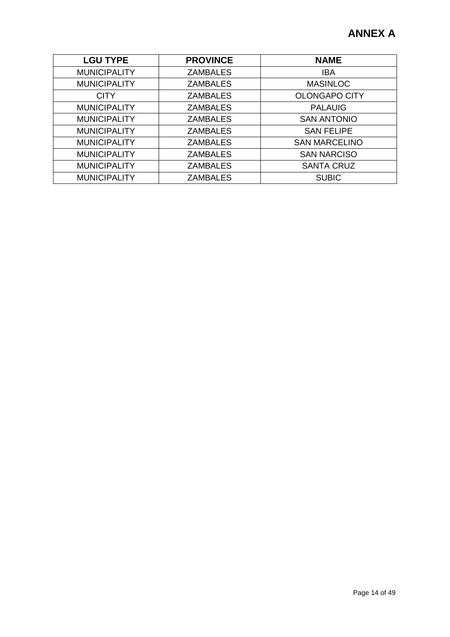| <b>LGU TYPE</b>     | <b>PROVINCE</b> | <b>NAME</b>          |
|---------------------|-----------------|----------------------|
| <b>MUNICIPALITY</b> | <b>ZAMBALES</b> | <b>IBA</b>           |
| <b>MUNICIPALITY</b> | <b>ZAMBALES</b> | <b>MASINLOC</b>      |
| <b>CITY</b>         | <b>ZAMBALES</b> | <b>OLONGAPO CITY</b> |
| <b>MUNICIPALITY</b> | <b>ZAMBALES</b> | <b>PALAUIG</b>       |
| <b>MUNICIPALITY</b> | <b>ZAMBALES</b> | <b>SAN ANTONIO</b>   |
| <b>MUNICIPALITY</b> | <b>ZAMBALES</b> | <b>SAN FELIPE</b>    |
| <b>MUNICIPALITY</b> | <b>ZAMBALES</b> | <b>SAN MARCELINO</b> |
| <b>MUNICIPALITY</b> | <b>ZAMBALES</b> | <b>SAN NARCISO</b>   |
| <b>MUNICIPALITY</b> | <b>ZAMBALES</b> | <b>SANTA CRUZ</b>    |
| <b>MUNICIPALITY</b> | <b>ZAMBALES</b> | <b>SUBIC</b>         |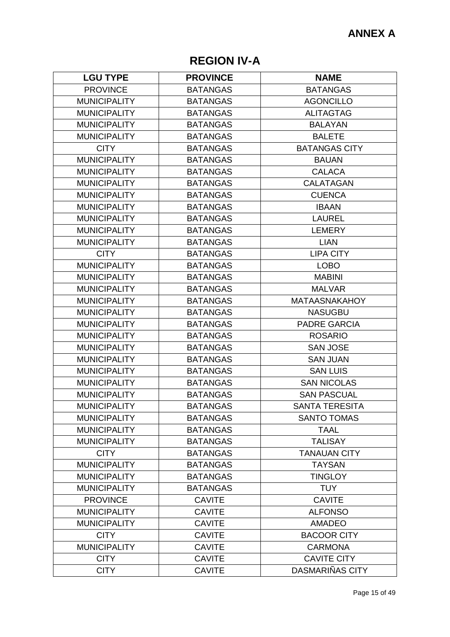# **REGION IV-A**

| <b>LGU TYPE</b>     | <b>PROVINCE</b> | <b>NAME</b>           |
|---------------------|-----------------|-----------------------|
| <b>PROVINCE</b>     | <b>BATANGAS</b> | <b>BATANGAS</b>       |
| <b>MUNICIPALITY</b> | <b>BATANGAS</b> | <b>AGONCILLO</b>      |
| <b>MUNICIPALITY</b> | <b>BATANGAS</b> | <b>ALITAGTAG</b>      |
| <b>MUNICIPALITY</b> | <b>BATANGAS</b> | <b>BALAYAN</b>        |
| <b>MUNICIPALITY</b> | <b>BATANGAS</b> | <b>BALETE</b>         |
| <b>CITY</b>         | <b>BATANGAS</b> | <b>BATANGAS CITY</b>  |
| <b>MUNICIPALITY</b> | <b>BATANGAS</b> | <b>BAUAN</b>          |
| <b>MUNICIPALITY</b> | <b>BATANGAS</b> | <b>CALACA</b>         |
| <b>MUNICIPALITY</b> | <b>BATANGAS</b> | <b>CALATAGAN</b>      |
| <b>MUNICIPALITY</b> | <b>BATANGAS</b> | <b>CUENCA</b>         |
| <b>MUNICIPALITY</b> | <b>BATANGAS</b> | <b>IBAAN</b>          |
| <b>MUNICIPALITY</b> | <b>BATANGAS</b> | <b>LAUREL</b>         |
| <b>MUNICIPALITY</b> | <b>BATANGAS</b> | <b>LEMERY</b>         |
| <b>MUNICIPALITY</b> | <b>BATANGAS</b> | <b>LIAN</b>           |
| <b>CITY</b>         | <b>BATANGAS</b> | <b>LIPA CITY</b>      |
| <b>MUNICIPALITY</b> | <b>BATANGAS</b> | <b>LOBO</b>           |
| <b>MUNICIPALITY</b> | <b>BATANGAS</b> | <b>MABINI</b>         |
| <b>MUNICIPALITY</b> | <b>BATANGAS</b> | <b>MALVAR</b>         |
| <b>MUNICIPALITY</b> | <b>BATANGAS</b> | <b>MATAASNAKAHOY</b>  |
| <b>MUNICIPALITY</b> | <b>BATANGAS</b> | <b>NASUGBU</b>        |
| <b>MUNICIPALITY</b> | <b>BATANGAS</b> | <b>PADRE GARCIA</b>   |
| <b>MUNICIPALITY</b> | <b>BATANGAS</b> | <b>ROSARIO</b>        |
| <b>MUNICIPALITY</b> | <b>BATANGAS</b> | <b>SAN JOSE</b>       |
| <b>MUNICIPALITY</b> | <b>BATANGAS</b> | <b>SAN JUAN</b>       |
| <b>MUNICIPALITY</b> | <b>BATANGAS</b> | <b>SAN LUIS</b>       |
| <b>MUNICIPALITY</b> | <b>BATANGAS</b> | <b>SAN NICOLAS</b>    |
| <b>MUNICIPALITY</b> | <b>BATANGAS</b> | <b>SAN PASCUAL</b>    |
| <b>MUNICIPALITY</b> | <b>BATANGAS</b> | <b>SANTA TERESITA</b> |
| <b>MUNICIPALITY</b> | <b>BATANGAS</b> | <b>SANTO TOMAS</b>    |
| <b>MUNICIPALITY</b> | <b>BATANGAS</b> | <b>TAAL</b>           |
| <b>MUNICIPALITY</b> | <b>BATANGAS</b> | <b>TALISAY</b>        |
| <b>CITY</b>         | <b>BATANGAS</b> | <b>TANAUAN CITY</b>   |
| <b>MUNICIPALITY</b> | <b>BATANGAS</b> | <b>TAYSAN</b>         |
| <b>MUNICIPALITY</b> | <b>BATANGAS</b> | <b>TINGLOY</b>        |
| <b>MUNICIPALITY</b> | <b>BATANGAS</b> | <b>TUY</b>            |
| <b>PROVINCE</b>     | <b>CAVITE</b>   | <b>CAVITE</b>         |
| <b>MUNICIPALITY</b> | <b>CAVITE</b>   | <b>ALFONSO</b>        |
| <b>MUNICIPALITY</b> | <b>CAVITE</b>   | <b>AMADEO</b>         |
| <b>CITY</b>         | <b>CAVITE</b>   | <b>BACOOR CITY</b>    |
| <b>MUNICIPALITY</b> | <b>CAVITE</b>   | <b>CARMONA</b>        |
| <b>CITY</b>         | <b>CAVITE</b>   | <b>CAVITE CITY</b>    |
| <b>CITY</b>         | <b>CAVITE</b>   | DASMARIÑAS CITY       |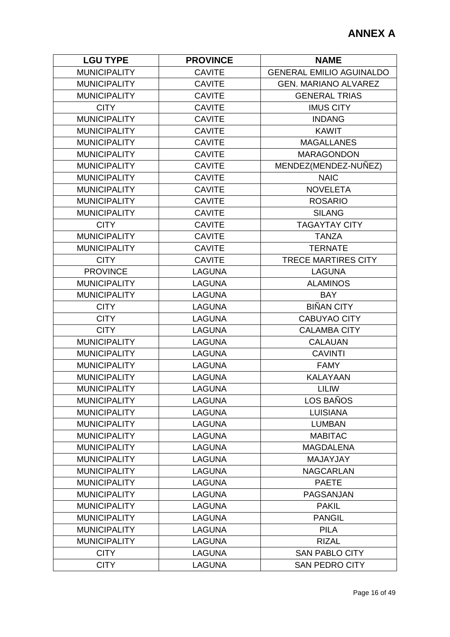| <b>GENERAL EMILIO AGUINALDO</b><br><b>MUNICIPALITY</b><br><b>CAVITE</b><br><b>MUNICIPALITY</b><br><b>CAVITE</b><br><b>GEN. MARIANO ALVAREZ</b><br><b>MUNICIPALITY</b><br><b>GENERAL TRIAS</b><br><b>CAVITE</b><br><b>CITY</b><br><b>CAVITE</b><br><b>IMUS CITY</b><br><b>MUNICIPALITY</b><br><b>CAVITE</b><br><b>INDANG</b><br><b>MUNICIPALITY</b><br><b>CAVITE</b><br><b>KAWIT</b><br><b>MUNICIPALITY</b><br><b>CAVITE</b><br><b>MAGALLANES</b><br><b>MUNICIPALITY</b><br><b>CAVITE</b><br><b>MARAGONDON</b><br><b>MUNICIPALITY</b><br><b>CAVITE</b><br>MENDEZ(MENDEZ-NUÑEZ)<br><b>MUNICIPALITY</b><br><b>CAVITE</b><br><b>NAIC</b><br><b>MUNICIPALITY</b><br><b>NOVELETA</b><br><b>CAVITE</b><br><b>MUNICIPALITY</b><br><b>CAVITE</b><br><b>ROSARIO</b><br><b>MUNICIPALITY</b><br><b>CAVITE</b><br><b>SILANG</b><br><b>CITY</b><br><b>CAVITE</b><br><b>TAGAYTAY CITY</b><br><b>MUNICIPALITY</b><br><b>CAVITE</b><br><b>TANZA</b><br><b>MUNICIPALITY</b><br><b>CAVITE</b><br><b>TERNATE</b><br><b>CITY</b><br><b>TRECE MARTIRES CITY</b><br><b>CAVITE</b><br><b>PROVINCE</b><br><b>LAGUNA</b><br><b>LAGUNA</b><br><b>MUNICIPALITY</b><br><b>LAGUNA</b><br><b>ALAMINOS</b><br><b>MUNICIPALITY</b><br><b>LAGUNA</b><br><b>BAY</b><br><b>BIÑAN CITY</b><br><b>CITY</b><br><b>LAGUNA</b><br><b>CITY</b><br><b>LAGUNA</b><br><b>CABUYAO CITY</b><br><b>CITY</b><br><b>LAGUNA</b><br><b>CALAMBA CITY</b><br><b>MUNICIPALITY</b><br><b>LAGUNA</b><br><b>CALAUAN</b><br><b>MUNICIPALITY</b><br><b>LAGUNA</b><br><b>CAVINTI</b><br><b>MUNICIPALITY</b><br><b>LAGUNA</b><br><b>FAMY</b><br><b>MUNICIPALITY</b><br><b>LAGUNA</b><br><b>KALAYAAN</b><br><b>MUNICIPALITY</b><br><b>LAGUNA</b><br><b>LILIW</b><br>LOS BAÑOS<br><b>MUNICIPALITY</b><br><b>LAGUNA</b><br><b>LUISIANA</b><br><b>MUNICIPALITY</b><br><b>LAGUNA</b><br><b>MUNICIPALITY</b><br><b>LAGUNA</b><br><b>LUMBAN</b><br><b>MUNICIPALITY</b><br><b>LAGUNA</b><br><b>MABITAC</b><br><b>MUNICIPALITY</b><br><b>LAGUNA</b><br><b>MAGDALENA</b><br><b>MUNICIPALITY</b><br><b>LAGUNA</b><br>MAJAYJAY<br><b>MUNICIPALITY</b><br><b>LAGUNA</b><br><b>NAGCARLAN</b><br><b>MUNICIPALITY</b><br><b>LAGUNA</b><br><b>PAETE</b><br><b>MUNICIPALITY</b><br><b>LAGUNA</b><br>PAGSANJAN<br><b>MUNICIPALITY</b><br><b>LAGUNA</b><br><b>PAKIL</b><br><b>MUNICIPALITY</b><br><b>LAGUNA</b><br><b>PANGIL</b><br><b>PILA</b><br><b>MUNICIPALITY</b><br><b>LAGUNA</b><br><b>MUNICIPALITY</b><br><b>LAGUNA</b><br><b>RIZAL</b><br><b>CITY</b><br><b>LAGUNA</b><br><b>SAN PABLO CITY</b><br><b>CITY</b><br><b>LAGUNA</b><br><b>SAN PEDRO CITY</b> | <b>LGU TYPE</b> | <b>PROVINCE</b> | <b>NAME</b> |
|---------------------------------------------------------------------------------------------------------------------------------------------------------------------------------------------------------------------------------------------------------------------------------------------------------------------------------------------------------------------------------------------------------------------------------------------------------------------------------------------------------------------------------------------------------------------------------------------------------------------------------------------------------------------------------------------------------------------------------------------------------------------------------------------------------------------------------------------------------------------------------------------------------------------------------------------------------------------------------------------------------------------------------------------------------------------------------------------------------------------------------------------------------------------------------------------------------------------------------------------------------------------------------------------------------------------------------------------------------------------------------------------------------------------------------------------------------------------------------------------------------------------------------------------------------------------------------------------------------------------------------------------------------------------------------------------------------------------------------------------------------------------------------------------------------------------------------------------------------------------------------------------------------------------------------------------------------------------------------------------------------------------------------------------------------------------------------------------------------------------------------------------------------------------------------------------------------------------------------------------------------------------------------------------------------------------------------------------------------------------------------------------------------------------------------------------------------------------------------------------------------------------------------------------------------------------------------|-----------------|-----------------|-------------|
|                                                                                                                                                                                                                                                                                                                                                                                                                                                                                                                                                                                                                                                                                                                                                                                                                                                                                                                                                                                                                                                                                                                                                                                                                                                                                                                                                                                                                                                                                                                                                                                                                                                                                                                                                                                                                                                                                                                                                                                                                                                                                                                                                                                                                                                                                                                                                                                                                                                                                                                                                                                 |                 |                 |             |
|                                                                                                                                                                                                                                                                                                                                                                                                                                                                                                                                                                                                                                                                                                                                                                                                                                                                                                                                                                                                                                                                                                                                                                                                                                                                                                                                                                                                                                                                                                                                                                                                                                                                                                                                                                                                                                                                                                                                                                                                                                                                                                                                                                                                                                                                                                                                                                                                                                                                                                                                                                                 |                 |                 |             |
|                                                                                                                                                                                                                                                                                                                                                                                                                                                                                                                                                                                                                                                                                                                                                                                                                                                                                                                                                                                                                                                                                                                                                                                                                                                                                                                                                                                                                                                                                                                                                                                                                                                                                                                                                                                                                                                                                                                                                                                                                                                                                                                                                                                                                                                                                                                                                                                                                                                                                                                                                                                 |                 |                 |             |
|                                                                                                                                                                                                                                                                                                                                                                                                                                                                                                                                                                                                                                                                                                                                                                                                                                                                                                                                                                                                                                                                                                                                                                                                                                                                                                                                                                                                                                                                                                                                                                                                                                                                                                                                                                                                                                                                                                                                                                                                                                                                                                                                                                                                                                                                                                                                                                                                                                                                                                                                                                                 |                 |                 |             |
|                                                                                                                                                                                                                                                                                                                                                                                                                                                                                                                                                                                                                                                                                                                                                                                                                                                                                                                                                                                                                                                                                                                                                                                                                                                                                                                                                                                                                                                                                                                                                                                                                                                                                                                                                                                                                                                                                                                                                                                                                                                                                                                                                                                                                                                                                                                                                                                                                                                                                                                                                                                 |                 |                 |             |
|                                                                                                                                                                                                                                                                                                                                                                                                                                                                                                                                                                                                                                                                                                                                                                                                                                                                                                                                                                                                                                                                                                                                                                                                                                                                                                                                                                                                                                                                                                                                                                                                                                                                                                                                                                                                                                                                                                                                                                                                                                                                                                                                                                                                                                                                                                                                                                                                                                                                                                                                                                                 |                 |                 |             |
|                                                                                                                                                                                                                                                                                                                                                                                                                                                                                                                                                                                                                                                                                                                                                                                                                                                                                                                                                                                                                                                                                                                                                                                                                                                                                                                                                                                                                                                                                                                                                                                                                                                                                                                                                                                                                                                                                                                                                                                                                                                                                                                                                                                                                                                                                                                                                                                                                                                                                                                                                                                 |                 |                 |             |
|                                                                                                                                                                                                                                                                                                                                                                                                                                                                                                                                                                                                                                                                                                                                                                                                                                                                                                                                                                                                                                                                                                                                                                                                                                                                                                                                                                                                                                                                                                                                                                                                                                                                                                                                                                                                                                                                                                                                                                                                                                                                                                                                                                                                                                                                                                                                                                                                                                                                                                                                                                                 |                 |                 |             |
|                                                                                                                                                                                                                                                                                                                                                                                                                                                                                                                                                                                                                                                                                                                                                                                                                                                                                                                                                                                                                                                                                                                                                                                                                                                                                                                                                                                                                                                                                                                                                                                                                                                                                                                                                                                                                                                                                                                                                                                                                                                                                                                                                                                                                                                                                                                                                                                                                                                                                                                                                                                 |                 |                 |             |
|                                                                                                                                                                                                                                                                                                                                                                                                                                                                                                                                                                                                                                                                                                                                                                                                                                                                                                                                                                                                                                                                                                                                                                                                                                                                                                                                                                                                                                                                                                                                                                                                                                                                                                                                                                                                                                                                                                                                                                                                                                                                                                                                                                                                                                                                                                                                                                                                                                                                                                                                                                                 |                 |                 |             |
|                                                                                                                                                                                                                                                                                                                                                                                                                                                                                                                                                                                                                                                                                                                                                                                                                                                                                                                                                                                                                                                                                                                                                                                                                                                                                                                                                                                                                                                                                                                                                                                                                                                                                                                                                                                                                                                                                                                                                                                                                                                                                                                                                                                                                                                                                                                                                                                                                                                                                                                                                                                 |                 |                 |             |
|                                                                                                                                                                                                                                                                                                                                                                                                                                                                                                                                                                                                                                                                                                                                                                                                                                                                                                                                                                                                                                                                                                                                                                                                                                                                                                                                                                                                                                                                                                                                                                                                                                                                                                                                                                                                                                                                                                                                                                                                                                                                                                                                                                                                                                                                                                                                                                                                                                                                                                                                                                                 |                 |                 |             |
|                                                                                                                                                                                                                                                                                                                                                                                                                                                                                                                                                                                                                                                                                                                                                                                                                                                                                                                                                                                                                                                                                                                                                                                                                                                                                                                                                                                                                                                                                                                                                                                                                                                                                                                                                                                                                                                                                                                                                                                                                                                                                                                                                                                                                                                                                                                                                                                                                                                                                                                                                                                 |                 |                 |             |
|                                                                                                                                                                                                                                                                                                                                                                                                                                                                                                                                                                                                                                                                                                                                                                                                                                                                                                                                                                                                                                                                                                                                                                                                                                                                                                                                                                                                                                                                                                                                                                                                                                                                                                                                                                                                                                                                                                                                                                                                                                                                                                                                                                                                                                                                                                                                                                                                                                                                                                                                                                                 |                 |                 |             |
|                                                                                                                                                                                                                                                                                                                                                                                                                                                                                                                                                                                                                                                                                                                                                                                                                                                                                                                                                                                                                                                                                                                                                                                                                                                                                                                                                                                                                                                                                                                                                                                                                                                                                                                                                                                                                                                                                                                                                                                                                                                                                                                                                                                                                                                                                                                                                                                                                                                                                                                                                                                 |                 |                 |             |
|                                                                                                                                                                                                                                                                                                                                                                                                                                                                                                                                                                                                                                                                                                                                                                                                                                                                                                                                                                                                                                                                                                                                                                                                                                                                                                                                                                                                                                                                                                                                                                                                                                                                                                                                                                                                                                                                                                                                                                                                                                                                                                                                                                                                                                                                                                                                                                                                                                                                                                                                                                                 |                 |                 |             |
|                                                                                                                                                                                                                                                                                                                                                                                                                                                                                                                                                                                                                                                                                                                                                                                                                                                                                                                                                                                                                                                                                                                                                                                                                                                                                                                                                                                                                                                                                                                                                                                                                                                                                                                                                                                                                                                                                                                                                                                                                                                                                                                                                                                                                                                                                                                                                                                                                                                                                                                                                                                 |                 |                 |             |
|                                                                                                                                                                                                                                                                                                                                                                                                                                                                                                                                                                                                                                                                                                                                                                                                                                                                                                                                                                                                                                                                                                                                                                                                                                                                                                                                                                                                                                                                                                                                                                                                                                                                                                                                                                                                                                                                                                                                                                                                                                                                                                                                                                                                                                                                                                                                                                                                                                                                                                                                                                                 |                 |                 |             |
|                                                                                                                                                                                                                                                                                                                                                                                                                                                                                                                                                                                                                                                                                                                                                                                                                                                                                                                                                                                                                                                                                                                                                                                                                                                                                                                                                                                                                                                                                                                                                                                                                                                                                                                                                                                                                                                                                                                                                                                                                                                                                                                                                                                                                                                                                                                                                                                                                                                                                                                                                                                 |                 |                 |             |
|                                                                                                                                                                                                                                                                                                                                                                                                                                                                                                                                                                                                                                                                                                                                                                                                                                                                                                                                                                                                                                                                                                                                                                                                                                                                                                                                                                                                                                                                                                                                                                                                                                                                                                                                                                                                                                                                                                                                                                                                                                                                                                                                                                                                                                                                                                                                                                                                                                                                                                                                                                                 |                 |                 |             |
|                                                                                                                                                                                                                                                                                                                                                                                                                                                                                                                                                                                                                                                                                                                                                                                                                                                                                                                                                                                                                                                                                                                                                                                                                                                                                                                                                                                                                                                                                                                                                                                                                                                                                                                                                                                                                                                                                                                                                                                                                                                                                                                                                                                                                                                                                                                                                                                                                                                                                                                                                                                 |                 |                 |             |
|                                                                                                                                                                                                                                                                                                                                                                                                                                                                                                                                                                                                                                                                                                                                                                                                                                                                                                                                                                                                                                                                                                                                                                                                                                                                                                                                                                                                                                                                                                                                                                                                                                                                                                                                                                                                                                                                                                                                                                                                                                                                                                                                                                                                                                                                                                                                                                                                                                                                                                                                                                                 |                 |                 |             |
|                                                                                                                                                                                                                                                                                                                                                                                                                                                                                                                                                                                                                                                                                                                                                                                                                                                                                                                                                                                                                                                                                                                                                                                                                                                                                                                                                                                                                                                                                                                                                                                                                                                                                                                                                                                                                                                                                                                                                                                                                                                                                                                                                                                                                                                                                                                                                                                                                                                                                                                                                                                 |                 |                 |             |
|                                                                                                                                                                                                                                                                                                                                                                                                                                                                                                                                                                                                                                                                                                                                                                                                                                                                                                                                                                                                                                                                                                                                                                                                                                                                                                                                                                                                                                                                                                                                                                                                                                                                                                                                                                                                                                                                                                                                                                                                                                                                                                                                                                                                                                                                                                                                                                                                                                                                                                                                                                                 |                 |                 |             |
|                                                                                                                                                                                                                                                                                                                                                                                                                                                                                                                                                                                                                                                                                                                                                                                                                                                                                                                                                                                                                                                                                                                                                                                                                                                                                                                                                                                                                                                                                                                                                                                                                                                                                                                                                                                                                                                                                                                                                                                                                                                                                                                                                                                                                                                                                                                                                                                                                                                                                                                                                                                 |                 |                 |             |
|                                                                                                                                                                                                                                                                                                                                                                                                                                                                                                                                                                                                                                                                                                                                                                                                                                                                                                                                                                                                                                                                                                                                                                                                                                                                                                                                                                                                                                                                                                                                                                                                                                                                                                                                                                                                                                                                                                                                                                                                                                                                                                                                                                                                                                                                                                                                                                                                                                                                                                                                                                                 |                 |                 |             |
|                                                                                                                                                                                                                                                                                                                                                                                                                                                                                                                                                                                                                                                                                                                                                                                                                                                                                                                                                                                                                                                                                                                                                                                                                                                                                                                                                                                                                                                                                                                                                                                                                                                                                                                                                                                                                                                                                                                                                                                                                                                                                                                                                                                                                                                                                                                                                                                                                                                                                                                                                                                 |                 |                 |             |
|                                                                                                                                                                                                                                                                                                                                                                                                                                                                                                                                                                                                                                                                                                                                                                                                                                                                                                                                                                                                                                                                                                                                                                                                                                                                                                                                                                                                                                                                                                                                                                                                                                                                                                                                                                                                                                                                                                                                                                                                                                                                                                                                                                                                                                                                                                                                                                                                                                                                                                                                                                                 |                 |                 |             |
|                                                                                                                                                                                                                                                                                                                                                                                                                                                                                                                                                                                                                                                                                                                                                                                                                                                                                                                                                                                                                                                                                                                                                                                                                                                                                                                                                                                                                                                                                                                                                                                                                                                                                                                                                                                                                                                                                                                                                                                                                                                                                                                                                                                                                                                                                                                                                                                                                                                                                                                                                                                 |                 |                 |             |
|                                                                                                                                                                                                                                                                                                                                                                                                                                                                                                                                                                                                                                                                                                                                                                                                                                                                                                                                                                                                                                                                                                                                                                                                                                                                                                                                                                                                                                                                                                                                                                                                                                                                                                                                                                                                                                                                                                                                                                                                                                                                                                                                                                                                                                                                                                                                                                                                                                                                                                                                                                                 |                 |                 |             |
|                                                                                                                                                                                                                                                                                                                                                                                                                                                                                                                                                                                                                                                                                                                                                                                                                                                                                                                                                                                                                                                                                                                                                                                                                                                                                                                                                                                                                                                                                                                                                                                                                                                                                                                                                                                                                                                                                                                                                                                                                                                                                                                                                                                                                                                                                                                                                                                                                                                                                                                                                                                 |                 |                 |             |
|                                                                                                                                                                                                                                                                                                                                                                                                                                                                                                                                                                                                                                                                                                                                                                                                                                                                                                                                                                                                                                                                                                                                                                                                                                                                                                                                                                                                                                                                                                                                                                                                                                                                                                                                                                                                                                                                                                                                                                                                                                                                                                                                                                                                                                                                                                                                                                                                                                                                                                                                                                                 |                 |                 |             |
|                                                                                                                                                                                                                                                                                                                                                                                                                                                                                                                                                                                                                                                                                                                                                                                                                                                                                                                                                                                                                                                                                                                                                                                                                                                                                                                                                                                                                                                                                                                                                                                                                                                                                                                                                                                                                                                                                                                                                                                                                                                                                                                                                                                                                                                                                                                                                                                                                                                                                                                                                                                 |                 |                 |             |
|                                                                                                                                                                                                                                                                                                                                                                                                                                                                                                                                                                                                                                                                                                                                                                                                                                                                                                                                                                                                                                                                                                                                                                                                                                                                                                                                                                                                                                                                                                                                                                                                                                                                                                                                                                                                                                                                                                                                                                                                                                                                                                                                                                                                                                                                                                                                                                                                                                                                                                                                                                                 |                 |                 |             |
|                                                                                                                                                                                                                                                                                                                                                                                                                                                                                                                                                                                                                                                                                                                                                                                                                                                                                                                                                                                                                                                                                                                                                                                                                                                                                                                                                                                                                                                                                                                                                                                                                                                                                                                                                                                                                                                                                                                                                                                                                                                                                                                                                                                                                                                                                                                                                                                                                                                                                                                                                                                 |                 |                 |             |
|                                                                                                                                                                                                                                                                                                                                                                                                                                                                                                                                                                                                                                                                                                                                                                                                                                                                                                                                                                                                                                                                                                                                                                                                                                                                                                                                                                                                                                                                                                                                                                                                                                                                                                                                                                                                                                                                                                                                                                                                                                                                                                                                                                                                                                                                                                                                                                                                                                                                                                                                                                                 |                 |                 |             |
|                                                                                                                                                                                                                                                                                                                                                                                                                                                                                                                                                                                                                                                                                                                                                                                                                                                                                                                                                                                                                                                                                                                                                                                                                                                                                                                                                                                                                                                                                                                                                                                                                                                                                                                                                                                                                                                                                                                                                                                                                                                                                                                                                                                                                                                                                                                                                                                                                                                                                                                                                                                 |                 |                 |             |
|                                                                                                                                                                                                                                                                                                                                                                                                                                                                                                                                                                                                                                                                                                                                                                                                                                                                                                                                                                                                                                                                                                                                                                                                                                                                                                                                                                                                                                                                                                                                                                                                                                                                                                                                                                                                                                                                                                                                                                                                                                                                                                                                                                                                                                                                                                                                                                                                                                                                                                                                                                                 |                 |                 |             |
|                                                                                                                                                                                                                                                                                                                                                                                                                                                                                                                                                                                                                                                                                                                                                                                                                                                                                                                                                                                                                                                                                                                                                                                                                                                                                                                                                                                                                                                                                                                                                                                                                                                                                                                                                                                                                                                                                                                                                                                                                                                                                                                                                                                                                                                                                                                                                                                                                                                                                                                                                                                 |                 |                 |             |
|                                                                                                                                                                                                                                                                                                                                                                                                                                                                                                                                                                                                                                                                                                                                                                                                                                                                                                                                                                                                                                                                                                                                                                                                                                                                                                                                                                                                                                                                                                                                                                                                                                                                                                                                                                                                                                                                                                                                                                                                                                                                                                                                                                                                                                                                                                                                                                                                                                                                                                                                                                                 |                 |                 |             |
|                                                                                                                                                                                                                                                                                                                                                                                                                                                                                                                                                                                                                                                                                                                                                                                                                                                                                                                                                                                                                                                                                                                                                                                                                                                                                                                                                                                                                                                                                                                                                                                                                                                                                                                                                                                                                                                                                                                                                                                                                                                                                                                                                                                                                                                                                                                                                                                                                                                                                                                                                                                 |                 |                 |             |
|                                                                                                                                                                                                                                                                                                                                                                                                                                                                                                                                                                                                                                                                                                                                                                                                                                                                                                                                                                                                                                                                                                                                                                                                                                                                                                                                                                                                                                                                                                                                                                                                                                                                                                                                                                                                                                                                                                                                                                                                                                                                                                                                                                                                                                                                                                                                                                                                                                                                                                                                                                                 |                 |                 |             |
|                                                                                                                                                                                                                                                                                                                                                                                                                                                                                                                                                                                                                                                                                                                                                                                                                                                                                                                                                                                                                                                                                                                                                                                                                                                                                                                                                                                                                                                                                                                                                                                                                                                                                                                                                                                                                                                                                                                                                                                                                                                                                                                                                                                                                                                                                                                                                                                                                                                                                                                                                                                 |                 |                 |             |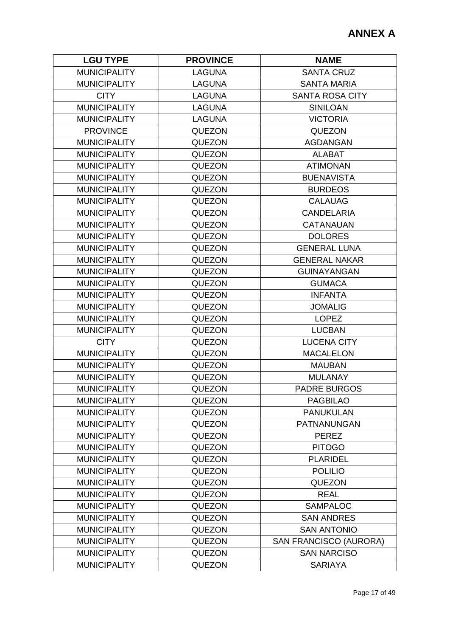| <b>LGU TYPE</b>     | <b>PROVINCE</b> | <b>NAME</b>                   |
|---------------------|-----------------|-------------------------------|
| <b>MUNICIPALITY</b> | <b>LAGUNA</b>   | <b>SANTA CRUZ</b>             |
| <b>MUNICIPALITY</b> | <b>LAGUNA</b>   | <b>SANTA MARIA</b>            |
| <b>CITY</b>         | <b>LAGUNA</b>   | <b>SANTA ROSA CITY</b>        |
| <b>MUNICIPALITY</b> | <b>LAGUNA</b>   | <b>SINILOAN</b>               |
| <b>MUNICIPALITY</b> | <b>LAGUNA</b>   | <b>VICTORIA</b>               |
| <b>PROVINCE</b>     | <b>QUEZON</b>   | <b>QUEZON</b>                 |
| <b>MUNICIPALITY</b> | <b>QUEZON</b>   | <b>AGDANGAN</b>               |
| <b>MUNICIPALITY</b> | <b>QUEZON</b>   | <b>ALABAT</b>                 |
| <b>MUNICIPALITY</b> | <b>QUEZON</b>   | <b>ATIMONAN</b>               |
| <b>MUNICIPALITY</b> | <b>QUEZON</b>   | <b>BUENAVISTA</b>             |
| <b>MUNICIPALITY</b> | <b>QUEZON</b>   | <b>BURDEOS</b>                |
| <b>MUNICIPALITY</b> | <b>QUEZON</b>   | <b>CALAUAG</b>                |
| <b>MUNICIPALITY</b> | <b>QUEZON</b>   | <b>CANDELARIA</b>             |
| <b>MUNICIPALITY</b> | <b>QUEZON</b>   | <b>CATANAUAN</b>              |
| <b>MUNICIPALITY</b> | <b>QUEZON</b>   | <b>DOLORES</b>                |
| <b>MUNICIPALITY</b> | <b>QUEZON</b>   | <b>GENERAL LUNA</b>           |
| <b>MUNICIPALITY</b> | <b>QUEZON</b>   | <b>GENERAL NAKAR</b>          |
| <b>MUNICIPALITY</b> | <b>QUEZON</b>   | <b>GUINAYANGAN</b>            |
| <b>MUNICIPALITY</b> | <b>QUEZON</b>   | <b>GUMACA</b>                 |
| <b>MUNICIPALITY</b> | <b>QUEZON</b>   | <b>INFANTA</b>                |
| <b>MUNICIPALITY</b> | <b>QUEZON</b>   | <b>JOMALIG</b>                |
| <b>MUNICIPALITY</b> | <b>QUEZON</b>   | <b>LOPEZ</b>                  |
| <b>MUNICIPALITY</b> | <b>QUEZON</b>   | <b>LUCBAN</b>                 |
| <b>CITY</b>         | <b>QUEZON</b>   | <b>LUCENA CITY</b>            |
| <b>MUNICIPALITY</b> | <b>QUEZON</b>   | <b>MACALELON</b>              |
| <b>MUNICIPALITY</b> | <b>QUEZON</b>   | <b>MAUBAN</b>                 |
| <b>MUNICIPALITY</b> | <b>QUEZON</b>   | <b>MULANAY</b>                |
| <b>MUNICIPALITY</b> | <b>QUEZON</b>   | <b>PADRE BURGOS</b>           |
| <b>MUNICIPALITY</b> | <b>QUEZON</b>   | <b>PAGBILAO</b>               |
| <b>MUNICIPALITY</b> | <b>QUEZON</b>   | <b>PANUKULAN</b>              |
| <b>MUNICIPALITY</b> | <b>QUEZON</b>   | PATNANUNGAN                   |
| <b>MUNICIPALITY</b> | <b>QUEZON</b>   | <b>PEREZ</b>                  |
| <b>MUNICIPALITY</b> | <b>QUEZON</b>   | <b>PITOGO</b>                 |
| <b>MUNICIPALITY</b> | <b>QUEZON</b>   | <b>PLARIDEL</b>               |
| <b>MUNICIPALITY</b> | <b>QUEZON</b>   | <b>POLILIO</b>                |
| <b>MUNICIPALITY</b> | <b>QUEZON</b>   | <b>QUEZON</b>                 |
| <b>MUNICIPALITY</b> | QUEZON          | <b>REAL</b>                   |
| <b>MUNICIPALITY</b> | <b>QUEZON</b>   | <b>SAMPALOC</b>               |
| <b>MUNICIPALITY</b> | <b>QUEZON</b>   | <b>SAN ANDRES</b>             |
| <b>MUNICIPALITY</b> | <b>QUEZON</b>   | <b>SAN ANTONIO</b>            |
| <b>MUNICIPALITY</b> | <b>QUEZON</b>   | <b>SAN FRANCISCO (AURORA)</b> |
| <b>MUNICIPALITY</b> | <b>QUEZON</b>   | <b>SAN NARCISO</b>            |
| <b>MUNICIPALITY</b> | <b>QUEZON</b>   | <b>SARIAYA</b>                |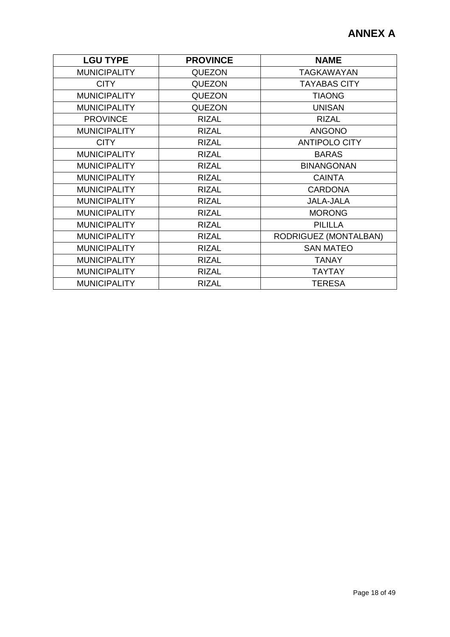| <b>LGU TYPE</b>     | <b>PROVINCE</b> | <b>NAME</b>           |
|---------------------|-----------------|-----------------------|
| <b>MUNICIPALITY</b> | <b>QUEZON</b>   | TAGKAWAYAN            |
| <b>CITY</b>         | <b>QUEZON</b>   | <b>TAYABAS CITY</b>   |
| <b>MUNICIPALITY</b> | <b>QUEZON</b>   | <b>TIAONG</b>         |
| <b>MUNICIPALITY</b> | <b>QUEZON</b>   | <b>UNISAN</b>         |
| <b>PROVINCE</b>     | <b>RIZAL</b>    | <b>RIZAL</b>          |
| <b>MUNICIPALITY</b> | <b>RIZAL</b>    | <b>ANGONO</b>         |
| <b>CITY</b>         | <b>RIZAL</b>    | <b>ANTIPOLO CITY</b>  |
| <b>MUNICIPALITY</b> | <b>RIZAL</b>    | <b>BARAS</b>          |
| <b>MUNICIPALITY</b> | <b>RIZAL</b>    | <b>BINANGONAN</b>     |
| <b>MUNICIPALITY</b> | <b>RIZAL</b>    | <b>CAINTA</b>         |
| <b>MUNICIPALITY</b> | <b>RIZAL</b>    | <b>CARDONA</b>        |
| <b>MUNICIPALITY</b> | <b>RIZAL</b>    | <b>JALA-JALA</b>      |
| <b>MUNICIPALITY</b> | <b>RIZAL</b>    | <b>MORONG</b>         |
| <b>MUNICIPALITY</b> | <b>RIZAL</b>    | <b>PILILLA</b>        |
| <b>MUNICIPALITY</b> | <b>RIZAL</b>    | RODRIGUEZ (MONTALBAN) |
| <b>MUNICIPALITY</b> | <b>RIZAL</b>    | <b>SAN MATEO</b>      |
| <b>MUNICIPALITY</b> | <b>RIZAL</b>    | <b>TANAY</b>          |
| <b>MUNICIPALITY</b> | <b>RIZAL</b>    | <b>TAYTAY</b>         |
| <b>MUNICIPALITY</b> | <b>RIZAL</b>    | <b>TERESA</b>         |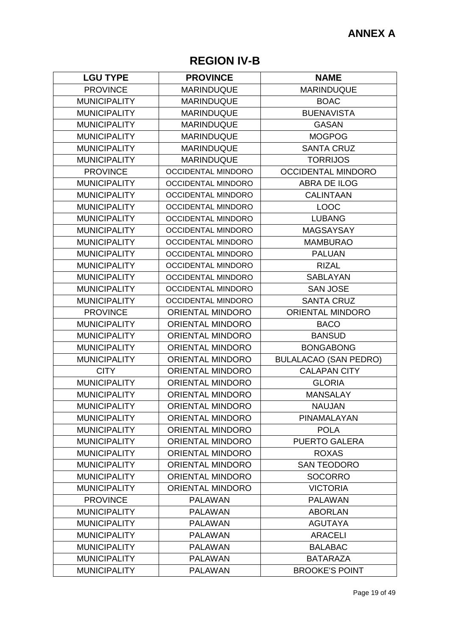## **REGION IV-B**

| <b>LGU TYPE</b>     | <b>PROVINCE</b>           | <b>NAME</b>                  |
|---------------------|---------------------------|------------------------------|
| <b>PROVINCE</b>     | <b>MARINDUQUE</b>         | <b>MARINDUQUE</b>            |
| <b>MUNICIPALITY</b> | <b>MARINDUQUE</b>         | <b>BOAC</b>                  |
| <b>MUNICIPALITY</b> | <b>MARINDUQUE</b>         | <b>BUENAVISTA</b>            |
| <b>MUNICIPALITY</b> | <b>MARINDUQUE</b>         | <b>GASAN</b>                 |
| <b>MUNICIPALITY</b> | <b>MARINDUQUE</b>         | <b>MOGPOG</b>                |
| <b>MUNICIPALITY</b> | <b>MARINDUQUE</b>         | <b>SANTA CRUZ</b>            |
| <b>MUNICIPALITY</b> | <b>MARINDUQUE</b>         | <b>TORRIJOS</b>              |
| <b>PROVINCE</b>     | <b>OCCIDENTAL MINDORO</b> | <b>OCCIDENTAL MINDORO</b>    |
| <b>MUNICIPALITY</b> | OCCIDENTAL MINDORO        | <b>ABRA DE ILOG</b>          |
| <b>MUNICIPALITY</b> | <b>OCCIDENTAL MINDORO</b> | <b>CALINTAAN</b>             |
| <b>MUNICIPALITY</b> | <b>OCCIDENTAL MINDORO</b> | <b>LOOC</b>                  |
| <b>MUNICIPALITY</b> | <b>OCCIDENTAL MINDORO</b> | <b>LUBANG</b>                |
| <b>MUNICIPALITY</b> | <b>OCCIDENTAL MINDORO</b> | <b>MAGSAYSAY</b>             |
| <b>MUNICIPALITY</b> | <b>OCCIDENTAL MINDORO</b> | <b>MAMBURAO</b>              |
| <b>MUNICIPALITY</b> | <b>OCCIDENTAL MINDORO</b> | <b>PALUAN</b>                |
| <b>MUNICIPALITY</b> | <b>OCCIDENTAL MINDORO</b> | <b>RIZAL</b>                 |
| <b>MUNICIPALITY</b> | <b>OCCIDENTAL MINDORO</b> | <b>SABLAYAN</b>              |
| <b>MUNICIPALITY</b> | <b>OCCIDENTAL MINDORO</b> | <b>SAN JOSE</b>              |
| <b>MUNICIPALITY</b> | <b>OCCIDENTAL MINDORO</b> | <b>SANTA CRUZ</b>            |
| <b>PROVINCE</b>     | <b>ORIENTAL MINDORO</b>   | <b>ORIENTAL MINDORO</b>      |
| <b>MUNICIPALITY</b> | <b>ORIENTAL MINDORO</b>   | <b>BACO</b>                  |
| <b>MUNICIPALITY</b> | <b>ORIENTAL MINDORO</b>   | <b>BANSUD</b>                |
| <b>MUNICIPALITY</b> | <b>ORIENTAL MINDORO</b>   | <b>BONGABONG</b>             |
| <b>MUNICIPALITY</b> | <b>ORIENTAL MINDORO</b>   | <b>BULALACAO (SAN PEDRO)</b> |
| <b>CITY</b>         | <b>ORIENTAL MINDORO</b>   | <b>CALAPAN CITY</b>          |
| <b>MUNICIPALITY</b> | <b>ORIENTAL MINDORO</b>   | <b>GLORIA</b>                |
| <b>MUNICIPALITY</b> | <b>ORIENTAL MINDORO</b>   | <b>MANSALAY</b>              |
| <b>MUNICIPALITY</b> | <b>ORIENTAL MINDORO</b>   | <b>NAUJAN</b>                |
| <b>MUNICIPALITY</b> | <b>ORIENTAL MINDORO</b>   | PINAMALAYAN                  |
| <b>MUNICIPALITY</b> | <b>ORIENTAL MINDORO</b>   | <b>POLA</b>                  |
| <b>MUNICIPALITY</b> | <b>ORIENTAL MINDORO</b>   | <b>PUERTO GALERA</b>         |
| <b>MUNICIPALITY</b> | <b>ORIENTAL MINDORO</b>   | <b>ROXAS</b>                 |
| <b>MUNICIPALITY</b> | <b>ORIENTAL MINDORO</b>   | <b>SAN TEODORO</b>           |
| <b>MUNICIPALITY</b> | <b>ORIENTAL MINDORO</b>   | <b>SOCORRO</b>               |
| <b>MUNICIPALITY</b> | <b>ORIENTAL MINDORO</b>   | <b>VICTORIA</b>              |
| <b>PROVINCE</b>     | <b>PALAWAN</b>            | <b>PALAWAN</b>               |
| <b>MUNICIPALITY</b> | <b>PALAWAN</b>            | <b>ABORLAN</b>               |
| <b>MUNICIPALITY</b> | <b>PALAWAN</b>            | <b>AGUTAYA</b>               |
| <b>MUNICIPALITY</b> | <b>PALAWAN</b>            | <b>ARACELI</b>               |
| <b>MUNICIPALITY</b> | <b>PALAWAN</b>            | <b>BALABAC</b>               |
| <b>MUNICIPALITY</b> | <b>PALAWAN</b>            | <b>BATARAZA</b>              |
| <b>MUNICIPALITY</b> | <b>PALAWAN</b>            | <b>BROOKE'S POINT</b>        |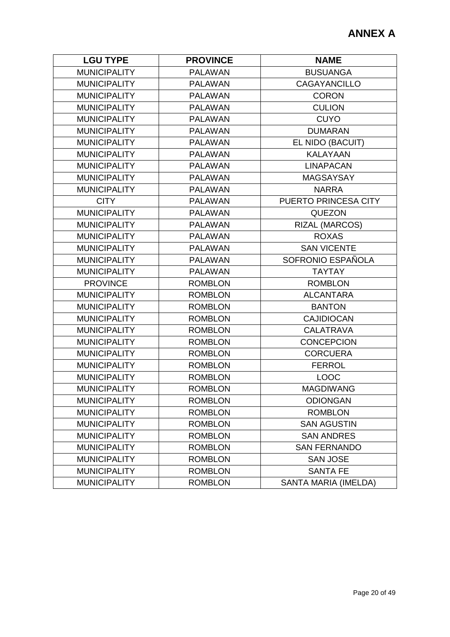| <b>LGU TYPE</b>     | <b>PROVINCE</b> | <b>NAME</b>          |
|---------------------|-----------------|----------------------|
| <b>MUNICIPALITY</b> | <b>PALAWAN</b>  | <b>BUSUANGA</b>      |
| <b>MUNICIPALITY</b> | <b>PALAWAN</b>  | <b>CAGAYANCILLO</b>  |
| <b>MUNICIPALITY</b> | <b>PALAWAN</b>  | <b>CORON</b>         |
| <b>MUNICIPALITY</b> | <b>PALAWAN</b>  | <b>CULION</b>        |
| <b>MUNICIPALITY</b> | <b>PALAWAN</b>  | <b>CUYO</b>          |
| <b>MUNICIPALITY</b> | <b>PALAWAN</b>  | <b>DUMARAN</b>       |
| <b>MUNICIPALITY</b> | <b>PALAWAN</b>  | EL NIDO (BACUIT)     |
| <b>MUNICIPALITY</b> | <b>PALAWAN</b>  | <b>KALAYAAN</b>      |
| <b>MUNICIPALITY</b> | <b>PALAWAN</b>  | <b>LINAPACAN</b>     |
| <b>MUNICIPALITY</b> | <b>PALAWAN</b>  | <b>MAGSAYSAY</b>     |
| <b>MUNICIPALITY</b> | <b>PALAWAN</b>  | <b>NARRA</b>         |
| <b>CITY</b>         | <b>PALAWAN</b>  | PUERTO PRINCESA CITY |
| <b>MUNICIPALITY</b> | <b>PALAWAN</b>  | <b>QUEZON</b>        |
| <b>MUNICIPALITY</b> | <b>PALAWAN</b>  | RIZAL (MARCOS)       |
| <b>MUNICIPALITY</b> | <b>PALAWAN</b>  | <b>ROXAS</b>         |
| <b>MUNICIPALITY</b> | <b>PALAWAN</b>  | <b>SAN VICENTE</b>   |
| <b>MUNICIPALITY</b> | <b>PALAWAN</b>  | SOFRONIO ESPAÑOLA    |
| <b>MUNICIPALITY</b> | <b>PALAWAN</b>  | <b>TAYTAY</b>        |
| <b>PROVINCE</b>     | <b>ROMBLON</b>  | <b>ROMBLON</b>       |
| <b>MUNICIPALITY</b> | <b>ROMBLON</b>  | <b>ALCANTARA</b>     |
| <b>MUNICIPALITY</b> | <b>ROMBLON</b>  | <b>BANTON</b>        |
| <b>MUNICIPALITY</b> | <b>ROMBLON</b>  | <b>CAJIDIOCAN</b>    |
| <b>MUNICIPALITY</b> | <b>ROMBLON</b>  | <b>CALATRAVA</b>     |
| <b>MUNICIPALITY</b> | <b>ROMBLON</b>  | <b>CONCEPCION</b>    |
| <b>MUNICIPALITY</b> | <b>ROMBLON</b>  | <b>CORCUERA</b>      |
| <b>MUNICIPALITY</b> | <b>ROMBLON</b>  | <b>FERROL</b>        |
| <b>MUNICIPALITY</b> | <b>ROMBLON</b>  | <b>LOOC</b>          |
| <b>MUNICIPALITY</b> | <b>ROMBLON</b>  | <b>MAGDIWANG</b>     |
| <b>MUNICIPALITY</b> | <b>ROMBLON</b>  | <b>ODIONGAN</b>      |
| <b>MUNICIPALITY</b> | <b>ROMBLON</b>  | <b>ROMBLON</b>       |
| <b>MUNICIPALITY</b> | <b>ROMBLON</b>  | <b>SAN AGUSTIN</b>   |
| <b>MUNICIPALITY</b> | <b>ROMBLON</b>  | <b>SAN ANDRES</b>    |
| <b>MUNICIPALITY</b> | <b>ROMBLON</b>  | <b>SAN FERNANDO</b>  |
| <b>MUNICIPALITY</b> | <b>ROMBLON</b>  | <b>SAN JOSE</b>      |
| <b>MUNICIPALITY</b> | <b>ROMBLON</b>  | <b>SANTA FE</b>      |
| <b>MUNICIPALITY</b> | <b>ROMBLON</b>  | SANTA MARIA (IMELDA) |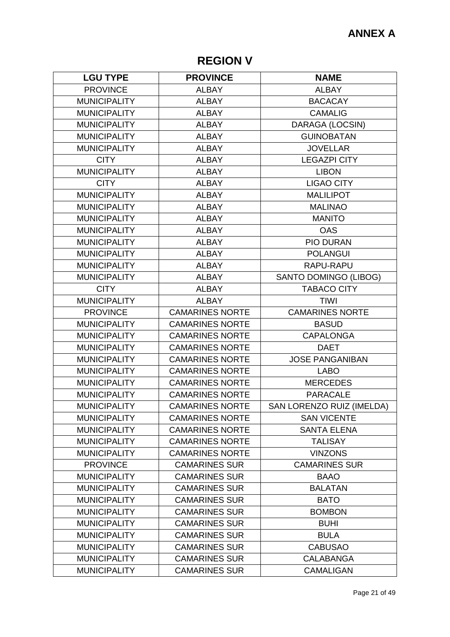# **REGION V**

| <b>LGU TYPE</b>     | <b>PROVINCE</b>        | <b>NAME</b>               |
|---------------------|------------------------|---------------------------|
| <b>PROVINCE</b>     | <b>ALBAY</b>           | <b>ALBAY</b>              |
| <b>MUNICIPALITY</b> | <b>ALBAY</b>           | <b>BACACAY</b>            |
| <b>MUNICIPALITY</b> | <b>ALBAY</b>           | <b>CAMALIG</b>            |
| <b>MUNICIPALITY</b> | <b>ALBAY</b>           | DARAGA (LOCSIN)           |
| <b>MUNICIPALITY</b> | <b>ALBAY</b>           | <b>GUINOBATAN</b>         |
| <b>MUNICIPALITY</b> | <b>ALBAY</b>           | <b>JOVELLAR</b>           |
| <b>CITY</b>         | <b>ALBAY</b>           | <b>LEGAZPI CITY</b>       |
| <b>MUNICIPALITY</b> | <b>ALBAY</b>           | <b>LIBON</b>              |
| <b>CITY</b>         | <b>ALBAY</b>           | <b>LIGAO CITY</b>         |
| <b>MUNICIPALITY</b> | <b>ALBAY</b>           | <b>MALILIPOT</b>          |
| <b>MUNICIPALITY</b> | <b>ALBAY</b>           | <b>MALINAO</b>            |
| <b>MUNICIPALITY</b> | <b>ALBAY</b>           | <b>MANITO</b>             |
| <b>MUNICIPALITY</b> | <b>ALBAY</b>           | <b>OAS</b>                |
| <b>MUNICIPALITY</b> | <b>ALBAY</b>           | <b>PIO DURAN</b>          |
| <b>MUNICIPALITY</b> | <b>ALBAY</b>           | <b>POLANGUI</b>           |
| <b>MUNICIPALITY</b> | <b>ALBAY</b>           | RAPU-RAPU                 |
| <b>MUNICIPALITY</b> | <b>ALBAY</b>           | SANTO DOMINGO (LIBOG)     |
| <b>CITY</b>         | <b>ALBAY</b>           | <b>TABACO CITY</b>        |
| <b>MUNICIPALITY</b> | <b>ALBAY</b>           | <b>TIWI</b>               |
| <b>PROVINCE</b>     | <b>CAMARINES NORTE</b> | <b>CAMARINES NORTE</b>    |
| <b>MUNICIPALITY</b> | <b>CAMARINES NORTE</b> | <b>BASUD</b>              |
| <b>MUNICIPALITY</b> | <b>CAMARINES NORTE</b> | <b>CAPALONGA</b>          |
| <b>MUNICIPALITY</b> | <b>CAMARINES NORTE</b> | <b>DAET</b>               |
| <b>MUNICIPALITY</b> | <b>CAMARINES NORTE</b> | <b>JOSE PANGANIBAN</b>    |
| <b>MUNICIPALITY</b> | <b>CAMARINES NORTE</b> | <b>LABO</b>               |
| <b>MUNICIPALITY</b> | <b>CAMARINES NORTE</b> | <b>MERCEDES</b>           |
| <b>MUNICIPALITY</b> | <b>CAMARINES NORTE</b> | <b>PARACALE</b>           |
| <b>MUNICIPALITY</b> | <b>CAMARINES NORTE</b> | SAN LORENZO RUIZ (IMELDA) |
| <b>MUNICIPALITY</b> | <b>CAMARINES NORTE</b> | <b>SAN VICENTE</b>        |
| <b>MUNICIPALITY</b> | <b>CAMARINES NORTE</b> | <b>SANTA ELENA</b>        |
| <b>MUNICIPALITY</b> | <b>CAMARINES NORTE</b> | <b>TALISAY</b>            |
| <b>MUNICIPALITY</b> | <b>CAMARINES NORTE</b> | <b>VINZONS</b>            |
| <b>PROVINCE</b>     | <b>CAMARINES SUR</b>   | <b>CAMARINES SUR</b>      |
| <b>MUNICIPALITY</b> | <b>CAMARINES SUR</b>   | <b>BAAO</b>               |
| <b>MUNICIPALITY</b> | <b>CAMARINES SUR</b>   | <b>BALATAN</b>            |
| <b>MUNICIPALITY</b> | <b>CAMARINES SUR</b>   | <b>BATO</b>               |
| <b>MUNICIPALITY</b> | <b>CAMARINES SUR</b>   | <b>BOMBON</b>             |
| <b>MUNICIPALITY</b> | <b>CAMARINES SUR</b>   | <b>BUHI</b>               |
| <b>MUNICIPALITY</b> | <b>CAMARINES SUR</b>   | <b>BULA</b>               |
| <b>MUNICIPALITY</b> | <b>CAMARINES SUR</b>   | <b>CABUSAO</b>            |
| <b>MUNICIPALITY</b> | <b>CAMARINES SUR</b>   | <b>CALABANGA</b>          |
| <b>MUNICIPALITY</b> | <b>CAMARINES SUR</b>   | <b>CAMALIGAN</b>          |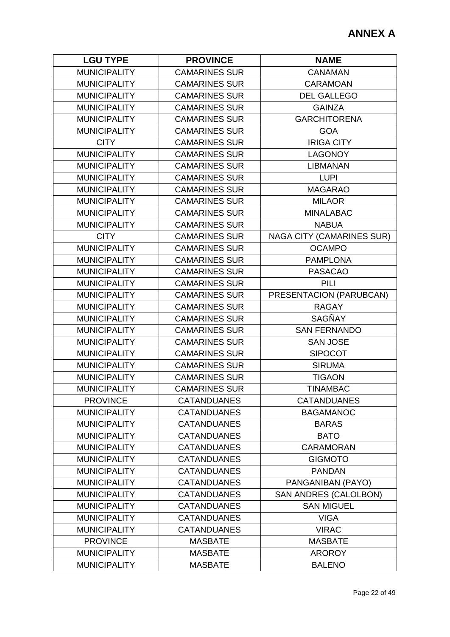| <b>LGU TYPE</b>     | <b>PROVINCE</b>      | <b>NAME</b>                      |
|---------------------|----------------------|----------------------------------|
| <b>MUNICIPALITY</b> | <b>CAMARINES SUR</b> | <b>CANAMAN</b>                   |
| <b>MUNICIPALITY</b> | <b>CAMARINES SUR</b> | <b>CARAMOAN</b>                  |
| <b>MUNICIPALITY</b> | <b>CAMARINES SUR</b> | <b>DEL GALLEGO</b>               |
| <b>MUNICIPALITY</b> | <b>CAMARINES SUR</b> | <b>GAINZA</b>                    |
| <b>MUNICIPALITY</b> | <b>CAMARINES SUR</b> | <b>GARCHITORENA</b>              |
| <b>MUNICIPALITY</b> | <b>CAMARINES SUR</b> | <b>GOA</b>                       |
| <b>CITY</b>         | <b>CAMARINES SUR</b> | <b>IRIGA CITY</b>                |
| <b>MUNICIPALITY</b> | <b>CAMARINES SUR</b> | <b>LAGONOY</b>                   |
| <b>MUNICIPALITY</b> | <b>CAMARINES SUR</b> | <b>LIBMANAN</b>                  |
| <b>MUNICIPALITY</b> | <b>CAMARINES SUR</b> | <b>LUPI</b>                      |
| <b>MUNICIPALITY</b> | <b>CAMARINES SUR</b> | <b>MAGARAO</b>                   |
| <b>MUNICIPALITY</b> | <b>CAMARINES SUR</b> | <b>MILAOR</b>                    |
| <b>MUNICIPALITY</b> | <b>CAMARINES SUR</b> | <b>MINALABAC</b>                 |
| <b>MUNICIPALITY</b> | <b>CAMARINES SUR</b> | <b>NABUA</b>                     |
| <b>CITY</b>         | <b>CAMARINES SUR</b> | <b>NAGA CITY (CAMARINES SUR)</b> |
| <b>MUNICIPALITY</b> | <b>CAMARINES SUR</b> | <b>OCAMPO</b>                    |
| <b>MUNICIPALITY</b> | <b>CAMARINES SUR</b> | <b>PAMPLONA</b>                  |
| <b>MUNICIPALITY</b> | <b>CAMARINES SUR</b> | <b>PASACAO</b>                   |
| <b>MUNICIPALITY</b> | <b>CAMARINES SUR</b> | <b>PILI</b>                      |
| <b>MUNICIPALITY</b> | <b>CAMARINES SUR</b> | PRESENTACION (PARUBCAN)          |
| <b>MUNICIPALITY</b> | <b>CAMARINES SUR</b> | <b>RAGAY</b>                     |
| <b>MUNICIPALITY</b> | <b>CAMARINES SUR</b> | SAGÑAY                           |
| <b>MUNICIPALITY</b> | <b>CAMARINES SUR</b> | <b>SAN FERNANDO</b>              |
| <b>MUNICIPALITY</b> | <b>CAMARINES SUR</b> | <b>SAN JOSE</b>                  |
| <b>MUNICIPALITY</b> | <b>CAMARINES SUR</b> | <b>SIPOCOT</b>                   |
| <b>MUNICIPALITY</b> | <b>CAMARINES SUR</b> | <b>SIRUMA</b>                    |
| <b>MUNICIPALITY</b> | <b>CAMARINES SUR</b> | <b>TIGAON</b>                    |
| <b>MUNICIPALITY</b> | <b>CAMARINES SUR</b> | <b>TINAMBAC</b>                  |
| <b>PROVINCE</b>     | <b>CATANDUANES</b>   | <b>CATANDUANES</b>               |
| <b>MUNICIPALITY</b> | <b>CATANDUANES</b>   | <b>BAGAMANOC</b>                 |
| <b>MUNICIPALITY</b> | <b>CATANDUANES</b>   | <b>BARAS</b>                     |
| <b>MUNICIPALITY</b> | <b>CATANDUANES</b>   | <b>BATO</b>                      |
| <b>MUNICIPALITY</b> | <b>CATANDUANES</b>   | <b>CARAMORAN</b>                 |
| <b>MUNICIPALITY</b> | <b>CATANDUANES</b>   | <b>GIGMOTO</b>                   |
| <b>MUNICIPALITY</b> | <b>CATANDUANES</b>   | <b>PANDAN</b>                    |
| <b>MUNICIPALITY</b> | <b>CATANDUANES</b>   | PANGANIBAN (PAYO)                |
| <b>MUNICIPALITY</b> | <b>CATANDUANES</b>   | <b>SAN ANDRES (CALOLBON)</b>     |
| <b>MUNICIPALITY</b> | <b>CATANDUANES</b>   | <b>SAN MIGUEL</b>                |
| <b>MUNICIPALITY</b> | <b>CATANDUANES</b>   | <b>VIGA</b>                      |
| <b>MUNICIPALITY</b> | <b>CATANDUANES</b>   | <b>VIRAC</b>                     |
| <b>PROVINCE</b>     | <b>MASBATE</b>       | <b>MASBATE</b>                   |
| <b>MUNICIPALITY</b> | <b>MASBATE</b>       | <b>AROROY</b>                    |
| <b>MUNICIPALITY</b> | <b>MASBATE</b>       | <b>BALENO</b>                    |
|                     |                      |                                  |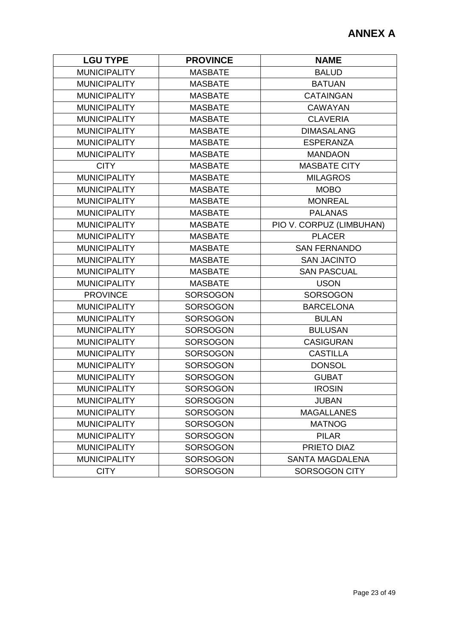| <b>LGU TYPE</b>     | <b>PROVINCE</b> | <b>NAME</b>              |
|---------------------|-----------------|--------------------------|
| <b>MUNICIPALITY</b> | <b>MASBATE</b>  | <b>BALUD</b>             |
| <b>MUNICIPALITY</b> | <b>MASBATE</b>  | <b>BATUAN</b>            |
| <b>MUNICIPALITY</b> | <b>MASBATE</b>  | <b>CATAINGAN</b>         |
| <b>MUNICIPALITY</b> | <b>MASBATE</b>  | <b>CAWAYAN</b>           |
| <b>MUNICIPALITY</b> | <b>MASBATE</b>  | <b>CLAVERIA</b>          |
| <b>MUNICIPALITY</b> | <b>MASBATE</b>  | <b>DIMASALANG</b>        |
| <b>MUNICIPALITY</b> | MASBATE         | <b>ESPERANZA</b>         |
| <b>MUNICIPALITY</b> | <b>MASBATE</b>  | <b>MANDAON</b>           |
| <b>CITY</b>         | <b>MASBATE</b>  | <b>MASBATE CITY</b>      |
| <b>MUNICIPALITY</b> | <b>MASBATE</b>  | <b>MILAGROS</b>          |
| <b>MUNICIPALITY</b> | <b>MASBATE</b>  | <b>MOBO</b>              |
| <b>MUNICIPALITY</b> | <b>MASBATE</b>  | <b>MONREAL</b>           |
| <b>MUNICIPALITY</b> | <b>MASBATE</b>  | <b>PALANAS</b>           |
| <b>MUNICIPALITY</b> | <b>MASBATE</b>  | PIO V. CORPUZ (LIMBUHAN) |
| <b>MUNICIPALITY</b> | <b>MASBATE</b>  | <b>PLACER</b>            |
| <b>MUNICIPALITY</b> | <b>MASBATE</b>  | <b>SAN FERNANDO</b>      |
| <b>MUNICIPALITY</b> | <b>MASBATE</b>  | <b>SAN JACINTO</b>       |
| <b>MUNICIPALITY</b> | <b>MASBATE</b>  | <b>SAN PASCUAL</b>       |
| <b>MUNICIPALITY</b> | <b>MASBATE</b>  | <b>USON</b>              |
| <b>PROVINCE</b>     | <b>SORSOGON</b> | <b>SORSOGON</b>          |
| <b>MUNICIPALITY</b> | <b>SORSOGON</b> | <b>BARCELONA</b>         |
| <b>MUNICIPALITY</b> | <b>SORSOGON</b> | <b>BULAN</b>             |
| <b>MUNICIPALITY</b> | <b>SORSOGON</b> | <b>BULUSAN</b>           |
| <b>MUNICIPALITY</b> | <b>SORSOGON</b> | <b>CASIGURAN</b>         |
| <b>MUNICIPALITY</b> | <b>SORSOGON</b> | <b>CASTILLA</b>          |
| <b>MUNICIPALITY</b> | <b>SORSOGON</b> | <b>DONSOL</b>            |
| <b>MUNICIPALITY</b> | <b>SORSOGON</b> | <b>GUBAT</b>             |
| <b>MUNICIPALITY</b> | <b>SORSOGON</b> | <b>IROSIN</b>            |
| <b>MUNICIPALITY</b> | <b>SORSOGON</b> | <b>JUBAN</b>             |
| <b>MUNICIPALITY</b> | <b>SORSOGON</b> | <b>MAGALLANES</b>        |
| <b>MUNICIPALITY</b> | <b>SORSOGON</b> | <b>MATNOG</b>            |
| <b>MUNICIPALITY</b> | <b>SORSOGON</b> | <b>PILAR</b>             |
| <b>MUNICIPALITY</b> | <b>SORSOGON</b> | PRIETO DIAZ              |
| <b>MUNICIPALITY</b> | <b>SORSOGON</b> | <b>SANTA MAGDALENA</b>   |
| <b>CITY</b>         | <b>SORSOGON</b> | <b>SORSOGON CITY</b>     |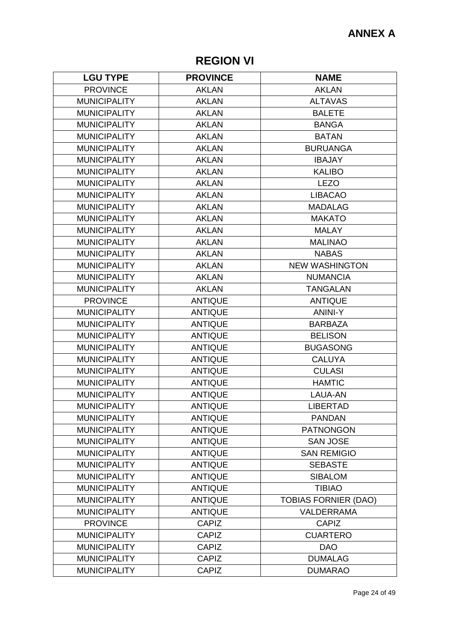# **REGION VI**

| <b>LGU TYPE</b>     | <b>PROVINCE</b> | <b>NAME</b>                 |
|---------------------|-----------------|-----------------------------|
| <b>PROVINCE</b>     | <b>AKLAN</b>    | <b>AKLAN</b>                |
| <b>MUNICIPALITY</b> | <b>AKLAN</b>    | <b>ALTAVAS</b>              |
| <b>MUNICIPALITY</b> | <b>AKLAN</b>    | <b>BALETE</b>               |
| <b>MUNICIPALITY</b> | <b>AKLAN</b>    | <b>BANGA</b>                |
| <b>MUNICIPALITY</b> | <b>AKLAN</b>    | <b>BATAN</b>                |
| <b>MUNICIPALITY</b> | <b>AKLAN</b>    | <b>BURUANGA</b>             |
| <b>MUNICIPALITY</b> | <b>AKLAN</b>    | <b>IBAJAY</b>               |
| <b>MUNICIPALITY</b> | <b>AKLAN</b>    | <b>KALIBO</b>               |
| <b>MUNICIPALITY</b> | <b>AKLAN</b>    | <b>LEZO</b>                 |
| <b>MUNICIPALITY</b> | <b>AKLAN</b>    | <b>LIBACAO</b>              |
| <b>MUNICIPALITY</b> | <b>AKLAN</b>    | <b>MADALAG</b>              |
| <b>MUNICIPALITY</b> | <b>AKLAN</b>    | <b>MAKATO</b>               |
| <b>MUNICIPALITY</b> | <b>AKLAN</b>    | <b>MALAY</b>                |
| <b>MUNICIPALITY</b> | <b>AKLAN</b>    | <b>MALINAO</b>              |
| <b>MUNICIPALITY</b> | <b>AKLAN</b>    | <b>NABAS</b>                |
| <b>MUNICIPALITY</b> | <b>AKLAN</b>    | <b>NEW WASHINGTON</b>       |
| <b>MUNICIPALITY</b> | <b>AKLAN</b>    | <b>NUMANCIA</b>             |
| <b>MUNICIPALITY</b> | <b>AKLAN</b>    | <b>TANGALAN</b>             |
| <b>PROVINCE</b>     | <b>ANTIQUE</b>  | <b>ANTIQUE</b>              |
| <b>MUNICIPALITY</b> | <b>ANTIQUE</b>  | <b>ANINI-Y</b>              |
| <b>MUNICIPALITY</b> | <b>ANTIQUE</b>  | <b>BARBAZA</b>              |
| <b>MUNICIPALITY</b> | <b>ANTIQUE</b>  | <b>BELISON</b>              |
| <b>MUNICIPALITY</b> | <b>ANTIQUE</b>  | <b>BUGASONG</b>             |
| <b>MUNICIPALITY</b> | <b>ANTIQUE</b>  | <b>CALUYA</b>               |
| <b>MUNICIPALITY</b> | <b>ANTIQUE</b>  | <b>CULASI</b>               |
| <b>MUNICIPALITY</b> | <b>ANTIQUE</b>  | <b>HAMTIC</b>               |
| <b>MUNICIPALITY</b> | <b>ANTIQUE</b>  | LAUA-AN                     |
| <b>MUNICIPALITY</b> | <b>ANTIQUE</b>  | <b>LIBERTAD</b>             |
| <b>MUNICIPALITY</b> | <b>ANTIQUE</b>  | <b>PANDAN</b>               |
| <b>MUNICIPALITY</b> | <b>ANTIQUE</b>  | <b>PATNONGON</b>            |
| <b>MUNICIPALITY</b> | <b>ANTIQUE</b>  | <b>SAN JOSE</b>             |
| <b>MUNICIPALITY</b> | <b>ANTIQUE</b>  | <b>SAN REMIGIO</b>          |
| <b>MUNICIPALITY</b> | <b>ANTIQUE</b>  | <b>SEBASTE</b>              |
| <b>MUNICIPALITY</b> | <b>ANTIQUE</b>  | <b>SIBALOM</b>              |
| <b>MUNICIPALITY</b> | <b>ANTIQUE</b>  | <b>TIBIAO</b>               |
| <b>MUNICIPALITY</b> | <b>ANTIQUE</b>  | <b>TOBIAS FORNIER (DAO)</b> |
| <b>MUNICIPALITY</b> | <b>ANTIQUE</b>  | <b>VALDERRAMA</b>           |
| <b>PROVINCE</b>     | <b>CAPIZ</b>    | <b>CAPIZ</b>                |
| <b>MUNICIPALITY</b> | <b>CAPIZ</b>    | <b>CUARTERO</b>             |
| <b>MUNICIPALITY</b> | <b>CAPIZ</b>    | <b>DAO</b>                  |
| <b>MUNICIPALITY</b> | <b>CAPIZ</b>    | <b>DUMALAG</b>              |
| <b>MUNICIPALITY</b> | <b>CAPIZ</b>    | <b>DUMARAO</b>              |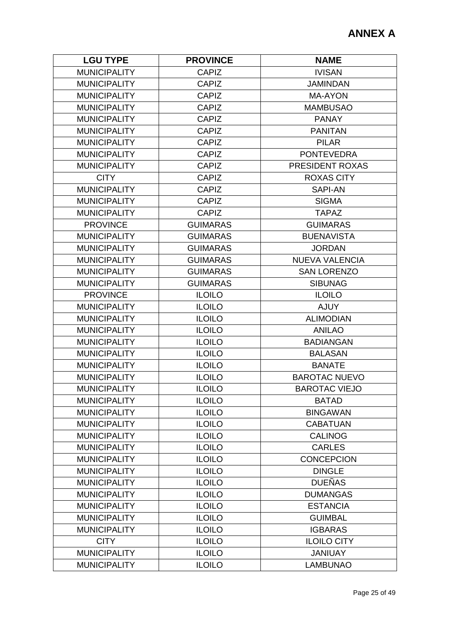| <b>LGU TYPE</b>     | <b>PROVINCE</b> | <b>NAME</b>           |
|---------------------|-----------------|-----------------------|
| <b>MUNICIPALITY</b> | <b>CAPIZ</b>    | <b>IVISAN</b>         |
| <b>MUNICIPALITY</b> | <b>CAPIZ</b>    | <b>JAMINDAN</b>       |
| <b>MUNICIPALITY</b> | <b>CAPIZ</b>    | <b>MA-AYON</b>        |
| <b>MUNICIPALITY</b> | <b>CAPIZ</b>    | <b>MAMBUSAO</b>       |
| <b>MUNICIPALITY</b> | <b>CAPIZ</b>    | <b>PANAY</b>          |
| <b>MUNICIPALITY</b> | <b>CAPIZ</b>    | <b>PANITAN</b>        |
| <b>MUNICIPALITY</b> | <b>CAPIZ</b>    | <b>PILAR</b>          |
| <b>MUNICIPALITY</b> | <b>CAPIZ</b>    | <b>PONTEVEDRA</b>     |
| <b>MUNICIPALITY</b> | <b>CAPIZ</b>    | PRESIDENT ROXAS       |
| <b>CITY</b>         | <b>CAPIZ</b>    | <b>ROXAS CITY</b>     |
| <b>MUNICIPALITY</b> | <b>CAPIZ</b>    | <b>SAPI-AN</b>        |
| <b>MUNICIPALITY</b> | <b>CAPIZ</b>    | <b>SIGMA</b>          |
| <b>MUNICIPALITY</b> | <b>CAPIZ</b>    | <b>TAPAZ</b>          |
| <b>PROVINCE</b>     | <b>GUIMARAS</b> | <b>GUIMARAS</b>       |
| <b>MUNICIPALITY</b> | <b>GUIMARAS</b> | <b>BUENAVISTA</b>     |
| <b>MUNICIPALITY</b> | <b>GUIMARAS</b> | <b>JORDAN</b>         |
| <b>MUNICIPALITY</b> | <b>GUIMARAS</b> | <b>NUEVA VALENCIA</b> |
| <b>MUNICIPALITY</b> | <b>GUIMARAS</b> | <b>SAN LORENZO</b>    |
| <b>MUNICIPALITY</b> | <b>GUIMARAS</b> | <b>SIBUNAG</b>        |
| <b>PROVINCE</b>     | <b>ILOILO</b>   | <b>ILOILO</b>         |
| <b>MUNICIPALITY</b> | <b>ILOILO</b>   | <b>AJUY</b>           |
| <b>MUNICIPALITY</b> | <b>ILOILO</b>   | <b>ALIMODIAN</b>      |
| <b>MUNICIPALITY</b> | <b>ILOILO</b>   | <b>ANILAO</b>         |
| <b>MUNICIPALITY</b> | <b>ILOILO</b>   | <b>BADIANGAN</b>      |
| <b>MUNICIPALITY</b> | <b>ILOILO</b>   | <b>BALASAN</b>        |
| <b>MUNICIPALITY</b> | <b>ILOILO</b>   | <b>BANATE</b>         |
| <b>MUNICIPALITY</b> | <b>ILOILO</b>   | <b>BAROTAC NUEVO</b>  |
| <b>MUNICIPALITY</b> | <b>ILOILO</b>   | <b>BAROTAC VIEJO</b>  |
| <b>MUNICIPALITY</b> | <b>ILOILO</b>   | <b>BATAD</b>          |
| <b>MUNICIPALITY</b> | <b>ILOILO</b>   | <b>BINGAWAN</b>       |
| <b>MUNICIPALITY</b> | <b>ILOILO</b>   | <b>CABATUAN</b>       |
| <b>MUNICIPALITY</b> | <b>ILOILO</b>   | <b>CALINOG</b>        |
| <b>MUNICIPALITY</b> | <b>ILOILO</b>   | <b>CARLES</b>         |
| <b>MUNICIPALITY</b> | <b>ILOILO</b>   | <b>CONCEPCION</b>     |
| <b>MUNICIPALITY</b> | <b>ILOILO</b>   | <b>DINGLE</b>         |
| <b>MUNICIPALITY</b> | <b>ILOILO</b>   | <b>DUEÑAS</b>         |
| <b>MUNICIPALITY</b> | <b>ILOILO</b>   | <b>DUMANGAS</b>       |
| <b>MUNICIPALITY</b> | <b>ILOILO</b>   | <b>ESTANCIA</b>       |
| <b>MUNICIPALITY</b> | <b>ILOILO</b>   | <b>GUIMBAL</b>        |
| <b>MUNICIPALITY</b> | <b>ILOILO</b>   | <b>IGBARAS</b>        |
| <b>CITY</b>         | <b>ILOILO</b>   | <b>ILOILO CITY</b>    |
| <b>MUNICIPALITY</b> | <b>ILOILO</b>   | <b>JANIUAY</b>        |
| <b>MUNICIPALITY</b> | <b>ILOILO</b>   | <b>LAMBUNAO</b>       |
|                     |                 |                       |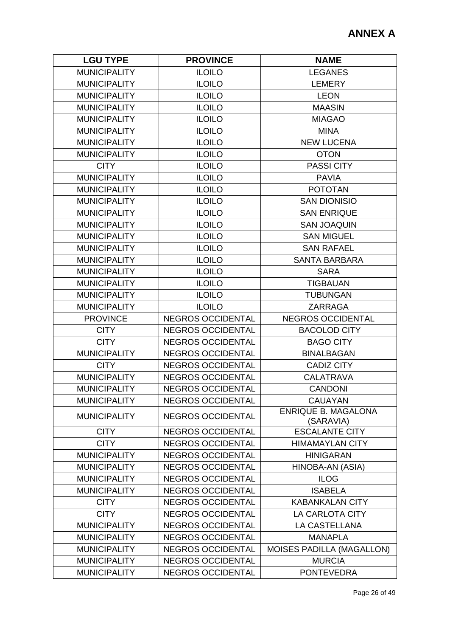| <b>LGU TYPE</b>     | <b>PROVINCE</b>          | <b>NAME</b>                             |
|---------------------|--------------------------|-----------------------------------------|
| <b>MUNICIPALITY</b> | <b>ILOILO</b>            | <b>LEGANES</b>                          |
| <b>MUNICIPALITY</b> | <b>ILOILO</b>            | <b>LEMERY</b>                           |
| <b>MUNICIPALITY</b> | <b>ILOILO</b>            | <b>LEON</b>                             |
| <b>MUNICIPALITY</b> | <b>ILOILO</b>            | <b>MAASIN</b>                           |
| <b>MUNICIPALITY</b> | <b>ILOILO</b>            | <b>MIAGAO</b>                           |
| <b>MUNICIPALITY</b> | <b>ILOILO</b>            | <b>MINA</b>                             |
| <b>MUNICIPALITY</b> | <b>ILOILO</b>            | <b>NEW LUCENA</b>                       |
| <b>MUNICIPALITY</b> | <b>ILOILO</b>            | <b>OTON</b>                             |
| <b>CITY</b>         | <b>ILOILO</b>            | <b>PASSI CITY</b>                       |
| <b>MUNICIPALITY</b> | <b>ILOILO</b>            | <b>PAVIA</b>                            |
| <b>MUNICIPALITY</b> | <b>ILOILO</b>            | <b>POTOTAN</b>                          |
| <b>MUNICIPALITY</b> | <b>ILOILO</b>            | <b>SAN DIONISIO</b>                     |
| <b>MUNICIPALITY</b> | <b>ILOILO</b>            | <b>SAN ENRIQUE</b>                      |
| <b>MUNICIPALITY</b> | <b>ILOILO</b>            | <b>SAN JOAQUIN</b>                      |
| <b>MUNICIPALITY</b> | <b>ILOILO</b>            | <b>SAN MIGUEL</b>                       |
| <b>MUNICIPALITY</b> | <b>ILOILO</b>            | <b>SAN RAFAEL</b>                       |
| <b>MUNICIPALITY</b> | <b>ILOILO</b>            | <b>SANTA BARBARA</b>                    |
| <b>MUNICIPALITY</b> | <b>ILOILO</b>            | <b>SARA</b>                             |
| <b>MUNICIPALITY</b> | <b>ILOILO</b>            | <b>TIGBAUAN</b>                         |
| <b>MUNICIPALITY</b> | <b>ILOILO</b>            | <b>TUBUNGAN</b>                         |
| <b>MUNICIPALITY</b> | <b>ILOILO</b>            | <b>ZARRAGA</b>                          |
| <b>PROVINCE</b>     | <b>NEGROS OCCIDENTAL</b> | <b>NEGROS OCCIDENTAL</b>                |
| <b>CITY</b>         | <b>NEGROS OCCIDENTAL</b> | <b>BACOLOD CITY</b>                     |
| <b>CITY</b>         | <b>NEGROS OCCIDENTAL</b> | <b>BAGO CITY</b>                        |
| <b>MUNICIPALITY</b> | <b>NEGROS OCCIDENTAL</b> | <b>BINALBAGAN</b>                       |
| <b>CITY</b>         | <b>NEGROS OCCIDENTAL</b> | <b>CADIZ CITY</b>                       |
| <b>MUNICIPALITY</b> | <b>NEGROS OCCIDENTAL</b> | <b>CALATRAVA</b>                        |
| <b>MUNICIPALITY</b> | <b>NEGROS OCCIDENTAL</b> | <b>CANDONI</b>                          |
| <b>MUNICIPALITY</b> | <b>NEGROS OCCIDENTAL</b> | <b>CAUAYAN</b>                          |
| <b>MUNICIPALITY</b> | <b>NEGROS OCCIDENTAL</b> | <b>ENRIQUE B. MAGALONA</b><br>(SARAVIA) |
| <b>CITY</b>         | <b>NEGROS OCCIDENTAL</b> | <b>ESCALANTE CITY</b>                   |
| <b>CITY</b>         | <b>NEGROS OCCIDENTAL</b> | <b>HIMAMAYLAN CITY</b>                  |
| <b>MUNICIPALITY</b> | <b>NEGROS OCCIDENTAL</b> | <b>HINIGARAN</b>                        |
| <b>MUNICIPALITY</b> | <b>NEGROS OCCIDENTAL</b> | HINOBA-AN (ASIA)                        |
| <b>MUNICIPALITY</b> | <b>NEGROS OCCIDENTAL</b> | <b>ILOG</b>                             |
| <b>MUNICIPALITY</b> | <b>NEGROS OCCIDENTAL</b> | <b>ISABELA</b>                          |
| <b>CITY</b>         | <b>NEGROS OCCIDENTAL</b> | <b>KABANKALAN CITY</b>                  |
| <b>CITY</b>         | <b>NEGROS OCCIDENTAL</b> | LA CARLOTA CITY                         |
| <b>MUNICIPALITY</b> | <b>NEGROS OCCIDENTAL</b> | LA CASTELLANA                           |
| <b>MUNICIPALITY</b> | <b>NEGROS OCCIDENTAL</b> | <b>MANAPLA</b>                          |
| <b>MUNICIPALITY</b> | <b>NEGROS OCCIDENTAL</b> | <b>MOISES PADILLA (MAGALLON)</b>        |
| <b>MUNICIPALITY</b> | <b>NEGROS OCCIDENTAL</b> | <b>MURCIA</b>                           |
| <b>MUNICIPALITY</b> | <b>NEGROS OCCIDENTAL</b> | <b>PONTEVEDRA</b>                       |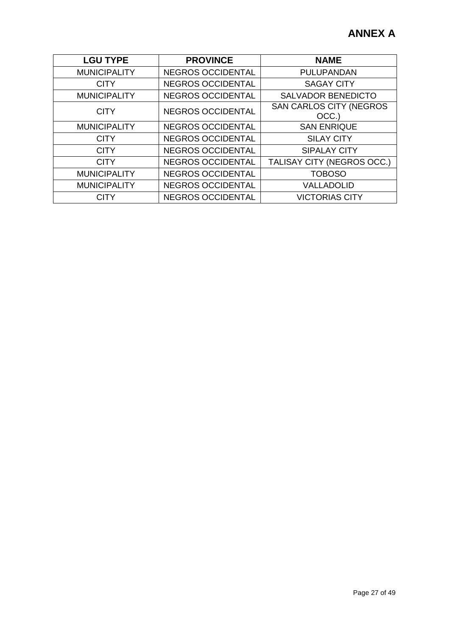| <b>LGU TYPE</b>     | <b>PROVINCE</b>          | <b>NAME</b>                             |
|---------------------|--------------------------|-----------------------------------------|
| <b>MUNICIPALITY</b> | <b>NEGROS OCCIDENTAL</b> | PULUPANDAN                              |
| <b>CITY</b>         | <b>NEGROS OCCIDENTAL</b> | <b>SAGAY CITY</b>                       |
| <b>MUNICIPALITY</b> | <b>NEGROS OCCIDENTAL</b> | <b>SALVADOR BENEDICTO</b>               |
| <b>CITY</b>         | <b>NEGROS OCCIDENTAL</b> | <b>SAN CARLOS CITY (NEGROS</b><br>OCC.) |
| <b>MUNICIPALITY</b> | <b>NEGROS OCCIDENTAL</b> | <b>SAN ENRIQUE</b>                      |
| <b>CITY</b>         | <b>NEGROS OCCIDENTAL</b> | <b>SILAY CITY</b>                       |
| <b>CITY</b>         | <b>NEGROS OCCIDENTAL</b> | <b>SIPALAY CITY</b>                     |
| <b>CITY</b>         | <b>NEGROS OCCIDENTAL</b> | TALISAY CITY (NEGROS OCC.)              |
| <b>MUNICIPALITY</b> | <b>NEGROS OCCIDENTAL</b> | <b>TOBOSO</b>                           |
| <b>MUNICIPALITY</b> | <b>NEGROS OCCIDENTAL</b> | VALLADOLID                              |
| <b>CITY</b>         | <b>NEGROS OCCIDENTAL</b> | <b>VICTORIAS CITY</b>                   |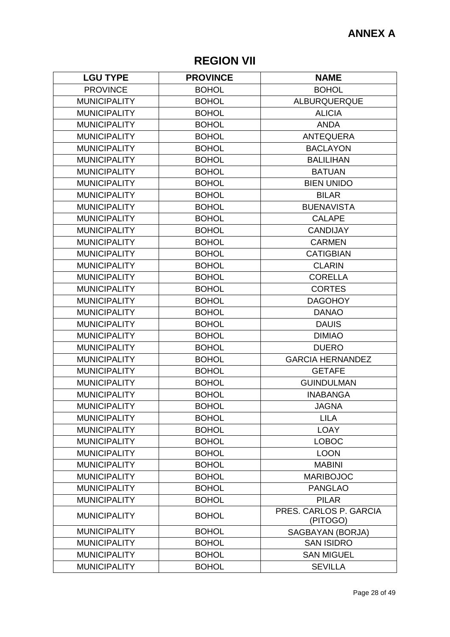# **REGION VII**

| <b>LGU TYPE</b>     | <b>PROVINCE</b> | <b>NAME</b>                        |
|---------------------|-----------------|------------------------------------|
| <b>PROVINCE</b>     | <b>BOHOL</b>    | <b>BOHOL</b>                       |
| <b>MUNICIPALITY</b> | <b>BOHOL</b>    | <b>ALBURQUERQUE</b>                |
| <b>MUNICIPALITY</b> | <b>BOHOL</b>    | <b>ALICIA</b>                      |
| <b>MUNICIPALITY</b> | <b>BOHOL</b>    | <b>ANDA</b>                        |
| <b>MUNICIPALITY</b> | <b>BOHOL</b>    | <b>ANTEQUERA</b>                   |
| <b>MUNICIPALITY</b> | <b>BOHOL</b>    | <b>BACLAYON</b>                    |
| <b>MUNICIPALITY</b> | <b>BOHOL</b>    | <b>BALILIHAN</b>                   |
| <b>MUNICIPALITY</b> | <b>BOHOL</b>    | <b>BATUAN</b>                      |
| <b>MUNICIPALITY</b> | <b>BOHOL</b>    | <b>BIEN UNIDO</b>                  |
| <b>MUNICIPALITY</b> | <b>BOHOL</b>    | <b>BILAR</b>                       |
| <b>MUNICIPALITY</b> | <b>BOHOL</b>    | <b>BUENAVISTA</b>                  |
| <b>MUNICIPALITY</b> | <b>BOHOL</b>    | <b>CALAPE</b>                      |
| <b>MUNICIPALITY</b> | <b>BOHOL</b>    | <b>CANDIJAY</b>                    |
| <b>MUNICIPALITY</b> | <b>BOHOL</b>    | <b>CARMEN</b>                      |
| <b>MUNICIPALITY</b> | <b>BOHOL</b>    | <b>CATIGBIAN</b>                   |
| <b>MUNICIPALITY</b> | <b>BOHOL</b>    | <b>CLARIN</b>                      |
| <b>MUNICIPALITY</b> | <b>BOHOL</b>    | <b>CORELLA</b>                     |
| <b>MUNICIPALITY</b> | <b>BOHOL</b>    | <b>CORTES</b>                      |
| <b>MUNICIPALITY</b> | <b>BOHOL</b>    | <b>DAGOHOY</b>                     |
| <b>MUNICIPALITY</b> | <b>BOHOL</b>    | <b>DANAO</b>                       |
| <b>MUNICIPALITY</b> | <b>BOHOL</b>    | <b>DAUIS</b>                       |
| <b>MUNICIPALITY</b> | <b>BOHOL</b>    | <b>DIMIAO</b>                      |
| <b>MUNICIPALITY</b> | <b>BOHOL</b>    | <b>DUERO</b>                       |
| <b>MUNICIPALITY</b> | <b>BOHOL</b>    | <b>GARCIA HERNANDEZ</b>            |
| <b>MUNICIPALITY</b> | <b>BOHOL</b>    | <b>GETAFE</b>                      |
| <b>MUNICIPALITY</b> | <b>BOHOL</b>    | <b>GUINDULMAN</b>                  |
| <b>MUNICIPALITY</b> | <b>BOHOL</b>    | <b>INABANGA</b>                    |
| <b>MUNICIPALITY</b> | <b>BOHOL</b>    | <b>JAGNA</b>                       |
| <b>MUNICIPALITY</b> | <b>BOHOL</b>    | <b>LILA</b>                        |
| <b>MUNICIPALITY</b> | <b>BOHOL</b>    | <b>LOAY</b>                        |
| <b>MUNICIPALITY</b> | <b>BOHOL</b>    | <b>LOBOC</b>                       |
| <b>MUNICIPALITY</b> | <b>BOHOL</b>    | <b>LOON</b>                        |
| <b>MUNICIPALITY</b> | <b>BOHOL</b>    | <b>MABINI</b>                      |
| <b>MUNICIPALITY</b> | <b>BOHOL</b>    | <b>MARIBOJOC</b>                   |
| <b>MUNICIPALITY</b> | <b>BOHOL</b>    | <b>PANGLAO</b>                     |
| <b>MUNICIPALITY</b> | <b>BOHOL</b>    | <b>PILAR</b>                       |
| <b>MUNICIPALITY</b> | <b>BOHOL</b>    | PRES. CARLOS P. GARCIA<br>(PITOGO) |
| <b>MUNICIPALITY</b> | <b>BOHOL</b>    | SAGBAYAN (BORJA)                   |
| <b>MUNICIPALITY</b> | <b>BOHOL</b>    | <b>SAN ISIDRO</b>                  |
| <b>MUNICIPALITY</b> | <b>BOHOL</b>    | <b>SAN MIGUEL</b>                  |
| <b>MUNICIPALITY</b> | <b>BOHOL</b>    | <b>SEVILLA</b>                     |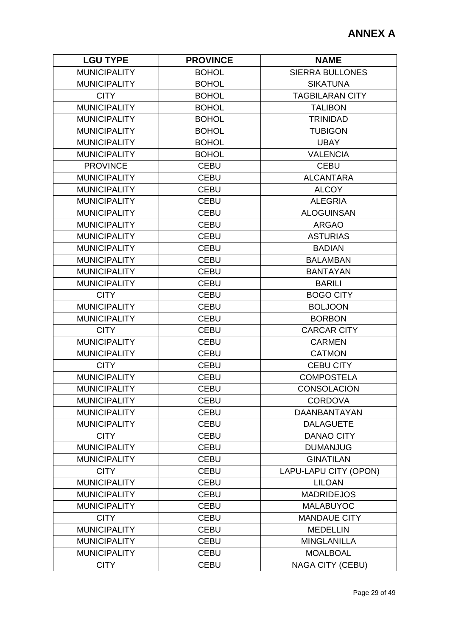| <b>LGU TYPE</b>     | <b>PROVINCE</b> | <b>NAME</b>             |
|---------------------|-----------------|-------------------------|
| <b>MUNICIPALITY</b> | <b>BOHOL</b>    | <b>SIERRA BULLONES</b>  |
| <b>MUNICIPALITY</b> | <b>BOHOL</b>    | <b>SIKATUNA</b>         |
| <b>CITY</b>         | <b>BOHOL</b>    | <b>TAGBILARAN CITY</b>  |
| <b>MUNICIPALITY</b> | <b>BOHOL</b>    | <b>TALIBON</b>          |
| <b>MUNICIPALITY</b> | <b>BOHOL</b>    | <b>TRINIDAD</b>         |
| <b>MUNICIPALITY</b> | <b>BOHOL</b>    | <b>TUBIGON</b>          |
| <b>MUNICIPALITY</b> | <b>BOHOL</b>    | <b>UBAY</b>             |
| <b>MUNICIPALITY</b> | <b>BOHOL</b>    | <b>VALENCIA</b>         |
| <b>PROVINCE</b>     | <b>CEBU</b>     | <b>CEBU</b>             |
| <b>MUNICIPALITY</b> | <b>CEBU</b>     | <b>ALCANTARA</b>        |
| <b>MUNICIPALITY</b> | <b>CEBU</b>     | <b>ALCOY</b>            |
| <b>MUNICIPALITY</b> | <b>CEBU</b>     | <b>ALEGRIA</b>          |
| <b>MUNICIPALITY</b> | <b>CEBU</b>     | <b>ALOGUINSAN</b>       |
| <b>MUNICIPALITY</b> | <b>CEBU</b>     | <b>ARGAO</b>            |
| <b>MUNICIPALITY</b> | <b>CEBU</b>     | <b>ASTURIAS</b>         |
| <b>MUNICIPALITY</b> | <b>CEBU</b>     | <b>BADIAN</b>           |
| <b>MUNICIPALITY</b> | <b>CEBU</b>     | <b>BALAMBAN</b>         |
| <b>MUNICIPALITY</b> | <b>CEBU</b>     | <b>BANTAYAN</b>         |
| <b>MUNICIPALITY</b> | <b>CEBU</b>     | <b>BARILI</b>           |
| <b>CITY</b>         | <b>CEBU</b>     | <b>BOGO CITY</b>        |
| <b>MUNICIPALITY</b> | <b>CEBU</b>     | <b>BOLJOON</b>          |
| <b>MUNICIPALITY</b> | <b>CEBU</b>     | <b>BORBON</b>           |
| <b>CITY</b>         | <b>CEBU</b>     | <b>CARCAR CITY</b>      |
| <b>MUNICIPALITY</b> | <b>CEBU</b>     | <b>CARMEN</b>           |
| <b>MUNICIPALITY</b> | <b>CEBU</b>     | <b>CATMON</b>           |
| <b>CITY</b>         | <b>CEBU</b>     | <b>CEBU CITY</b>        |
| <b>MUNICIPALITY</b> | <b>CEBU</b>     | <b>COMPOSTELA</b>       |
| <b>MUNICIPALITY</b> | <b>CEBU</b>     | <b>CONSOLACION</b>      |
| <b>MUNICIPALITY</b> | <b>CEBU</b>     | <b>CORDOVA</b>          |
| <b>MUNICIPALITY</b> | <b>CEBU</b>     | <b>DAANBANTAYAN</b>     |
| <b>MUNICIPALITY</b> | <b>CEBU</b>     | <b>DALAGUETE</b>        |
| <b>CITY</b>         | <b>CEBU</b>     | <b>DANAO CITY</b>       |
| <b>MUNICIPALITY</b> | <b>CEBU</b>     | <b>DUMANJUG</b>         |
| <b>MUNICIPALITY</b> | <b>CEBU</b>     | <b>GINATILAN</b>        |
| <b>CITY</b>         | <b>CEBU</b>     | LAPU-LAPU CITY (OPON)   |
| <b>MUNICIPALITY</b> | <b>CEBU</b>     | <b>LILOAN</b>           |
| <b>MUNICIPALITY</b> | <b>CEBU</b>     | <b>MADRIDEJOS</b>       |
| <b>MUNICIPALITY</b> | <b>CEBU</b>     | <b>MALABUYOC</b>        |
| <b>CITY</b>         | <b>CEBU</b>     | <b>MANDAUE CITY</b>     |
| <b>MUNICIPALITY</b> | <b>CEBU</b>     | <b>MEDELLIN</b>         |
| <b>MUNICIPALITY</b> | <b>CEBU</b>     | <b>MINGLANILLA</b>      |
| <b>MUNICIPALITY</b> | <b>CEBU</b>     | <b>MOALBOAL</b>         |
| <b>CITY</b>         | <b>CEBU</b>     | <b>NAGA CITY (CEBU)</b> |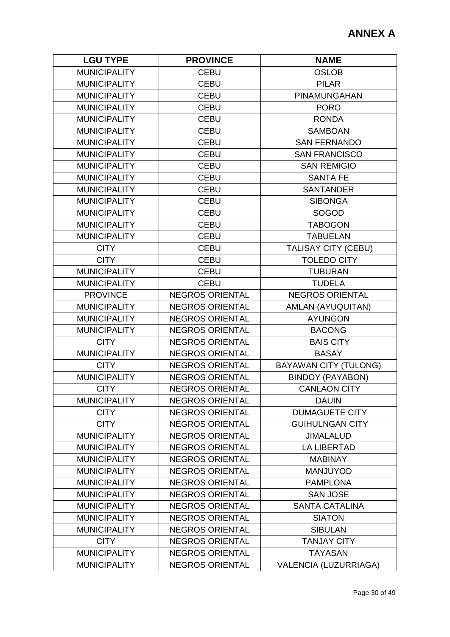| <b>LGU TYPE</b>     | <b>PROVINCE</b>        | <b>NAME</b>                  |
|---------------------|------------------------|------------------------------|
| <b>MUNICIPALITY</b> | <b>CEBU</b>            | <b>OSLOB</b>                 |
| <b>MUNICIPALITY</b> | <b>CEBU</b>            | <b>PILAR</b>                 |
| <b>MUNICIPALITY</b> | <b>CEBU</b>            | PINAMUNGAHAN                 |
| <b>MUNICIPALITY</b> | <b>CEBU</b>            | <b>PORO</b>                  |
| <b>MUNICIPALITY</b> | <b>CEBU</b>            | <b>RONDA</b>                 |
| <b>MUNICIPALITY</b> | <b>CEBU</b>            | <b>SAMBOAN</b>               |
| <b>MUNICIPALITY</b> | <b>CEBU</b>            | <b>SAN FERNANDO</b>          |
| <b>MUNICIPALITY</b> | <b>CEBU</b>            | <b>SAN FRANCISCO</b>         |
| <b>MUNICIPALITY</b> | <b>CEBU</b>            | <b>SAN REMIGIO</b>           |
| <b>MUNICIPALITY</b> | <b>CEBU</b>            | <b>SANTA FE</b>              |
| <b>MUNICIPALITY</b> | <b>CEBU</b>            | <b>SANTANDER</b>             |
| <b>MUNICIPALITY</b> | <b>CEBU</b>            | <b>SIBONGA</b>               |
| <b>MUNICIPALITY</b> | <b>CEBU</b>            | <b>SOGOD</b>                 |
| <b>MUNICIPALITY</b> | <b>CEBU</b>            | <b>TABOGON</b>               |
| <b>MUNICIPALITY</b> | <b>CEBU</b>            | <b>TABUELAN</b>              |
| <b>CITY</b>         | <b>CEBU</b>            | TALISAY CITY (CEBU)          |
| <b>CITY</b>         | <b>CEBU</b>            | <b>TOLEDO CITY</b>           |
| <b>MUNICIPALITY</b> | <b>CEBU</b>            | <b>TUBURAN</b>               |
| <b>MUNICIPALITY</b> | <b>CEBU</b>            | <b>TUDELA</b>                |
| <b>PROVINCE</b>     | <b>NEGROS ORIENTAL</b> | <b>NEGROS ORIENTAL</b>       |
| <b>MUNICIPALITY</b> | <b>NEGROS ORIENTAL</b> | AMLAN (AYUQUITAN)            |
| <b>MUNICIPALITY</b> | <b>NEGROS ORIENTAL</b> | <b>AYUNGON</b>               |
| <b>MUNICIPALITY</b> | <b>NEGROS ORIENTAL</b> | <b>BACONG</b>                |
| <b>CITY</b>         | <b>NEGROS ORIENTAL</b> | <b>BAIS CITY</b>             |
| <b>MUNICIPALITY</b> | <b>NEGROS ORIENTAL</b> | <b>BASAY</b>                 |
| <b>CITY</b>         | <b>NEGROS ORIENTAL</b> | <b>BAYAWAN CITY (TULONG)</b> |
| <b>MUNICIPALITY</b> | <b>NEGROS ORIENTAL</b> | <b>BINDOY (PAYABON)</b>      |
| <b>CITY</b>         | <b>NEGROS ORIENTAL</b> | <b>CANLAON CITY</b>          |
| <b>MUNICIPALITY</b> | <b>NEGROS ORIENTAL</b> | <b>DAUIN</b>                 |
| <b>CITY</b>         | <b>NEGROS ORIENTAL</b> | <b>DUMAGUETE CITY</b>        |
| <b>CITY</b>         | <b>NEGROS ORIENTAL</b> | <b>GUIHULNGAN CITY</b>       |
| <b>MUNICIPALITY</b> | <b>NEGROS ORIENTAL</b> | <b>JIMALALUD</b>             |
| <b>MUNICIPALITY</b> | <b>NEGROS ORIENTAL</b> | <b>LA LIBERTAD</b>           |
| <b>MUNICIPALITY</b> | <b>NEGROS ORIENTAL</b> | <b>MABINAY</b>               |
| <b>MUNICIPALITY</b> | <b>NEGROS ORIENTAL</b> | <b>MANJUYOD</b>              |
| <b>MUNICIPALITY</b> | <b>NEGROS ORIENTAL</b> | <b>PAMPLONA</b>              |
| <b>MUNICIPALITY</b> | <b>NEGROS ORIENTAL</b> | <b>SAN JOSE</b>              |
| <b>MUNICIPALITY</b> | <b>NEGROS ORIENTAL</b> | <b>SANTA CATALINA</b>        |
| <b>MUNICIPALITY</b> | <b>NEGROS ORIENTAL</b> | <b>SIATON</b>                |
| <b>MUNICIPALITY</b> | <b>NEGROS ORIENTAL</b> | <b>SIBULAN</b>               |
| <b>CITY</b>         | <b>NEGROS ORIENTAL</b> | <b>TANJAY CITY</b>           |
| <b>MUNICIPALITY</b> | <b>NEGROS ORIENTAL</b> | <b>TAYASAN</b>               |
| <b>MUNICIPALITY</b> | <b>NEGROS ORIENTAL</b> | VALENCIA (LUZURRIAGA)        |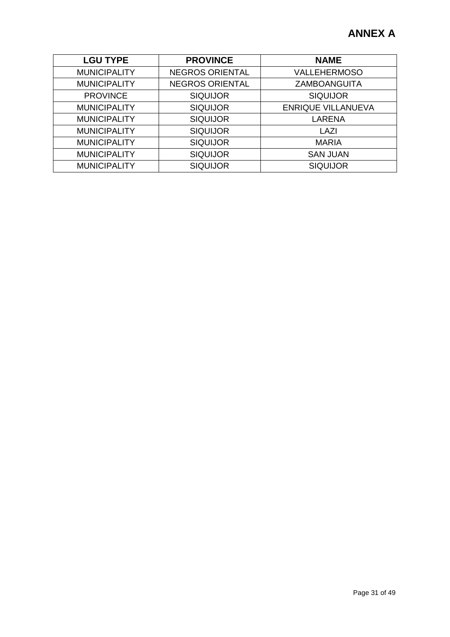| <b>LGU TYPE</b>     | <b>PROVINCE</b>        | <b>NAME</b>               |
|---------------------|------------------------|---------------------------|
| <b>MUNICIPALITY</b> | <b>NEGROS ORIENTAL</b> | <b>VALLEHERMOSO</b>       |
| <b>MUNICIPALITY</b> | <b>NEGROS ORIENTAL</b> | ZAMBOANGUITA              |
| <b>PROVINCE</b>     | <b>SIQUIJOR</b>        | <b>SIQUIJOR</b>           |
| <b>MUNICIPALITY</b> | <b>SIQUIJOR</b>        | <b>ENRIQUE VILLANUEVA</b> |
| <b>MUNICIPALITY</b> | <b>SIQUIJOR</b>        | <b>LARENA</b>             |
| <b>MUNICIPALITY</b> | <b>SIQUIJOR</b>        | LAZI                      |
| <b>MUNICIPALITY</b> | <b>SIQUIJOR</b>        | <b>MARIA</b>              |
| <b>MUNICIPALITY</b> | <b>SIQUIJOR</b>        | <b>SAN JUAN</b>           |
| <b>MUNICIPALITY</b> | <b>SIQUIJOR</b>        | <b>SIQUIJOR</b>           |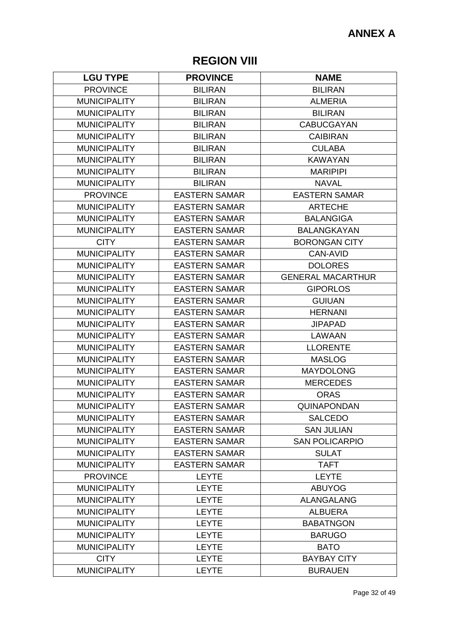## **REGION VIII**

| <b>LGU TYPE</b>     | <b>PROVINCE</b>      | <b>NAME</b>              |
|---------------------|----------------------|--------------------------|
| <b>PROVINCE</b>     | <b>BILIRAN</b>       | <b>BILIRAN</b>           |
| <b>MUNICIPALITY</b> | <b>BILIRAN</b>       | <b>ALMERIA</b>           |
| <b>MUNICIPALITY</b> | <b>BILIRAN</b>       | <b>BILIRAN</b>           |
| <b>MUNICIPALITY</b> | <b>BILIRAN</b>       | <b>CABUCGAYAN</b>        |
| <b>MUNICIPALITY</b> | <b>BILIRAN</b>       | <b>CAIBIRAN</b>          |
| <b>MUNICIPALITY</b> | <b>BILIRAN</b>       | <b>CULABA</b>            |
| <b>MUNICIPALITY</b> | <b>BILIRAN</b>       | <b>KAWAYAN</b>           |
| <b>MUNICIPALITY</b> | <b>BILIRAN</b>       | <b>MARIPIPI</b>          |
| <b>MUNICIPALITY</b> | <b>BILIRAN</b>       | <b>NAVAL</b>             |
| <b>PROVINCE</b>     | <b>EASTERN SAMAR</b> | <b>EASTERN SAMAR</b>     |
| <b>MUNICIPALITY</b> | <b>EASTERN SAMAR</b> | <b>ARTECHE</b>           |
| <b>MUNICIPALITY</b> | <b>EASTERN SAMAR</b> | <b>BALANGIGA</b>         |
| <b>MUNICIPALITY</b> | <b>EASTERN SAMAR</b> | <b>BALANGKAYAN</b>       |
| <b>CITY</b>         | <b>EASTERN SAMAR</b> | <b>BORONGAN CITY</b>     |
| <b>MUNICIPALITY</b> | <b>EASTERN SAMAR</b> | <b>CAN-AVID</b>          |
| <b>MUNICIPALITY</b> | <b>EASTERN SAMAR</b> | <b>DOLORES</b>           |
| <b>MUNICIPALITY</b> | <b>EASTERN SAMAR</b> | <b>GENERAL MACARTHUR</b> |
| <b>MUNICIPALITY</b> | <b>EASTERN SAMAR</b> | <b>GIPORLOS</b>          |
| <b>MUNICIPALITY</b> | <b>EASTERN SAMAR</b> | <b>GUIUAN</b>            |
| <b>MUNICIPALITY</b> | <b>EASTERN SAMAR</b> | <b>HERNANI</b>           |
| <b>MUNICIPALITY</b> | <b>EASTERN SAMAR</b> | <b>JIPAPAD</b>           |
| <b>MUNICIPALITY</b> | <b>EASTERN SAMAR</b> | <b>LAWAAN</b>            |
| <b>MUNICIPALITY</b> | <b>EASTERN SAMAR</b> | <b>LLORENTE</b>          |
| <b>MUNICIPALITY</b> | <b>EASTERN SAMAR</b> | <b>MASLOG</b>            |
| <b>MUNICIPALITY</b> | <b>EASTERN SAMAR</b> | <b>MAYDOLONG</b>         |
| <b>MUNICIPALITY</b> | <b>EASTERN SAMAR</b> | <b>MERCEDES</b>          |
| <b>MUNICIPALITY</b> | <b>EASTERN SAMAR</b> | <b>ORAS</b>              |
| <b>MUNICIPALITY</b> | <b>EASTERN SAMAR</b> | QUINAPONDAN              |
| <b>MUNICIPALITY</b> | <b>EASTERN SAMAR</b> | <b>SALCEDO</b>           |
| <b>MUNICIPALITY</b> | <b>EASTERN SAMAR</b> | <b>SAN JULIAN</b>        |
| <b>MUNICIPALITY</b> | <b>EASTERN SAMAR</b> | <b>SAN POLICARPIO</b>    |
| <b>MUNICIPALITY</b> | <b>EASTERN SAMAR</b> | <b>SULAT</b>             |
| <b>MUNICIPALITY</b> | <b>EASTERN SAMAR</b> | <b>TAFT</b>              |
| <b>PROVINCE</b>     | <b>LEYTE</b>         | <b>LEYTE</b>             |
| <b>MUNICIPALITY</b> | <b>LEYTE</b>         | <b>ABUYOG</b>            |
| <b>MUNICIPALITY</b> | <b>LEYTE</b>         | <b>ALANGALANG</b>        |
| <b>MUNICIPALITY</b> | <b>LEYTE</b>         | <b>ALBUERA</b>           |
| <b>MUNICIPALITY</b> | <b>LEYTE</b>         | <b>BABATNGON</b>         |
| <b>MUNICIPALITY</b> | <b>LEYTE</b>         | <b>BARUGO</b>            |
| <b>MUNICIPALITY</b> | <b>LEYTE</b>         | <b>BATO</b>              |
| <b>CITY</b>         | <b>LEYTE</b>         | <b>BAYBAY CITY</b>       |
| <b>MUNICIPALITY</b> | <b>LEYTE</b>         | <b>BURAUEN</b>           |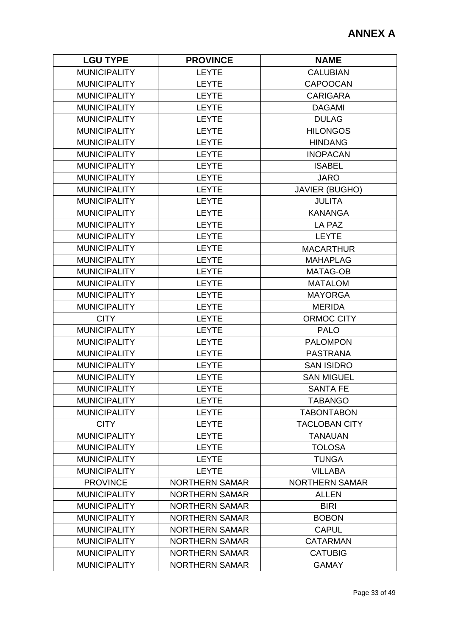| <b>LEYTE</b><br><b>MUNICIPALITY</b><br><b>CALUBIAN</b><br><b>MUNICIPALITY</b><br><b>LEYTE</b><br><b>CAPOOCAN</b><br><b>MUNICIPALITY</b><br><b>LEYTE</b><br><b>CARIGARA</b><br><b>MUNICIPALITY</b><br><b>LEYTE</b><br><b>DAGAMI</b><br><b>MUNICIPALITY</b><br><b>LEYTE</b><br><b>DULAG</b><br><b>MUNICIPALITY</b><br><b>LEYTE</b><br><b>HILONGOS</b><br><b>MUNICIPALITY</b><br><b>LEYTE</b><br><b>HINDANG</b><br><b>MUNICIPALITY</b><br><b>LEYTE</b><br><b>INOPACAN</b><br><b>MUNICIPALITY</b><br><b>LEYTE</b><br><b>ISABEL</b><br><b>MUNICIPALITY</b><br><b>LEYTE</b><br><b>JARO</b><br><b>MUNICIPALITY</b><br><b>LEYTE</b><br><b>JAVIER (BUGHO)</b><br><b>MUNICIPALITY</b><br><b>LEYTE</b><br><b>JULITA</b><br><b>MUNICIPALITY</b><br><b>LEYTE</b><br><b>KANANGA</b><br><b>MUNICIPALITY</b><br><b>LEYTE</b><br>LA PAZ<br><b>MUNICIPALITY</b><br><b>LEYTE</b><br><b>LEYTE</b><br><b>MUNICIPALITY</b><br><b>LEYTE</b><br><b>MACARTHUR</b><br><b>MUNICIPALITY</b><br><b>LEYTE</b><br><b>MAHAPLAG</b><br><b>MUNICIPALITY</b><br><b>LEYTE</b><br>MATAG-OB<br><b>MUNICIPALITY</b><br><b>LEYTE</b><br><b>MATALOM</b><br><b>MUNICIPALITY</b><br><b>LEYTE</b><br><b>MAYORGA</b><br><b>MUNICIPALITY</b><br><b>LEYTE</b><br><b>MERIDA</b><br><b>CITY</b><br><b>LEYTE</b><br><b>ORMOC CITY</b><br><b>MUNICIPALITY</b><br><b>LEYTE</b><br><b>PALO</b><br><b>MUNICIPALITY</b><br><b>LEYTE</b><br><b>PALOMPON</b><br><b>MUNICIPALITY</b><br><b>LEYTE</b><br><b>PASTRANA</b><br><b>MUNICIPALITY</b><br><b>LEYTE</b><br><b>SAN ISIDRO</b><br><b>MUNICIPALITY</b><br><b>LEYTE</b><br><b>SAN MIGUEL</b><br><b>MUNICIPALITY</b><br><b>LEYTE</b><br><b>SANTA FE</b><br><b>MUNICIPALITY</b><br><b>LEYTE</b><br><b>TABANGO</b><br><b>MUNICIPALITY</b><br><b>LEYTE</b><br><b>TABONTABON</b><br><b>LEYTE</b><br><b>CITY</b><br><b>TACLOBAN CITY</b><br><b>MUNICIPALITY</b><br><b>LEYTE</b><br><b>TANAUAN</b><br><b>MUNICIPALITY</b><br><b>LEYTE</b><br><b>TOLOSA</b><br><b>LEYTE</b><br><b>TUNGA</b><br><b>MUNICIPALITY</b><br><b>MUNICIPALITY</b><br><b>LEYTE</b><br><b>VILLABA</b><br><b>PROVINCE</b><br><b>NORTHERN SAMAR</b><br><b>NORTHERN SAMAR</b><br><b>MUNICIPALITY</b><br><b>NORTHERN SAMAR</b><br><b>ALLEN</b><br><b>MUNICIPALITY</b><br><b>BIRI</b><br><b>NORTHERN SAMAR</b><br><b>MUNICIPALITY</b><br><b>NORTHERN SAMAR</b><br><b>BOBON</b><br><b>MUNICIPALITY</b><br><b>NORTHERN SAMAR</b><br><b>CAPUL</b><br><b>MUNICIPALITY</b><br><b>NORTHERN SAMAR</b><br><b>CATARMAN</b><br><b>MUNICIPALITY</b><br><b>NORTHERN SAMAR</b><br><b>CATUBIG</b><br><b>MUNICIPALITY</b><br><b>NORTHERN SAMAR</b> | <b>LGU TYPE</b> | <b>PROVINCE</b> | <b>NAME</b>  |
|---------------------------------------------------------------------------------------------------------------------------------------------------------------------------------------------------------------------------------------------------------------------------------------------------------------------------------------------------------------------------------------------------------------------------------------------------------------------------------------------------------------------------------------------------------------------------------------------------------------------------------------------------------------------------------------------------------------------------------------------------------------------------------------------------------------------------------------------------------------------------------------------------------------------------------------------------------------------------------------------------------------------------------------------------------------------------------------------------------------------------------------------------------------------------------------------------------------------------------------------------------------------------------------------------------------------------------------------------------------------------------------------------------------------------------------------------------------------------------------------------------------------------------------------------------------------------------------------------------------------------------------------------------------------------------------------------------------------------------------------------------------------------------------------------------------------------------------------------------------------------------------------------------------------------------------------------------------------------------------------------------------------------------------------------------------------------------------------------------------------------------------------------------------------------------------------------------------------------------------------------------------------------------------------------------------------------------------------------------------------------------------------------------------------------------------------------------------------------------------------------------------------------------------------------------------------------------------|-----------------|-----------------|--------------|
|                                                                                                                                                                                                                                                                                                                                                                                                                                                                                                                                                                                                                                                                                                                                                                                                                                                                                                                                                                                                                                                                                                                                                                                                                                                                                                                                                                                                                                                                                                                                                                                                                                                                                                                                                                                                                                                                                                                                                                                                                                                                                                                                                                                                                                                                                                                                                                                                                                                                                                                                                                                       |                 |                 |              |
|                                                                                                                                                                                                                                                                                                                                                                                                                                                                                                                                                                                                                                                                                                                                                                                                                                                                                                                                                                                                                                                                                                                                                                                                                                                                                                                                                                                                                                                                                                                                                                                                                                                                                                                                                                                                                                                                                                                                                                                                                                                                                                                                                                                                                                                                                                                                                                                                                                                                                                                                                                                       |                 |                 |              |
|                                                                                                                                                                                                                                                                                                                                                                                                                                                                                                                                                                                                                                                                                                                                                                                                                                                                                                                                                                                                                                                                                                                                                                                                                                                                                                                                                                                                                                                                                                                                                                                                                                                                                                                                                                                                                                                                                                                                                                                                                                                                                                                                                                                                                                                                                                                                                                                                                                                                                                                                                                                       |                 |                 |              |
|                                                                                                                                                                                                                                                                                                                                                                                                                                                                                                                                                                                                                                                                                                                                                                                                                                                                                                                                                                                                                                                                                                                                                                                                                                                                                                                                                                                                                                                                                                                                                                                                                                                                                                                                                                                                                                                                                                                                                                                                                                                                                                                                                                                                                                                                                                                                                                                                                                                                                                                                                                                       |                 |                 |              |
|                                                                                                                                                                                                                                                                                                                                                                                                                                                                                                                                                                                                                                                                                                                                                                                                                                                                                                                                                                                                                                                                                                                                                                                                                                                                                                                                                                                                                                                                                                                                                                                                                                                                                                                                                                                                                                                                                                                                                                                                                                                                                                                                                                                                                                                                                                                                                                                                                                                                                                                                                                                       |                 |                 |              |
|                                                                                                                                                                                                                                                                                                                                                                                                                                                                                                                                                                                                                                                                                                                                                                                                                                                                                                                                                                                                                                                                                                                                                                                                                                                                                                                                                                                                                                                                                                                                                                                                                                                                                                                                                                                                                                                                                                                                                                                                                                                                                                                                                                                                                                                                                                                                                                                                                                                                                                                                                                                       |                 |                 |              |
|                                                                                                                                                                                                                                                                                                                                                                                                                                                                                                                                                                                                                                                                                                                                                                                                                                                                                                                                                                                                                                                                                                                                                                                                                                                                                                                                                                                                                                                                                                                                                                                                                                                                                                                                                                                                                                                                                                                                                                                                                                                                                                                                                                                                                                                                                                                                                                                                                                                                                                                                                                                       |                 |                 |              |
|                                                                                                                                                                                                                                                                                                                                                                                                                                                                                                                                                                                                                                                                                                                                                                                                                                                                                                                                                                                                                                                                                                                                                                                                                                                                                                                                                                                                                                                                                                                                                                                                                                                                                                                                                                                                                                                                                                                                                                                                                                                                                                                                                                                                                                                                                                                                                                                                                                                                                                                                                                                       |                 |                 |              |
|                                                                                                                                                                                                                                                                                                                                                                                                                                                                                                                                                                                                                                                                                                                                                                                                                                                                                                                                                                                                                                                                                                                                                                                                                                                                                                                                                                                                                                                                                                                                                                                                                                                                                                                                                                                                                                                                                                                                                                                                                                                                                                                                                                                                                                                                                                                                                                                                                                                                                                                                                                                       |                 |                 |              |
|                                                                                                                                                                                                                                                                                                                                                                                                                                                                                                                                                                                                                                                                                                                                                                                                                                                                                                                                                                                                                                                                                                                                                                                                                                                                                                                                                                                                                                                                                                                                                                                                                                                                                                                                                                                                                                                                                                                                                                                                                                                                                                                                                                                                                                                                                                                                                                                                                                                                                                                                                                                       |                 |                 |              |
|                                                                                                                                                                                                                                                                                                                                                                                                                                                                                                                                                                                                                                                                                                                                                                                                                                                                                                                                                                                                                                                                                                                                                                                                                                                                                                                                                                                                                                                                                                                                                                                                                                                                                                                                                                                                                                                                                                                                                                                                                                                                                                                                                                                                                                                                                                                                                                                                                                                                                                                                                                                       |                 |                 |              |
|                                                                                                                                                                                                                                                                                                                                                                                                                                                                                                                                                                                                                                                                                                                                                                                                                                                                                                                                                                                                                                                                                                                                                                                                                                                                                                                                                                                                                                                                                                                                                                                                                                                                                                                                                                                                                                                                                                                                                                                                                                                                                                                                                                                                                                                                                                                                                                                                                                                                                                                                                                                       |                 |                 |              |
|                                                                                                                                                                                                                                                                                                                                                                                                                                                                                                                                                                                                                                                                                                                                                                                                                                                                                                                                                                                                                                                                                                                                                                                                                                                                                                                                                                                                                                                                                                                                                                                                                                                                                                                                                                                                                                                                                                                                                                                                                                                                                                                                                                                                                                                                                                                                                                                                                                                                                                                                                                                       |                 |                 |              |
|                                                                                                                                                                                                                                                                                                                                                                                                                                                                                                                                                                                                                                                                                                                                                                                                                                                                                                                                                                                                                                                                                                                                                                                                                                                                                                                                                                                                                                                                                                                                                                                                                                                                                                                                                                                                                                                                                                                                                                                                                                                                                                                                                                                                                                                                                                                                                                                                                                                                                                                                                                                       |                 |                 |              |
|                                                                                                                                                                                                                                                                                                                                                                                                                                                                                                                                                                                                                                                                                                                                                                                                                                                                                                                                                                                                                                                                                                                                                                                                                                                                                                                                                                                                                                                                                                                                                                                                                                                                                                                                                                                                                                                                                                                                                                                                                                                                                                                                                                                                                                                                                                                                                                                                                                                                                                                                                                                       |                 |                 |              |
|                                                                                                                                                                                                                                                                                                                                                                                                                                                                                                                                                                                                                                                                                                                                                                                                                                                                                                                                                                                                                                                                                                                                                                                                                                                                                                                                                                                                                                                                                                                                                                                                                                                                                                                                                                                                                                                                                                                                                                                                                                                                                                                                                                                                                                                                                                                                                                                                                                                                                                                                                                                       |                 |                 |              |
|                                                                                                                                                                                                                                                                                                                                                                                                                                                                                                                                                                                                                                                                                                                                                                                                                                                                                                                                                                                                                                                                                                                                                                                                                                                                                                                                                                                                                                                                                                                                                                                                                                                                                                                                                                                                                                                                                                                                                                                                                                                                                                                                                                                                                                                                                                                                                                                                                                                                                                                                                                                       |                 |                 |              |
|                                                                                                                                                                                                                                                                                                                                                                                                                                                                                                                                                                                                                                                                                                                                                                                                                                                                                                                                                                                                                                                                                                                                                                                                                                                                                                                                                                                                                                                                                                                                                                                                                                                                                                                                                                                                                                                                                                                                                                                                                                                                                                                                                                                                                                                                                                                                                                                                                                                                                                                                                                                       |                 |                 |              |
|                                                                                                                                                                                                                                                                                                                                                                                                                                                                                                                                                                                                                                                                                                                                                                                                                                                                                                                                                                                                                                                                                                                                                                                                                                                                                                                                                                                                                                                                                                                                                                                                                                                                                                                                                                                                                                                                                                                                                                                                                                                                                                                                                                                                                                                                                                                                                                                                                                                                                                                                                                                       |                 |                 |              |
|                                                                                                                                                                                                                                                                                                                                                                                                                                                                                                                                                                                                                                                                                                                                                                                                                                                                                                                                                                                                                                                                                                                                                                                                                                                                                                                                                                                                                                                                                                                                                                                                                                                                                                                                                                                                                                                                                                                                                                                                                                                                                                                                                                                                                                                                                                                                                                                                                                                                                                                                                                                       |                 |                 |              |
|                                                                                                                                                                                                                                                                                                                                                                                                                                                                                                                                                                                                                                                                                                                                                                                                                                                                                                                                                                                                                                                                                                                                                                                                                                                                                                                                                                                                                                                                                                                                                                                                                                                                                                                                                                                                                                                                                                                                                                                                                                                                                                                                                                                                                                                                                                                                                                                                                                                                                                                                                                                       |                 |                 |              |
|                                                                                                                                                                                                                                                                                                                                                                                                                                                                                                                                                                                                                                                                                                                                                                                                                                                                                                                                                                                                                                                                                                                                                                                                                                                                                                                                                                                                                                                                                                                                                                                                                                                                                                                                                                                                                                                                                                                                                                                                                                                                                                                                                                                                                                                                                                                                                                                                                                                                                                                                                                                       |                 |                 |              |
|                                                                                                                                                                                                                                                                                                                                                                                                                                                                                                                                                                                                                                                                                                                                                                                                                                                                                                                                                                                                                                                                                                                                                                                                                                                                                                                                                                                                                                                                                                                                                                                                                                                                                                                                                                                                                                                                                                                                                                                                                                                                                                                                                                                                                                                                                                                                                                                                                                                                                                                                                                                       |                 |                 |              |
|                                                                                                                                                                                                                                                                                                                                                                                                                                                                                                                                                                                                                                                                                                                                                                                                                                                                                                                                                                                                                                                                                                                                                                                                                                                                                                                                                                                                                                                                                                                                                                                                                                                                                                                                                                                                                                                                                                                                                                                                                                                                                                                                                                                                                                                                                                                                                                                                                                                                                                                                                                                       |                 |                 |              |
|                                                                                                                                                                                                                                                                                                                                                                                                                                                                                                                                                                                                                                                                                                                                                                                                                                                                                                                                                                                                                                                                                                                                                                                                                                                                                                                                                                                                                                                                                                                                                                                                                                                                                                                                                                                                                                                                                                                                                                                                                                                                                                                                                                                                                                                                                                                                                                                                                                                                                                                                                                                       |                 |                 |              |
|                                                                                                                                                                                                                                                                                                                                                                                                                                                                                                                                                                                                                                                                                                                                                                                                                                                                                                                                                                                                                                                                                                                                                                                                                                                                                                                                                                                                                                                                                                                                                                                                                                                                                                                                                                                                                                                                                                                                                                                                                                                                                                                                                                                                                                                                                                                                                                                                                                                                                                                                                                                       |                 |                 |              |
|                                                                                                                                                                                                                                                                                                                                                                                                                                                                                                                                                                                                                                                                                                                                                                                                                                                                                                                                                                                                                                                                                                                                                                                                                                                                                                                                                                                                                                                                                                                                                                                                                                                                                                                                                                                                                                                                                                                                                                                                                                                                                                                                                                                                                                                                                                                                                                                                                                                                                                                                                                                       |                 |                 |              |
|                                                                                                                                                                                                                                                                                                                                                                                                                                                                                                                                                                                                                                                                                                                                                                                                                                                                                                                                                                                                                                                                                                                                                                                                                                                                                                                                                                                                                                                                                                                                                                                                                                                                                                                                                                                                                                                                                                                                                                                                                                                                                                                                                                                                                                                                                                                                                                                                                                                                                                                                                                                       |                 |                 |              |
|                                                                                                                                                                                                                                                                                                                                                                                                                                                                                                                                                                                                                                                                                                                                                                                                                                                                                                                                                                                                                                                                                                                                                                                                                                                                                                                                                                                                                                                                                                                                                                                                                                                                                                                                                                                                                                                                                                                                                                                                                                                                                                                                                                                                                                                                                                                                                                                                                                                                                                                                                                                       |                 |                 |              |
|                                                                                                                                                                                                                                                                                                                                                                                                                                                                                                                                                                                                                                                                                                                                                                                                                                                                                                                                                                                                                                                                                                                                                                                                                                                                                                                                                                                                                                                                                                                                                                                                                                                                                                                                                                                                                                                                                                                                                                                                                                                                                                                                                                                                                                                                                                                                                                                                                                                                                                                                                                                       |                 |                 |              |
|                                                                                                                                                                                                                                                                                                                                                                                                                                                                                                                                                                                                                                                                                                                                                                                                                                                                                                                                                                                                                                                                                                                                                                                                                                                                                                                                                                                                                                                                                                                                                                                                                                                                                                                                                                                                                                                                                                                                                                                                                                                                                                                                                                                                                                                                                                                                                                                                                                                                                                                                                                                       |                 |                 |              |
|                                                                                                                                                                                                                                                                                                                                                                                                                                                                                                                                                                                                                                                                                                                                                                                                                                                                                                                                                                                                                                                                                                                                                                                                                                                                                                                                                                                                                                                                                                                                                                                                                                                                                                                                                                                                                                                                                                                                                                                                                                                                                                                                                                                                                                                                                                                                                                                                                                                                                                                                                                                       |                 |                 |              |
|                                                                                                                                                                                                                                                                                                                                                                                                                                                                                                                                                                                                                                                                                                                                                                                                                                                                                                                                                                                                                                                                                                                                                                                                                                                                                                                                                                                                                                                                                                                                                                                                                                                                                                                                                                                                                                                                                                                                                                                                                                                                                                                                                                                                                                                                                                                                                                                                                                                                                                                                                                                       |                 |                 |              |
|                                                                                                                                                                                                                                                                                                                                                                                                                                                                                                                                                                                                                                                                                                                                                                                                                                                                                                                                                                                                                                                                                                                                                                                                                                                                                                                                                                                                                                                                                                                                                                                                                                                                                                                                                                                                                                                                                                                                                                                                                                                                                                                                                                                                                                                                                                                                                                                                                                                                                                                                                                                       |                 |                 |              |
|                                                                                                                                                                                                                                                                                                                                                                                                                                                                                                                                                                                                                                                                                                                                                                                                                                                                                                                                                                                                                                                                                                                                                                                                                                                                                                                                                                                                                                                                                                                                                                                                                                                                                                                                                                                                                                                                                                                                                                                                                                                                                                                                                                                                                                                                                                                                                                                                                                                                                                                                                                                       |                 |                 |              |
|                                                                                                                                                                                                                                                                                                                                                                                                                                                                                                                                                                                                                                                                                                                                                                                                                                                                                                                                                                                                                                                                                                                                                                                                                                                                                                                                                                                                                                                                                                                                                                                                                                                                                                                                                                                                                                                                                                                                                                                                                                                                                                                                                                                                                                                                                                                                                                                                                                                                                                                                                                                       |                 |                 |              |
|                                                                                                                                                                                                                                                                                                                                                                                                                                                                                                                                                                                                                                                                                                                                                                                                                                                                                                                                                                                                                                                                                                                                                                                                                                                                                                                                                                                                                                                                                                                                                                                                                                                                                                                                                                                                                                                                                                                                                                                                                                                                                                                                                                                                                                                                                                                                                                                                                                                                                                                                                                                       |                 |                 |              |
|                                                                                                                                                                                                                                                                                                                                                                                                                                                                                                                                                                                                                                                                                                                                                                                                                                                                                                                                                                                                                                                                                                                                                                                                                                                                                                                                                                                                                                                                                                                                                                                                                                                                                                                                                                                                                                                                                                                                                                                                                                                                                                                                                                                                                                                                                                                                                                                                                                                                                                                                                                                       |                 |                 |              |
|                                                                                                                                                                                                                                                                                                                                                                                                                                                                                                                                                                                                                                                                                                                                                                                                                                                                                                                                                                                                                                                                                                                                                                                                                                                                                                                                                                                                                                                                                                                                                                                                                                                                                                                                                                                                                                                                                                                                                                                                                                                                                                                                                                                                                                                                                                                                                                                                                                                                                                                                                                                       |                 |                 |              |
|                                                                                                                                                                                                                                                                                                                                                                                                                                                                                                                                                                                                                                                                                                                                                                                                                                                                                                                                                                                                                                                                                                                                                                                                                                                                                                                                                                                                                                                                                                                                                                                                                                                                                                                                                                                                                                                                                                                                                                                                                                                                                                                                                                                                                                                                                                                                                                                                                                                                                                                                                                                       |                 |                 |              |
|                                                                                                                                                                                                                                                                                                                                                                                                                                                                                                                                                                                                                                                                                                                                                                                                                                                                                                                                                                                                                                                                                                                                                                                                                                                                                                                                                                                                                                                                                                                                                                                                                                                                                                                                                                                                                                                                                                                                                                                                                                                                                                                                                                                                                                                                                                                                                                                                                                                                                                                                                                                       |                 |                 |              |
|                                                                                                                                                                                                                                                                                                                                                                                                                                                                                                                                                                                                                                                                                                                                                                                                                                                                                                                                                                                                                                                                                                                                                                                                                                                                                                                                                                                                                                                                                                                                                                                                                                                                                                                                                                                                                                                                                                                                                                                                                                                                                                                                                                                                                                                                                                                                                                                                                                                                                                                                                                                       |                 |                 |              |
|                                                                                                                                                                                                                                                                                                                                                                                                                                                                                                                                                                                                                                                                                                                                                                                                                                                                                                                                                                                                                                                                                                                                                                                                                                                                                                                                                                                                                                                                                                                                                                                                                                                                                                                                                                                                                                                                                                                                                                                                                                                                                                                                                                                                                                                                                                                                                                                                                                                                                                                                                                                       |                 |                 | <b>GAMAY</b> |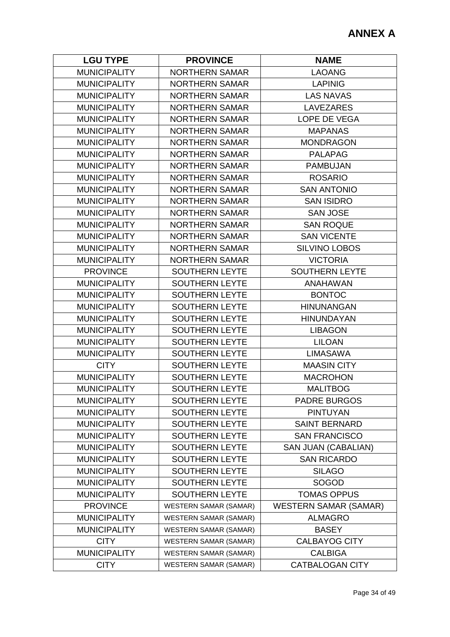| <b>LGU TYPE</b>     | <b>PROVINCE</b>              | <b>NAME</b>                  |
|---------------------|------------------------------|------------------------------|
| <b>MUNICIPALITY</b> | <b>NORTHERN SAMAR</b>        | <b>LAOANG</b>                |
| <b>MUNICIPALITY</b> | <b>NORTHERN SAMAR</b>        | <b>LAPINIG</b>               |
| <b>MUNICIPALITY</b> | <b>NORTHERN SAMAR</b>        | <b>LAS NAVAS</b>             |
| <b>MUNICIPALITY</b> | <b>NORTHERN SAMAR</b>        | <b>LAVEZARES</b>             |
| <b>MUNICIPALITY</b> | <b>NORTHERN SAMAR</b>        | LOPE DE VEGA                 |
| <b>MUNICIPALITY</b> | <b>NORTHERN SAMAR</b>        | <b>MAPANAS</b>               |
| <b>MUNICIPALITY</b> | <b>NORTHERN SAMAR</b>        | <b>MONDRAGON</b>             |
| <b>MUNICIPALITY</b> | <b>NORTHERN SAMAR</b>        | <b>PALAPAG</b>               |
| <b>MUNICIPALITY</b> | <b>NORTHERN SAMAR</b>        | <b>PAMBUJAN</b>              |
| <b>MUNICIPALITY</b> | <b>NORTHERN SAMAR</b>        | <b>ROSARIO</b>               |
| <b>MUNICIPALITY</b> | <b>NORTHERN SAMAR</b>        | <b>SAN ANTONIO</b>           |
| <b>MUNICIPALITY</b> | <b>NORTHERN SAMAR</b>        | <b>SAN ISIDRO</b>            |
| <b>MUNICIPALITY</b> | <b>NORTHERN SAMAR</b>        | <b>SAN JOSE</b>              |
| <b>MUNICIPALITY</b> | <b>NORTHERN SAMAR</b>        | <b>SAN ROQUE</b>             |
| <b>MUNICIPALITY</b> | <b>NORTHERN SAMAR</b>        | <b>SAN VICENTE</b>           |
| <b>MUNICIPALITY</b> | <b>NORTHERN SAMAR</b>        | <b>SILVINO LOBOS</b>         |
| <b>MUNICIPALITY</b> | <b>NORTHERN SAMAR</b>        | <b>VICTORIA</b>              |
| <b>PROVINCE</b>     | <b>SOUTHERN LEYTE</b>        | <b>SOUTHERN LEYTE</b>        |
| <b>MUNICIPALITY</b> | <b>SOUTHERN LEYTE</b>        | <b>ANAHAWAN</b>              |
| <b>MUNICIPALITY</b> | <b>SOUTHERN LEYTE</b>        | <b>BONTOC</b>                |
| <b>MUNICIPALITY</b> | <b>SOUTHERN LEYTE</b>        | <b>HINUNANGAN</b>            |
| <b>MUNICIPALITY</b> | <b>SOUTHERN LEYTE</b>        | <b>HINUNDAYAN</b>            |
| <b>MUNICIPALITY</b> | <b>SOUTHERN LEYTE</b>        | <b>LIBAGON</b>               |
| <b>MUNICIPALITY</b> | SOUTHERN LEYTE               | <b>LILOAN</b>                |
| <b>MUNICIPALITY</b> | <b>SOUTHERN LEYTE</b>        | <b>LIMASAWA</b>              |
| <b>CITY</b>         | <b>SOUTHERN LEYTE</b>        | <b>MAASIN CITY</b>           |
| <b>MUNICIPALITY</b> | <b>SOUTHERN LEYTE</b>        | <b>MACROHON</b>              |
| <b>MUNICIPALITY</b> | <b>SOUTHERN LEYTE</b>        | <b>MALITBOG</b>              |
| <b>MUNICIPALITY</b> | <b>SOUTHERN LEYTE</b>        | <b>PADRE BURGOS</b>          |
| <b>MUNICIPALITY</b> | <b>SOUTHERN LEYTE</b>        | <b>PINTUYAN</b>              |
| <b>MUNICIPALITY</b> | <b>SOUTHERN LEYTE</b>        | <b>SAINT BERNARD</b>         |
| <b>MUNICIPALITY</b> | <b>SOUTHERN LEYTE</b>        | <b>SAN FRANCISCO</b>         |
| <b>MUNICIPALITY</b> | SOUTHERN LEYTE               | <b>SAN JUAN (CABALIAN)</b>   |
| <b>MUNICIPALITY</b> | <b>SOUTHERN LEYTE</b>        | <b>SAN RICARDO</b>           |
| <b>MUNICIPALITY</b> | <b>SOUTHERN LEYTE</b>        | <b>SILAGO</b>                |
| <b>MUNICIPALITY</b> | <b>SOUTHERN LEYTE</b>        | <b>SOGOD</b>                 |
| <b>MUNICIPALITY</b> | <b>SOUTHERN LEYTE</b>        | <b>TOMAS OPPUS</b>           |
| <b>PROVINCE</b>     | <b>WESTERN SAMAR (SAMAR)</b> | <b>WESTERN SAMAR (SAMAR)</b> |
| <b>MUNICIPALITY</b> | <b>WESTERN SAMAR (SAMAR)</b> | <b>ALMAGRO</b>               |
| <b>MUNICIPALITY</b> | <b>WESTERN SAMAR (SAMAR)</b> | <b>BASEY</b>                 |
| <b>CITY</b>         | <b>WESTERN SAMAR (SAMAR)</b> | <b>CALBAYOG CITY</b>         |
| <b>MUNICIPALITY</b> | <b>WESTERN SAMAR (SAMAR)</b> | <b>CALBIGA</b>               |
| <b>CITY</b>         | <b>WESTERN SAMAR (SAMAR)</b> | <b>CATBALOGAN CITY</b>       |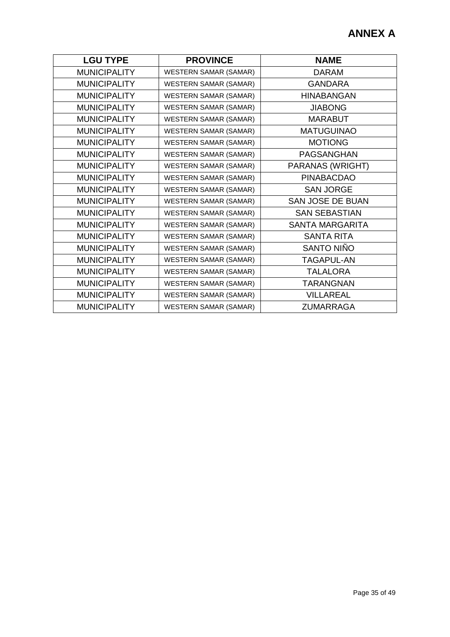| <b>LGU TYPE</b>     | <b>PROVINCE</b>              | <b>NAME</b>             |
|---------------------|------------------------------|-------------------------|
| <b>MUNICIPALITY</b> | <b>WESTERN SAMAR (SAMAR)</b> | <b>DARAM</b>            |
| <b>MUNICIPALITY</b> | <b>WESTERN SAMAR (SAMAR)</b> | <b>GANDARA</b>          |
| <b>MUNICIPALITY</b> | <b>WESTERN SAMAR (SAMAR)</b> | <b>HINABANGAN</b>       |
| <b>MUNICIPALITY</b> | <b>WESTERN SAMAR (SAMAR)</b> | <b>JIABONG</b>          |
| <b>MUNICIPALITY</b> | <b>WESTERN SAMAR (SAMAR)</b> | <b>MARABUT</b>          |
| <b>MUNICIPALITY</b> | <b>WESTERN SAMAR (SAMAR)</b> | <b>MATUGUINAO</b>       |
| <b>MUNICIPALITY</b> | <b>WESTERN SAMAR (SAMAR)</b> | <b>MOTIONG</b>          |
| <b>MUNICIPALITY</b> | <b>WESTERN SAMAR (SAMAR)</b> | PAGSANGHAN              |
| <b>MUNICIPALITY</b> | <b>WESTERN SAMAR (SAMAR)</b> | PARANAS (WRIGHT)        |
| <b>MUNICIPALITY</b> | <b>WESTERN SAMAR (SAMAR)</b> | <b>PINABACDAO</b>       |
| <b>MUNICIPALITY</b> | <b>WESTERN SAMAR (SAMAR)</b> | <b>SAN JORGE</b>        |
| <b>MUNICIPALITY</b> | <b>WESTERN SAMAR (SAMAR)</b> | <b>SAN JOSE DE BUAN</b> |
| <b>MUNICIPALITY</b> | <b>WESTERN SAMAR (SAMAR)</b> | <b>SAN SEBASTIAN</b>    |
| <b>MUNICIPALITY</b> | <b>WESTERN SAMAR (SAMAR)</b> | <b>SANTA MARGARITA</b>  |
| <b>MUNICIPALITY</b> | <b>WESTERN SAMAR (SAMAR)</b> | <b>SANTA RITA</b>       |
| <b>MUNICIPALITY</b> | <b>WESTERN SAMAR (SAMAR)</b> | SANTO NIÑO              |
| <b>MUNICIPALITY</b> | <b>WESTERN SAMAR (SAMAR)</b> | <b>TAGAPUL-AN</b>       |
| <b>MUNICIPALITY</b> | <b>WESTERN SAMAR (SAMAR)</b> | <b>TALALORA</b>         |
| <b>MUNICIPALITY</b> | <b>WESTERN SAMAR (SAMAR)</b> | <b>TARANGNAN</b>        |
| <b>MUNICIPALITY</b> | <b>WESTERN SAMAR (SAMAR)</b> | <b>VILLAREAL</b>        |
| <b>MUNICIPALITY</b> | <b>WESTERN SAMAR (SAMAR)</b> | <b>ZUMARRAGA</b>        |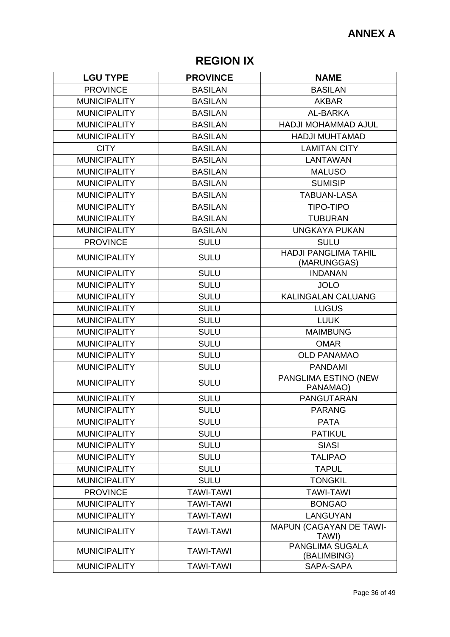# **REGION IX**

| <b>LGU TYPE</b>     | <b>PROVINCE</b>  | <b>NAME</b>                                |
|---------------------|------------------|--------------------------------------------|
| <b>PROVINCE</b>     | <b>BASILAN</b>   | <b>BASILAN</b>                             |
| <b>MUNICIPALITY</b> | <b>BASILAN</b>   | <b>AKBAR</b>                               |
| <b>MUNICIPALITY</b> | <b>BASILAN</b>   | AL-BARKA                                   |
| <b>MUNICIPALITY</b> | <b>BASILAN</b>   | <b>HADJI MOHAMMAD AJUL</b>                 |
| <b>MUNICIPALITY</b> | <b>BASILAN</b>   | <b>HADJI MUHTAMAD</b>                      |
| <b>CITY</b>         | <b>BASILAN</b>   | <b>LAMITAN CITY</b>                        |
| <b>MUNICIPALITY</b> | <b>BASILAN</b>   | <b>LANTAWAN</b>                            |
| <b>MUNICIPALITY</b> | <b>BASILAN</b>   | <b>MALUSO</b>                              |
| <b>MUNICIPALITY</b> | <b>BASILAN</b>   | <b>SUMISIP</b>                             |
| <b>MUNICIPALITY</b> | <b>BASILAN</b>   | <b>TABUAN-LASA</b>                         |
| <b>MUNICIPALITY</b> | <b>BASILAN</b>   | <b>TIPO-TIPO</b>                           |
| <b>MUNICIPALITY</b> | <b>BASILAN</b>   | <b>TUBURAN</b>                             |
| <b>MUNICIPALITY</b> | <b>BASILAN</b>   | <b>UNGKAYA PUKAN</b>                       |
| <b>PROVINCE</b>     | <b>SULU</b>      | <b>SULU</b>                                |
| <b>MUNICIPALITY</b> | <b>SULU</b>      | <b>HADJI PANGLIMA TAHIL</b><br>(MARUNGGAS) |
| <b>MUNICIPALITY</b> | <b>SULU</b>      | <b>INDANAN</b>                             |
| <b>MUNICIPALITY</b> | <b>SULU</b>      | <b>JOLO</b>                                |
| <b>MUNICIPALITY</b> | <b>SULU</b>      | <b>KALINGALAN CALUANG</b>                  |
| <b>MUNICIPALITY</b> | <b>SULU</b>      | <b>LUGUS</b>                               |
| <b>MUNICIPALITY</b> | <b>SULU</b>      | <b>LUUK</b>                                |
| <b>MUNICIPALITY</b> | <b>SULU</b>      | <b>MAIMBUNG</b>                            |
| <b>MUNICIPALITY</b> | <b>SULU</b>      | <b>OMAR</b>                                |
| <b>MUNICIPALITY</b> | <b>SULU</b>      | <b>OLD PANAMAO</b>                         |
| <b>MUNICIPALITY</b> | <b>SULU</b>      | <b>PANDAMI</b>                             |
| <b>MUNICIPALITY</b> | <b>SULU</b>      | PANGLIMA ESTINO (NEW<br>PANAMAO)           |
| <b>MUNICIPALITY</b> | <b>SULU</b>      | <b>PANGUTARAN</b>                          |
| <b>MUNICIPALITY</b> | <b>SULU</b>      | <b>PARANG</b>                              |
| <b>MUNICIPALITY</b> | <b>SULU</b>      | <b>PATA</b>                                |
| <b>MUNICIPALITY</b> | <b>SULU</b>      | <b>PATIKUL</b>                             |
| <b>MUNICIPALITY</b> | <b>SULU</b>      | <b>SIASI</b>                               |
| <b>MUNICIPALITY</b> | <b>SULU</b>      | <b>TALIPAO</b>                             |
| <b>MUNICIPALITY</b> | <b>SULU</b>      | <b>TAPUL</b>                               |
| <b>MUNICIPALITY</b> | <b>SULU</b>      | <b>TONGKIL</b>                             |
| <b>PROVINCE</b>     | <b>TAWI-TAWI</b> | <b>TAWI-TAWI</b>                           |
| <b>MUNICIPALITY</b> | <b>TAWI-TAWI</b> | <b>BONGAO</b>                              |
| <b>MUNICIPALITY</b> | <b>TAWI-TAWI</b> | <b>LANGUYAN</b>                            |
| <b>MUNICIPALITY</b> | <b>TAWI-TAWI</b> | <b>MAPUN (CAGAYAN DE TAWI-</b><br>TAWI)    |
| <b>MUNICIPALITY</b> | <b>TAWI-TAWI</b> | PANGLIMA SUGALA<br>(BALIMBING)             |
| <b>MUNICIPALITY</b> | <b>TAWI-TAWI</b> | SAPA-SAPA                                  |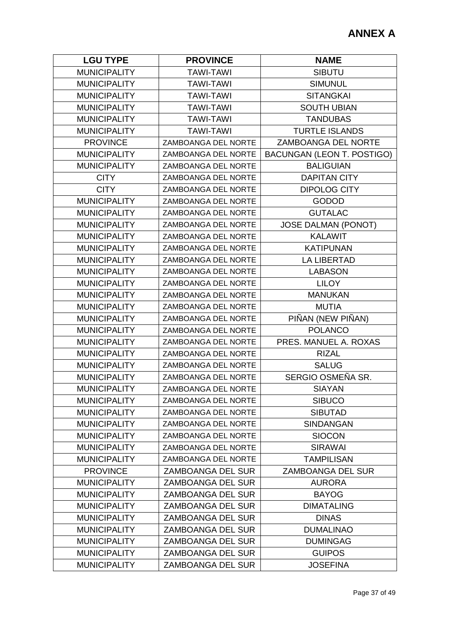| <b>LGU TYPE</b>     | <b>PROVINCE</b>            | <b>NAME</b>                |
|---------------------|----------------------------|----------------------------|
| <b>MUNICIPALITY</b> | <b>TAWI-TAWI</b>           | <b>SIBUTU</b>              |
| <b>MUNICIPALITY</b> | <b>TAWI-TAWI</b>           | <b>SIMUNUL</b>             |
| <b>MUNICIPALITY</b> | <b>TAWI-TAWI</b>           | <b>SITANGKAI</b>           |
| <b>MUNICIPALITY</b> | <b>TAWI-TAWI</b>           | <b>SOUTH UBIAN</b>         |
| <b>MUNICIPALITY</b> | <b>TAWI-TAWI</b>           | <b>TANDUBAS</b>            |
| <b>MUNICIPALITY</b> | <b>TAWI-TAWI</b>           | <b>TURTLE ISLANDS</b>      |
| <b>PROVINCE</b>     | ZAMBOANGA DEL NORTE        | ZAMBOANGA DEL NORTE        |
| <b>MUNICIPALITY</b> | ZAMBOANGA DEL NORTE        | BACUNGAN (LEON T. POSTIGO) |
| <b>MUNICIPALITY</b> | ZAMBOANGA DEL NORTE        | <b>BALIGUIAN</b>           |
| <b>CITY</b>         | ZAMBOANGA DEL NORTE        | <b>DAPITAN CITY</b>        |
| <b>CITY</b>         | ZAMBOANGA DEL NORTE        | <b>DIPOLOG CITY</b>        |
| <b>MUNICIPALITY</b> | ZAMBOANGA DEL NORTE        | <b>GODOD</b>               |
| <b>MUNICIPALITY</b> | ZAMBOANGA DEL NORTE        | <b>GUTALAC</b>             |
| <b>MUNICIPALITY</b> | ZAMBOANGA DEL NORTE        | <b>JOSE DALMAN (PONOT)</b> |
| <b>MUNICIPALITY</b> | ZAMBOANGA DEL NORTE        | <b>KALAWIT</b>             |
| <b>MUNICIPALITY</b> | ZAMBOANGA DEL NORTE        | <b>KATIPUNAN</b>           |
| <b>MUNICIPALITY</b> | ZAMBOANGA DEL NORTE        | <b>LA LIBERTAD</b>         |
| <b>MUNICIPALITY</b> | ZAMBOANGA DEL NORTE        | <b>LABASON</b>             |
| <b>MUNICIPALITY</b> | ZAMBOANGA DEL NORTE        | <b>LILOY</b>               |
| <b>MUNICIPALITY</b> | ZAMBOANGA DEL NORTE        | <b>MANUKAN</b>             |
| <b>MUNICIPALITY</b> | ZAMBOANGA DEL NORTE        | <b>MUTIA</b>               |
| <b>MUNICIPALITY</b> | ZAMBOANGA DEL NORTE        | PIÑAN (NEW PIÑAN)          |
| <b>MUNICIPALITY</b> | ZAMBOANGA DEL NORTE        | <b>POLANCO</b>             |
| <b>MUNICIPALITY</b> | ZAMBOANGA DEL NORTE        | PRES. MANUEL A. ROXAS      |
| <b>MUNICIPALITY</b> | ZAMBOANGA DEL NORTE        | <b>RIZAL</b>               |
| <b>MUNICIPALITY</b> | ZAMBOANGA DEL NORTE        | <b>SALUG</b>               |
| <b>MUNICIPALITY</b> | ZAMBOANGA DEL NORTE        | SERGIO OSMEÑA SR.          |
| <b>MUNICIPALITY</b> | ZAMBOANGA DEL NORTE        | <b>SIAYAN</b>              |
| <b>MUNICIPALITY</b> | ZAMBOANGA DEL NORTE        | <b>SIBUCO</b>              |
| <b>MUNICIPALITY</b> | <b>ZAMBOANGA DEL NORTE</b> | <b>SIBUTAD</b>             |
| <b>MUNICIPALITY</b> | ZAMBOANGA DEL NORTE        | <b>SINDANGAN</b>           |
| <b>MUNICIPALITY</b> | ZAMBOANGA DEL NORTE        | <b>SIOCON</b>              |
| <b>MUNICIPALITY</b> | ZAMBOANGA DEL NORTE        | <b>SIRAWAI</b>             |
| <b>MUNICIPALITY</b> | <b>ZAMBOANGA DEL NORTE</b> | <b>TAMPILISAN</b>          |
| <b>PROVINCE</b>     | <b>ZAMBOANGA DEL SUR</b>   | ZAMBOANGA DEL SUR          |
| <b>MUNICIPALITY</b> | ZAMBOANGA DEL SUR          | <b>AURORA</b>              |
| <b>MUNICIPALITY</b> | ZAMBOANGA DEL SUR          | <b>BAYOG</b>               |
| <b>MUNICIPALITY</b> | <b>ZAMBOANGA DEL SUR</b>   | <b>DIMATALING</b>          |
| <b>MUNICIPALITY</b> | ZAMBOANGA DEL SUR          | <b>DINAS</b>               |
| <b>MUNICIPALITY</b> | <b>ZAMBOANGA DEL SUR</b>   | <b>DUMALINAO</b>           |
| <b>MUNICIPALITY</b> | ZAMBOANGA DEL SUR          | <b>DUMINGAG</b>            |
| <b>MUNICIPALITY</b> | ZAMBOANGA DEL SUR          | <b>GUIPOS</b>              |
| <b>MUNICIPALITY</b> | ZAMBOANGA DEL SUR          | <b>JOSEFINA</b>            |
|                     |                            |                            |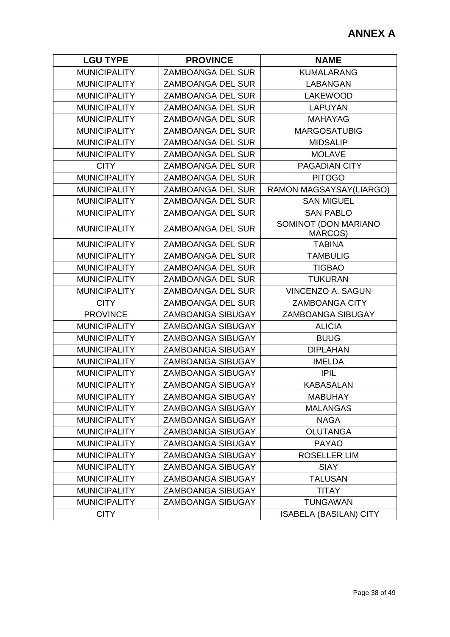| <b>LGU TYPE</b>     | <b>PROVINCE</b>          | <b>NAME</b>                     |
|---------------------|--------------------------|---------------------------------|
| <b>MUNICIPALITY</b> | ZAMBOANGA DEL SUR        | <b>KUMALARANG</b>               |
| <b>MUNICIPALITY</b> | <b>ZAMBOANGA DEL SUR</b> | <b>LABANGAN</b>                 |
| <b>MUNICIPALITY</b> | <b>ZAMBOANGA DEL SUR</b> | <b>LAKEWOOD</b>                 |
| <b>MUNICIPALITY</b> | <b>ZAMBOANGA DEL SUR</b> | <b>LAPUYAN</b>                  |
| <b>MUNICIPALITY</b> | <b>ZAMBOANGA DEL SUR</b> | <b>MAHAYAG</b>                  |
| <b>MUNICIPALITY</b> | <b>ZAMBOANGA DEL SUR</b> | <b>MARGOSATUBIG</b>             |
| <b>MUNICIPALITY</b> | ZAMBOANGA DEL SUR        | <b>MIDSALIP</b>                 |
| <b>MUNICIPALITY</b> | <b>ZAMBOANGA DEL SUR</b> | <b>MOLAVE</b>                   |
| <b>CITY</b>         | <b>ZAMBOANGA DEL SUR</b> | <b>PAGADIAN CITY</b>            |
| <b>MUNICIPALITY</b> | <b>ZAMBOANGA DEL SUR</b> | <b>PITOGO</b>                   |
| <b>MUNICIPALITY</b> | ZAMBOANGA DEL SUR        | RAMON MAGSAYSAY(LIARGO)         |
| <b>MUNICIPALITY</b> | <b>ZAMBOANGA DEL SUR</b> | <b>SAN MIGUEL</b>               |
| <b>MUNICIPALITY</b> | <b>ZAMBOANGA DEL SUR</b> | <b>SAN PABLO</b>                |
| <b>MUNICIPALITY</b> | <b>ZAMBOANGA DEL SUR</b> | SOMINOT (DON MARIANO<br>MARCOS) |
| <b>MUNICIPALITY</b> | ZAMBOANGA DEL SUR        | <b>TABINA</b>                   |
| <b>MUNICIPALITY</b> | <b>ZAMBOANGA DEL SUR</b> | <b>TAMBULIG</b>                 |
| <b>MUNICIPALITY</b> | <b>ZAMBOANGA DEL SUR</b> | <b>TIGBAO</b>                   |
| <b>MUNICIPALITY</b> | ZAMBOANGA DEL SUR        | <b>TUKURAN</b>                  |
| <b>MUNICIPALITY</b> | <b>ZAMBOANGA DEL SUR</b> | <b>VINCENZO A. SAGUN</b>        |
| <b>CITY</b>         | ZAMBOANGA DEL SUR        | <b>ZAMBOANGA CITY</b>           |
| <b>PROVINCE</b>     | <b>ZAMBOANGA SIBUGAY</b> | ZAMBOANGA SIBUGAY               |
| <b>MUNICIPALITY</b> | <b>ZAMBOANGA SIBUGAY</b> | <b>ALICIA</b>                   |
| <b>MUNICIPALITY</b> | <b>ZAMBOANGA SIBUGAY</b> | <b>BUUG</b>                     |
| <b>MUNICIPALITY</b> | <b>ZAMBOANGA SIBUGAY</b> | <b>DIPLAHAN</b>                 |
| <b>MUNICIPALITY</b> | <b>ZAMBOANGA SIBUGAY</b> | <b>IMELDA</b>                   |
| <b>MUNICIPALITY</b> | <b>ZAMBOANGA SIBUGAY</b> | <b>IPIL</b>                     |
| <b>MUNICIPALITY</b> | <b>ZAMBOANGA SIBUGAY</b> | <b>KABASALAN</b>                |
| <b>MUNICIPALITY</b> | <b>ZAMBOANGA SIBUGAY</b> | <b>MABUHAY</b>                  |
| <b>MUNICIPALITY</b> | <b>ZAMBOANGA SIBUGAY</b> | <b>MALANGAS</b>                 |
| <b>MUNICIPALITY</b> | <b>ZAMBOANGA SIBUGAY</b> | <b>NAGA</b>                     |
| <b>MUNICIPALITY</b> | ZAMBOANGA SIBUGAY        | <b>OLUTANGA</b>                 |
| <b>MUNICIPALITY</b> | <b>ZAMBOANGA SIBUGAY</b> | <b>PAYAO</b>                    |
| <b>MUNICIPALITY</b> | <b>ZAMBOANGA SIBUGAY</b> | <b>ROSELLER LIM</b>             |
| <b>MUNICIPALITY</b> | <b>ZAMBOANGA SIBUGAY</b> | <b>SIAY</b>                     |
| <b>MUNICIPALITY</b> | ZAMBOANGA SIBUGAY        | <b>TALUSAN</b>                  |
| <b>MUNICIPALITY</b> | <b>ZAMBOANGA SIBUGAY</b> | <b>TITAY</b>                    |
| <b>MUNICIPALITY</b> | ZAMBOANGA SIBUGAY        | <b>TUNGAWAN</b>                 |
| <b>CITY</b>         |                          | <b>ISABELA (BASILAN) CITY</b>   |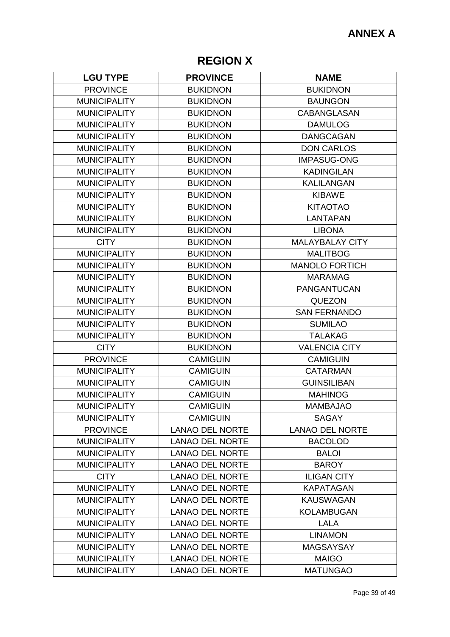# **REGION X**

| <b>LGU TYPE</b>     | <b>PROVINCE</b>        | <b>NAME</b>            |
|---------------------|------------------------|------------------------|
| <b>PROVINCE</b>     | <b>BUKIDNON</b>        | <b>BUKIDNON</b>        |
| <b>MUNICIPALITY</b> | <b>BUKIDNON</b>        | <b>BAUNGON</b>         |
| <b>MUNICIPALITY</b> | <b>BUKIDNON</b>        | <b>CABANGLASAN</b>     |
| <b>MUNICIPALITY</b> | <b>BUKIDNON</b>        | <b>DAMULOG</b>         |
| <b>MUNICIPALITY</b> | <b>BUKIDNON</b>        | <b>DANGCAGAN</b>       |
| <b>MUNICIPALITY</b> | <b>BUKIDNON</b>        | <b>DON CARLOS</b>      |
| <b>MUNICIPALITY</b> | <b>BUKIDNON</b>        | <b>IMPASUG-ONG</b>     |
| <b>MUNICIPALITY</b> | <b>BUKIDNON</b>        | <b>KADINGILAN</b>      |
| <b>MUNICIPALITY</b> | <b>BUKIDNON</b>        | <b>KALILANGAN</b>      |
| <b>MUNICIPALITY</b> | <b>BUKIDNON</b>        | <b>KIBAWE</b>          |
| <b>MUNICIPALITY</b> | <b>BUKIDNON</b>        | <b>KITAOTAO</b>        |
| <b>MUNICIPALITY</b> | <b>BUKIDNON</b>        | <b>LANTAPAN</b>        |
| <b>MUNICIPALITY</b> | <b>BUKIDNON</b>        | <b>LIBONA</b>          |
| <b>CITY</b>         | <b>BUKIDNON</b>        | <b>MALAYBALAY CITY</b> |
| <b>MUNICIPALITY</b> | <b>BUKIDNON</b>        | <b>MALITBOG</b>        |
| <b>MUNICIPALITY</b> | <b>BUKIDNON</b>        | <b>MANOLO FORTICH</b>  |
| <b>MUNICIPALITY</b> | <b>BUKIDNON</b>        | <b>MARAMAG</b>         |
| <b>MUNICIPALITY</b> | <b>BUKIDNON</b>        | <b>PANGANTUCAN</b>     |
| <b>MUNICIPALITY</b> | <b>BUKIDNON</b>        | <b>QUEZON</b>          |
| <b>MUNICIPALITY</b> | <b>BUKIDNON</b>        | <b>SAN FERNANDO</b>    |
| <b>MUNICIPALITY</b> | <b>BUKIDNON</b>        | <b>SUMILAO</b>         |
| <b>MUNICIPALITY</b> | <b>BUKIDNON</b>        | <b>TALAKAG</b>         |
| <b>CITY</b>         | <b>BUKIDNON</b>        | <b>VALENCIA CITY</b>   |
| <b>PROVINCE</b>     | <b>CAMIGUIN</b>        | <b>CAMIGUIN</b>        |
| <b>MUNICIPALITY</b> | <b>CAMIGUIN</b>        | <b>CATARMAN</b>        |
| <b>MUNICIPALITY</b> | <b>CAMIGUIN</b>        | <b>GUINSILIBAN</b>     |
| <b>MUNICIPALITY</b> | <b>CAMIGUIN</b>        | <b>MAHINOG</b>         |
| <b>MUNICIPALITY</b> | <b>CAMIGUIN</b>        | <b>MAMBAJAO</b>        |
| <b>MUNICIPALITY</b> | <b>CAMIGUIN</b>        | <b>SAGAY</b>           |
| <b>PROVINCE</b>     | <b>LANAO DEL NORTE</b> | <b>LANAO DEL NORTE</b> |
| <b>MUNICIPALITY</b> | <b>LANAO DEL NORTE</b> | <b>BACOLOD</b>         |
| <b>MUNICIPALITY</b> | <b>LANAO DEL NORTE</b> | <b>BALOI</b>           |
| <b>MUNICIPALITY</b> | <b>LANAO DEL NORTE</b> | <b>BAROY</b>           |
| <b>CITY</b>         | <b>LANAO DEL NORTE</b> | <b>ILIGAN CITY</b>     |
| <b>MUNICIPALITY</b> | <b>LANAO DEL NORTE</b> | <b>KAPATAGAN</b>       |
| <b>MUNICIPALITY</b> | <b>LANAO DEL NORTE</b> | <b>KAUSWAGAN</b>       |
| <b>MUNICIPALITY</b> | <b>LANAO DEL NORTE</b> | <b>KOLAMBUGAN</b>      |
| <b>MUNICIPALITY</b> | <b>LANAO DEL NORTE</b> | <b>LALA</b>            |
| <b>MUNICIPALITY</b> | <b>LANAO DEL NORTE</b> | <b>LINAMON</b>         |
| <b>MUNICIPALITY</b> | <b>LANAO DEL NORTE</b> | <b>MAGSAYSAY</b>       |
| <b>MUNICIPALITY</b> | <b>LANAO DEL NORTE</b> | <b>MAIGO</b>           |
| <b>MUNICIPALITY</b> | <b>LANAO DEL NORTE</b> | <b>MATUNGAO</b>        |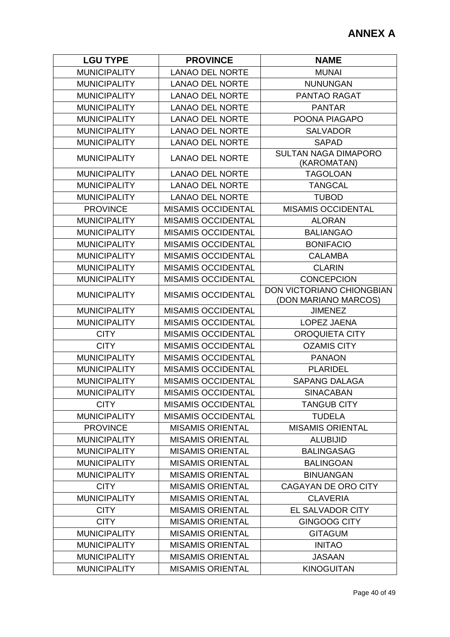| <b>LGU TYPE</b>     | <b>PROVINCE</b>           | <b>NAME</b>                                       |
|---------------------|---------------------------|---------------------------------------------------|
| <b>MUNICIPALITY</b> | <b>LANAO DEL NORTE</b>    | <b>MUNAI</b>                                      |
| <b>MUNICIPALITY</b> | <b>LANAO DEL NORTE</b>    | <b>NUNUNGAN</b>                                   |
| <b>MUNICIPALITY</b> | <b>LANAO DEL NORTE</b>    | PANTAO RAGAT                                      |
| <b>MUNICIPALITY</b> | <b>LANAO DEL NORTE</b>    | <b>PANTAR</b>                                     |
| <b>MUNICIPALITY</b> | <b>LANAO DEL NORTE</b>    | POONA PIAGAPO                                     |
| <b>MUNICIPALITY</b> | <b>LANAO DEL NORTE</b>    | <b>SALVADOR</b>                                   |
| <b>MUNICIPALITY</b> | <b>LANAO DEL NORTE</b>    | <b>SAPAD</b>                                      |
| <b>MUNICIPALITY</b> | <b>LANAO DEL NORTE</b>    | <b>SULTAN NAGA DIMAPORO</b><br>(KAROMATAN)        |
| <b>MUNICIPALITY</b> | <b>LANAO DEL NORTE</b>    | <b>TAGOLOAN</b>                                   |
| <b>MUNICIPALITY</b> | <b>LANAO DEL NORTE</b>    | <b>TANGCAL</b>                                    |
| <b>MUNICIPALITY</b> | <b>LANAO DEL NORTE</b>    | <b>TUBOD</b>                                      |
| <b>PROVINCE</b>     | <b>MISAMIS OCCIDENTAL</b> | <b>MISAMIS OCCIDENTAL</b>                         |
| <b>MUNICIPALITY</b> | <b>MISAMIS OCCIDENTAL</b> | <b>ALORAN</b>                                     |
| <b>MUNICIPALITY</b> | <b>MISAMIS OCCIDENTAL</b> | <b>BALIANGAO</b>                                  |
| <b>MUNICIPALITY</b> | MISAMIS OCCIDENTAL        | <b>BONIFACIO</b>                                  |
| <b>MUNICIPALITY</b> | <b>MISAMIS OCCIDENTAL</b> | <b>CALAMBA</b>                                    |
| <b>MUNICIPALITY</b> | MISAMIS OCCIDENTAL        | <b>CLARIN</b>                                     |
| <b>MUNICIPALITY</b> | <b>MISAMIS OCCIDENTAL</b> | <b>CONCEPCION</b>                                 |
| <b>MUNICIPALITY</b> | <b>MISAMIS OCCIDENTAL</b> | DON VICTORIANO CHIONGBIAN<br>(DON MARIANO MARCOS) |
| <b>MUNICIPALITY</b> | <b>MISAMIS OCCIDENTAL</b> | <b>JIMENEZ</b>                                    |
| <b>MUNICIPALITY</b> | <b>MISAMIS OCCIDENTAL</b> | LOPEZ JAENA                                       |
| <b>CITY</b>         | <b>MISAMIS OCCIDENTAL</b> | <b>OROQUIETA CITY</b>                             |
| <b>CITY</b>         | <b>MISAMIS OCCIDENTAL</b> | <b>OZAMIS CITY</b>                                |
| <b>MUNICIPALITY</b> | <b>MISAMIS OCCIDENTAL</b> | <b>PANAON</b>                                     |
| <b>MUNICIPALITY</b> | <b>MISAMIS OCCIDENTAL</b> | <b>PLARIDEL</b>                                   |
| <b>MUNICIPALITY</b> | <b>MISAMIS OCCIDENTAL</b> | <b>SAPANG DALAGA</b>                              |
| <b>MUNICIPALITY</b> | <b>MISAMIS OCCIDENTAL</b> | <b>SINACABAN</b>                                  |
| <b>CITY</b>         | <b>MISAMIS OCCIDENTAL</b> | <b>TANGUB CITY</b>                                |
| <b>MUNICIPALITY</b> | MISAMIS OCCIDENTAL        | <b>TUDELA</b>                                     |
| <b>PROVINCE</b>     | <b>MISAMIS ORIENTAL</b>   | <b>MISAMIS ORIENTAL</b>                           |
| <b>MUNICIPALITY</b> | <b>MISAMIS ORIENTAL</b>   | <b>ALUBIJID</b>                                   |
| <b>MUNICIPALITY</b> | <b>MISAMIS ORIENTAL</b>   | <b>BALINGASAG</b>                                 |
| <b>MUNICIPALITY</b> | <b>MISAMIS ORIENTAL</b>   | <b>BALINGOAN</b>                                  |
| <b>MUNICIPALITY</b> | <b>MISAMIS ORIENTAL</b>   | <b>BINUANGAN</b>                                  |
| <b>CITY</b>         | <b>MISAMIS ORIENTAL</b>   | CAGAYAN DE ORO CITY                               |
| <b>MUNICIPALITY</b> | <b>MISAMIS ORIENTAL</b>   | <b>CLAVERIA</b>                                   |
| <b>CITY</b>         | <b>MISAMIS ORIENTAL</b>   | <b>EL SALVADOR CITY</b>                           |
| <b>CITY</b>         | <b>MISAMIS ORIENTAL</b>   | <b>GINGOOG CITY</b>                               |
| <b>MUNICIPALITY</b> | <b>MISAMIS ORIENTAL</b>   | <b>GITAGUM</b>                                    |
| <b>MUNICIPALITY</b> | <b>MISAMIS ORIENTAL</b>   | <b>INITAO</b>                                     |
| <b>MUNICIPALITY</b> | <b>MISAMIS ORIENTAL</b>   | <b>JASAAN</b>                                     |
| <b>MUNICIPALITY</b> | <b>MISAMIS ORIENTAL</b>   | <b>KINOGUITAN</b>                                 |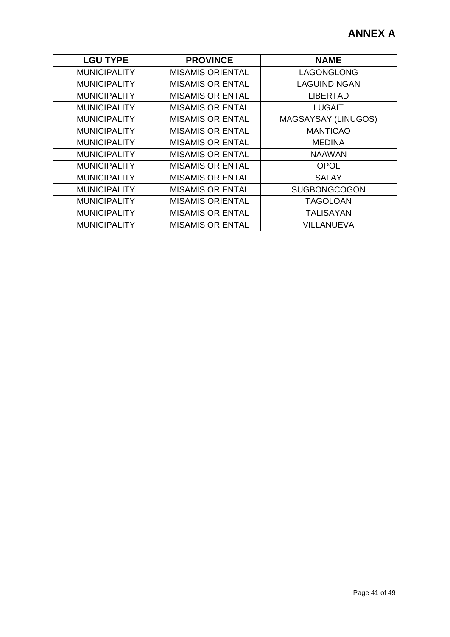| <b>LGU TYPE</b>     | <b>PROVINCE</b>         | <b>NAME</b>         |
|---------------------|-------------------------|---------------------|
| <b>MUNICIPALITY</b> | <b>MISAMIS ORIENTAL</b> | LAGONGLONG          |
| <b>MUNICIPALITY</b> | <b>MISAMIS ORIENTAL</b> | LAGUINDINGAN        |
| <b>MUNICIPALITY</b> | <b>MISAMIS ORIENTAL</b> | <b>LIBERTAD</b>     |
| <b>MUNICIPALITY</b> | <b>MISAMIS ORIENTAL</b> | <b>LUGAIT</b>       |
| <b>MUNICIPALITY</b> | <b>MISAMIS ORIENTAL</b> | MAGSAYSAY (LINUGOS) |
| <b>MUNICIPALITY</b> | <b>MISAMIS ORIENTAL</b> | <b>MANTICAO</b>     |
| <b>MUNICIPALITY</b> | <b>MISAMIS ORIENTAL</b> | <b>MEDINA</b>       |
| <b>MUNICIPALITY</b> | <b>MISAMIS ORIENTAL</b> | <b>NAAWAN</b>       |
| <b>MUNICIPALITY</b> | <b>MISAMIS ORIENTAL</b> | <b>OPOL</b>         |
| <b>MUNICIPALITY</b> | <b>MISAMIS ORIENTAL</b> | <b>SALAY</b>        |
| <b>MUNICIPALITY</b> | <b>MISAMIS ORIENTAL</b> | <b>SUGBONGCOGON</b> |
| <b>MUNICIPALITY</b> | <b>MISAMIS ORIENTAL</b> | <b>TAGOLOAN</b>     |
| <b>MUNICIPALITY</b> | <b>MISAMIS ORIENTAL</b> | <b>TALISAYAN</b>    |
| <b>MUNICIPALITY</b> | <b>MISAMIS ORIENTAL</b> | <b>VILLANUEVA</b>   |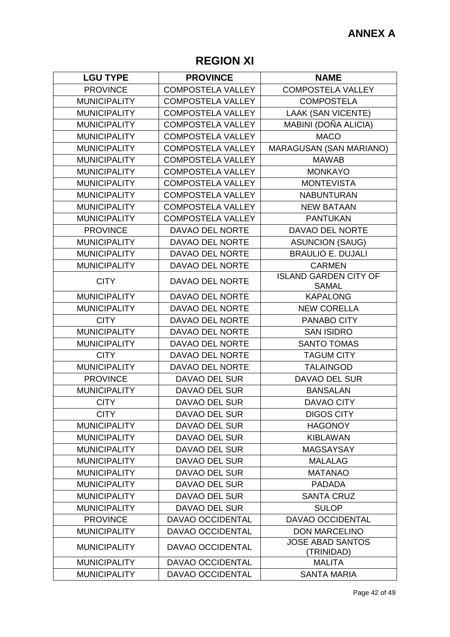# **REGION XI**

| <b>LGU TYPE</b>     | <b>PROVINCE</b>          | <b>NAME</b>                                  |
|---------------------|--------------------------|----------------------------------------------|
| <b>PROVINCE</b>     | <b>COMPOSTELA VALLEY</b> | <b>COMPOSTELA VALLEY</b>                     |
| <b>MUNICIPALITY</b> | <b>COMPOSTELA VALLEY</b> | <b>COMPOSTELA</b>                            |
| <b>MUNICIPALITY</b> | <b>COMPOSTELA VALLEY</b> | <b>LAAK (SAN VICENTE)</b>                    |
| <b>MUNICIPALITY</b> | <b>COMPOSTELA VALLEY</b> | MABINI (DOÑA ALICIA)                         |
| <b>MUNICIPALITY</b> | <b>COMPOSTELA VALLEY</b> | <b>MACO</b>                                  |
| <b>MUNICIPALITY</b> | <b>COMPOSTELA VALLEY</b> | MARAGUSAN (SAN MARIANO)                      |
| <b>MUNICIPALITY</b> | <b>COMPOSTELA VALLEY</b> | <b>MAWAB</b>                                 |
| <b>MUNICIPALITY</b> | <b>COMPOSTELA VALLEY</b> | <b>MONKAYO</b>                               |
| <b>MUNICIPALITY</b> | <b>COMPOSTELA VALLEY</b> | <b>MONTEVISTA</b>                            |
| <b>MUNICIPALITY</b> | <b>COMPOSTELA VALLEY</b> | <b>NABUNTURAN</b>                            |
| <b>MUNICIPALITY</b> | <b>COMPOSTELA VALLEY</b> | <b>NEW BATAAN</b>                            |
| <b>MUNICIPALITY</b> | <b>COMPOSTELA VALLEY</b> | <b>PANTUKAN</b>                              |
| <b>PROVINCE</b>     | DAVAO DEL NORTE          | DAVAO DEL NORTE                              |
| <b>MUNICIPALITY</b> | DAVAO DEL NORTE          | <b>ASUNCION (SAUG)</b>                       |
| <b>MUNICIPALITY</b> | DAVAO DEL NORTE          | <b>BRAULIO E. DUJALI</b>                     |
| <b>MUNICIPALITY</b> | DAVAO DEL NORTE          | <b>CARMEN</b>                                |
| <b>CITY</b>         | <b>DAVAO DEL NORTE</b>   | <b>ISLAND GARDEN CITY OF</b><br><b>SAMAL</b> |
| <b>MUNICIPALITY</b> | DAVAO DEL NORTE          | <b>KAPALONG</b>                              |
| <b>MUNICIPALITY</b> | DAVAO DEL NORTE          | <b>NEW CORELLA</b>                           |
| <b>CITY</b>         | DAVAO DEL NORTE          | PANABO CITY                                  |
| <b>MUNICIPALITY</b> | DAVAO DEL NORTE          | <b>SAN ISIDRO</b>                            |
| <b>MUNICIPALITY</b> | DAVAO DEL NORTE          | <b>SANTO TOMAS</b>                           |
| <b>CITY</b>         | DAVAO DEL NORTE          | <b>TAGUM CITY</b>                            |
| <b>MUNICIPALITY</b> | DAVAO DEL NORTE          | <b>TALAINGOD</b>                             |
| <b>PROVINCE</b>     | <b>DAVAO DEL SUR</b>     | <b>DAVAO DEL SUR</b>                         |
| <b>MUNICIPALITY</b> | <b>DAVAO DEL SUR</b>     | <b>BANSALAN</b>                              |
| <b>CITY</b>         | <b>DAVAO DEL SUR</b>     | <b>DAVAO CITY</b>                            |
| <b>CITY</b>         | DAVAO DEL SUR            | <b>DIGOS CITY</b>                            |
| <b>MUNICIPALITY</b> | DAVAO DEL SUR            | <b>HAGONOY</b>                               |
| <b>MUNICIPALITY</b> | DAVAO DEL SUR            | <b>KIBLAWAN</b>                              |
| <b>MUNICIPALITY</b> | <b>DAVAO DEL SUR</b>     | <b>MAGSAYSAY</b>                             |
| <b>MUNICIPALITY</b> | DAVAO DEL SUR            | <b>MALALAG</b>                               |
| <b>MUNICIPALITY</b> | <b>DAVAO DEL SUR</b>     | <b>MATANAO</b>                               |
| <b>MUNICIPALITY</b> | <b>DAVAO DEL SUR</b>     | <b>PADADA</b>                                |
| <b>MUNICIPALITY</b> | DAVAO DEL SUR            | <b>SANTA CRUZ</b>                            |
| <b>MUNICIPALITY</b> | DAVAO DEL SUR            | <b>SULOP</b>                                 |
| <b>PROVINCE</b>     | <b>DAVAO OCCIDENTAL</b>  | <b>DAVAO OCCIDENTAL</b>                      |
| <b>MUNICIPALITY</b> | DAVAO OCCIDENTAL         | <b>DON MARCELINO</b>                         |
| <b>MUNICIPALITY</b> | DAVAO OCCIDENTAL         | <b>JOSE ABAD SANTOS</b><br>(TRINIDAD)        |
| <b>MUNICIPALITY</b> | DAVAO OCCIDENTAL         | <b>MALITA</b>                                |
| <b>MUNICIPALITY</b> | <b>DAVAO OCCIDENTAL</b>  | <b>SANTA MARIA</b>                           |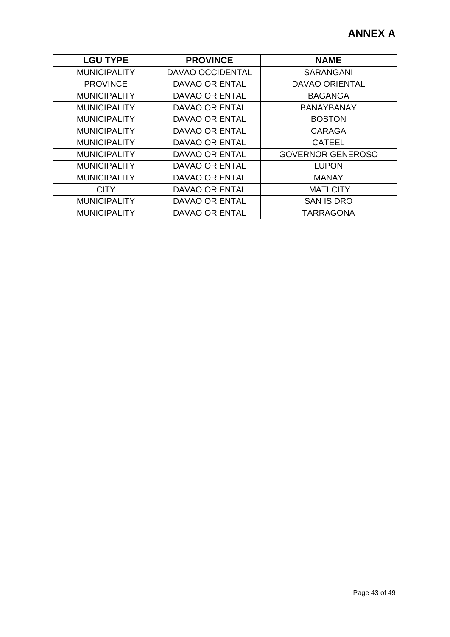| <b>LGU TYPE</b>     | <b>PROVINCE</b>       | <b>NAME</b>              |
|---------------------|-----------------------|--------------------------|
| <b>MUNICIPALITY</b> | DAVAO OCCIDENTAL      | <b>SARANGANI</b>         |
| <b>PROVINCE</b>     | <b>DAVAO ORIENTAL</b> | <b>DAVAO ORIENTAL</b>    |
| <b>MUNICIPALITY</b> | <b>DAVAO ORIENTAL</b> | <b>BAGANGA</b>           |
| <b>MUNICIPALITY</b> | <b>DAVAO ORIENTAL</b> | <b>BANAYBANAY</b>        |
| <b>MUNICIPALITY</b> | <b>DAVAO ORIENTAL</b> | <b>BOSTON</b>            |
| <b>MUNICIPALITY</b> | <b>DAVAO ORIENTAL</b> | <b>CARAGA</b>            |
| <b>MUNICIPALITY</b> | <b>DAVAO ORIENTAL</b> | <b>CATEEL</b>            |
| <b>MUNICIPALITY</b> | <b>DAVAO ORIENTAL</b> | <b>GOVERNOR GENEROSO</b> |
| <b>MUNICIPALITY</b> | <b>DAVAO ORIENTAL</b> | <b>LUPON</b>             |
| <b>MUNICIPALITY</b> | <b>DAVAO ORIENTAL</b> | <b>MANAY</b>             |
| <b>CITY</b>         | <b>DAVAO ORIENTAL</b> | <b>MATI CITY</b>         |
| <b>MUNICIPALITY</b> | <b>DAVAO ORIENTAL</b> | <b>SAN ISIDRO</b>        |
| <b>MUNICIPALITY</b> | <b>DAVAO ORIENTAL</b> | <b>TARRAGONA</b>         |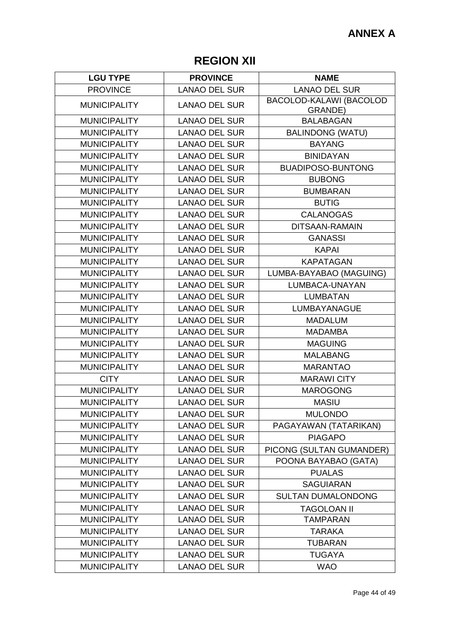## **REGION XII**

| <b>LGU TYPE</b>     | <b>PROVINCE</b>      | <b>NAME</b>                        |
|---------------------|----------------------|------------------------------------|
| <b>PROVINCE</b>     | <b>LANAO DEL SUR</b> | <b>LANAO DEL SUR</b>               |
| <b>MUNICIPALITY</b> | <b>LANAO DEL SUR</b> | BACOLOD-KALAWI (BACOLOD<br>GRANDE) |
| <b>MUNICIPALITY</b> | <b>LANAO DEL SUR</b> | <b>BALABAGAN</b>                   |
| <b>MUNICIPALITY</b> | <b>LANAO DEL SUR</b> | <b>BALINDONG (WATU)</b>            |
| <b>MUNICIPALITY</b> | <b>LANAO DEL SUR</b> | <b>BAYANG</b>                      |
| <b>MUNICIPALITY</b> | <b>LANAO DEL SUR</b> | <b>BINIDAYAN</b>                   |
| <b>MUNICIPALITY</b> | <b>LANAO DEL SUR</b> | <b>BUADIPOSO-BUNTONG</b>           |
| <b>MUNICIPALITY</b> | <b>LANAO DEL SUR</b> | <b>BUBONG</b>                      |
| <b>MUNICIPALITY</b> | <b>LANAO DEL SUR</b> | <b>BUMBARAN</b>                    |
| <b>MUNICIPALITY</b> | <b>LANAO DEL SUR</b> | <b>BUTIG</b>                       |
| <b>MUNICIPALITY</b> | <b>LANAO DEL SUR</b> | <b>CALANOGAS</b>                   |
| <b>MUNICIPALITY</b> | <b>LANAO DEL SUR</b> | DITSAAN-RAMAIN                     |
| <b>MUNICIPALITY</b> | <b>LANAO DEL SUR</b> | <b>GANASSI</b>                     |
| <b>MUNICIPALITY</b> | <b>LANAO DEL SUR</b> | <b>KAPAI</b>                       |
| <b>MUNICIPALITY</b> | <b>LANAO DEL SUR</b> | <b>KAPATAGAN</b>                   |
| <b>MUNICIPALITY</b> | <b>LANAO DEL SUR</b> | LUMBA-BAYABAO (MAGUING)            |
| <b>MUNICIPALITY</b> | <b>LANAO DEL SUR</b> | LUMBACA-UNAYAN                     |
| <b>MUNICIPALITY</b> | <b>LANAO DEL SUR</b> | <b>LUMBATAN</b>                    |
| <b>MUNICIPALITY</b> | <b>LANAO DEL SUR</b> | LUMBAYANAGUE                       |
| <b>MUNICIPALITY</b> | <b>LANAO DEL SUR</b> | <b>MADALUM</b>                     |
| <b>MUNICIPALITY</b> | <b>LANAO DEL SUR</b> | <b>MADAMBA</b>                     |
| <b>MUNICIPALITY</b> | <b>LANAO DEL SUR</b> | <b>MAGUING</b>                     |
| <b>MUNICIPALITY</b> | <b>LANAO DEL SUR</b> | <b>MALABANG</b>                    |
| <b>MUNICIPALITY</b> | <b>LANAO DEL SUR</b> | <b>MARANTAO</b>                    |
| <b>CITY</b>         | <b>LANAO DEL SUR</b> | <b>MARAWI CITY</b>                 |
| <b>MUNICIPALITY</b> | <b>LANAO DEL SUR</b> | <b>MAROGONG</b>                    |
| <b>MUNICIPALITY</b> | <b>LANAO DEL SUR</b> | <b>MASIU</b>                       |
| <b>MUNICIPALITY</b> | <b>LANAO DEL SUR</b> | <b>MULONDO</b>                     |
| <b>MUNICIPALITY</b> | <b>LANAO DEL SUR</b> | PAGAYAWAN (TATARIKAN)              |
| <b>MUNICIPALITY</b> | <b>LANAO DEL SUR</b> | <b>PIAGAPO</b>                     |
| <b>MUNICIPALITY</b> | <b>LANAO DEL SUR</b> | PICONG (SULTAN GUMANDER)           |
| <b>MUNICIPALITY</b> | <b>LANAO DEL SUR</b> | POONA BAYABAO (GATA)               |
| <b>MUNICIPALITY</b> | <b>LANAO DEL SUR</b> | <b>PUALAS</b>                      |
| <b>MUNICIPALITY</b> | <b>LANAO DEL SUR</b> | <b>SAGUIARAN</b>                   |
| <b>MUNICIPALITY</b> | <b>LANAO DEL SUR</b> | <b>SULTAN DUMALONDONG</b>          |
| <b>MUNICIPALITY</b> | <b>LANAO DEL SUR</b> | <b>TAGOLOAN II</b>                 |
| <b>MUNICIPALITY</b> | <b>LANAO DEL SUR</b> | <b>TAMPARAN</b>                    |
| <b>MUNICIPALITY</b> | <b>LANAO DEL SUR</b> | <b>TARAKA</b>                      |
| <b>MUNICIPALITY</b> | <b>LANAO DEL SUR</b> | <b>TUBARAN</b>                     |
| <b>MUNICIPALITY</b> | <b>LANAO DEL SUR</b> | <b>TUGAYA</b>                      |
| <b>MUNICIPALITY</b> | <b>LANAO DEL SUR</b> | <b>WAO</b>                         |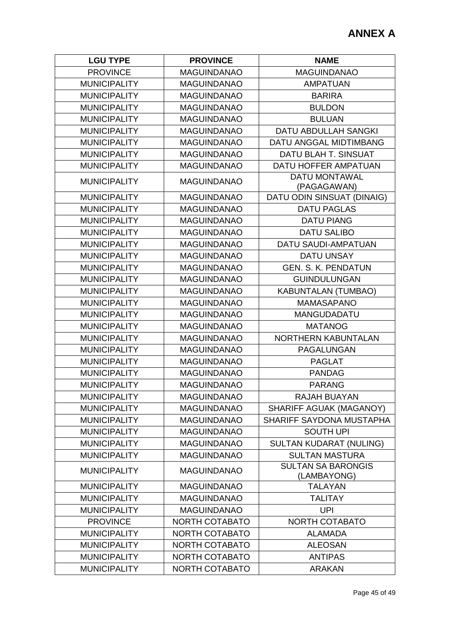| <b>LGU TYPE</b>     | <b>PROVINCE</b>       | <b>NAME</b>                              |
|---------------------|-----------------------|------------------------------------------|
| <b>PROVINCE</b>     | <b>MAGUINDANAO</b>    | <b>MAGUINDANAO</b>                       |
| <b>MUNICIPALITY</b> | <b>MAGUINDANAO</b>    | <b>AMPATUAN</b>                          |
| <b>MUNICIPALITY</b> | <b>MAGUINDANAO</b>    | <b>BARIRA</b>                            |
| <b>MUNICIPALITY</b> | <b>MAGUINDANAO</b>    | <b>BULDON</b>                            |
| <b>MUNICIPALITY</b> | <b>MAGUINDANAO</b>    | <b>BULUAN</b>                            |
| <b>MUNICIPALITY</b> | <b>MAGUINDANAO</b>    | <b>DATU ABDULLAH SANGKI</b>              |
| <b>MUNICIPALITY</b> | <b>MAGUINDANAO</b>    | DATU ANGGAL MIDTIMBANG                   |
| <b>MUNICIPALITY</b> | <b>MAGUINDANAO</b>    | DATU BLAH T. SINSUAT                     |
| <b>MUNICIPALITY</b> | <b>MAGUINDANAO</b>    | DATU HOFFER AMPATUAN                     |
| <b>MUNICIPALITY</b> | <b>MAGUINDANAO</b>    | <b>DATU MONTAWAL</b><br>(PAGAGAWAN)      |
| <b>MUNICIPALITY</b> | <b>MAGUINDANAO</b>    | DATU ODIN SINSUAT (DINAIG)               |
| <b>MUNICIPALITY</b> | <b>MAGUINDANAO</b>    | <b>DATU PAGLAS</b>                       |
| <b>MUNICIPALITY</b> | <b>MAGUINDANAO</b>    | <b>DATU PIANG</b>                        |
| <b>MUNICIPALITY</b> | <b>MAGUINDANAO</b>    | <b>DATU SALIBO</b>                       |
| <b>MUNICIPALITY</b> | <b>MAGUINDANAO</b>    | DATU SAUDI-AMPATUAN                      |
| <b>MUNICIPALITY</b> | <b>MAGUINDANAO</b>    | <b>DATU UNSAY</b>                        |
| <b>MUNICIPALITY</b> | <b>MAGUINDANAO</b>    | <b>GEN. S. K. PENDATUN</b>               |
| <b>MUNICIPALITY</b> | <b>MAGUINDANAO</b>    | <b>GUINDULUNGAN</b>                      |
| <b>MUNICIPALITY</b> | <b>MAGUINDANAO</b>    | <b>KABUNTALAN (TUMBAO)</b>               |
| <b>MUNICIPALITY</b> | <b>MAGUINDANAO</b>    | <b>MAMASAPANO</b>                        |
| <b>MUNICIPALITY</b> | <b>MAGUINDANAO</b>    | <b>MANGUDADATU</b>                       |
| <b>MUNICIPALITY</b> | <b>MAGUINDANAO</b>    | <b>MATANOG</b>                           |
| <b>MUNICIPALITY</b> | <b>MAGUINDANAO</b>    | NORTHERN KABUNTALAN                      |
| <b>MUNICIPALITY</b> | <b>MAGUINDANAO</b>    | PAGALUNGAN                               |
| <b>MUNICIPALITY</b> | <b>MAGUINDANAO</b>    | <b>PAGLAT</b>                            |
| <b>MUNICIPALITY</b> | <b>MAGUINDANAO</b>    | <b>PANDAG</b>                            |
| <b>MUNICIPALITY</b> | <b>MAGUINDANAO</b>    | <b>PARANG</b>                            |
| <b>MUNICIPALITY</b> | MAGUINDANAO           | RAJAH BUAYAN                             |
| <b>MUNICIPALITY</b> | <b>MAGUINDANAO</b>    | SHARIFF AGUAK (MAGANOY)                  |
| <b>MUNICIPALITY</b> | <b>MAGUINDANAO</b>    | SHARIFF SAYDONA MUSTAPHA                 |
| <b>MUNICIPALITY</b> | <b>MAGUINDANAO</b>    | <b>SOUTH UPI</b>                         |
| <b>MUNICIPALITY</b> | <b>MAGUINDANAO</b>    | <b>SULTAN KUDARAT (NULING)</b>           |
| <b>MUNICIPALITY</b> | <b>MAGUINDANAO</b>    | <b>SULTAN MASTURA</b>                    |
| <b>MUNICIPALITY</b> | <b>MAGUINDANAO</b>    | <b>SULTAN SA BARONGIS</b><br>(LAMBAYONG) |
| <b>MUNICIPALITY</b> | <b>MAGUINDANAO</b>    | <b>TALAYAN</b>                           |
| <b>MUNICIPALITY</b> | <b>MAGUINDANAO</b>    | <b>TALITAY</b>                           |
| <b>MUNICIPALITY</b> | <b>MAGUINDANAO</b>    | <b>UPI</b>                               |
| <b>PROVINCE</b>     | NORTH COTABATO        | NORTH COTABATO                           |
| <b>MUNICIPALITY</b> | <b>NORTH COTABATO</b> | <b>ALAMADA</b>                           |
| <b>MUNICIPALITY</b> | <b>NORTH COTABATO</b> | <b>ALEOSAN</b>                           |
| <b>MUNICIPALITY</b> | <b>NORTH COTABATO</b> | <b>ANTIPAS</b>                           |
| <b>MUNICIPALITY</b> | <b>NORTH COTABATO</b> | <b>ARAKAN</b>                            |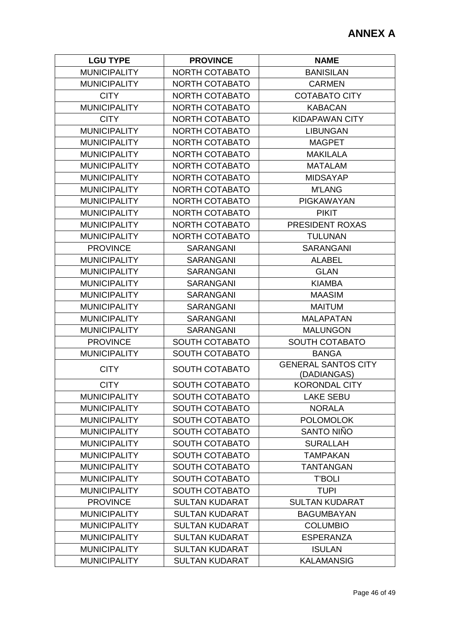| <b>LGU TYPE</b>     | <b>PROVINCE</b>       | <b>NAME</b>                               |
|---------------------|-----------------------|-------------------------------------------|
| <b>MUNICIPALITY</b> | <b>NORTH COTABATO</b> | <b>BANISILAN</b>                          |
| <b>MUNICIPALITY</b> | <b>NORTH COTABATO</b> | <b>CARMEN</b>                             |
| <b>CITY</b>         | <b>NORTH COTABATO</b> | <b>COTABATO CITY</b>                      |
| <b>MUNICIPALITY</b> | <b>NORTH COTABATO</b> | <b>KABACAN</b>                            |
| <b>CITY</b>         | <b>NORTH COTABATO</b> | <b>KIDAPAWAN CITY</b>                     |
| <b>MUNICIPALITY</b> | <b>NORTH COTABATO</b> | <b>LIBUNGAN</b>                           |
| <b>MUNICIPALITY</b> | <b>NORTH COTABATO</b> | <b>MAGPET</b>                             |
| <b>MUNICIPALITY</b> | NORTH COTABATO        | <b>MAKILALA</b>                           |
| <b>MUNICIPALITY</b> | <b>NORTH COTABATO</b> | <b>MATALAM</b>                            |
| <b>MUNICIPALITY</b> | NORTH COTABATO        | <b>MIDSAYAP</b>                           |
| <b>MUNICIPALITY</b> | <b>NORTH COTABATO</b> | <b>M'LANG</b>                             |
| <b>MUNICIPALITY</b> | <b>NORTH COTABATO</b> | <b>PIGKAWAYAN</b>                         |
| <b>MUNICIPALITY</b> | <b>NORTH COTABATO</b> | <b>PIKIT</b>                              |
| <b>MUNICIPALITY</b> | <b>NORTH COTABATO</b> | PRESIDENT ROXAS                           |
| <b>MUNICIPALITY</b> | NORTH COTABATO        | <b>TULUNAN</b>                            |
| <b>PROVINCE</b>     | <b>SARANGANI</b>      | <b>SARANGANI</b>                          |
| <b>MUNICIPALITY</b> | <b>SARANGANI</b>      | <b>ALABEL</b>                             |
| <b>MUNICIPALITY</b> | <b>SARANGANI</b>      | <b>GLAN</b>                               |
| <b>MUNICIPALITY</b> | <b>SARANGANI</b>      | <b>KIAMBA</b>                             |
| <b>MUNICIPALITY</b> | <b>SARANGANI</b>      | <b>MAASIM</b>                             |
| <b>MUNICIPALITY</b> | <b>SARANGANI</b>      | <b>MAITUM</b>                             |
| <b>MUNICIPALITY</b> | <b>SARANGANI</b>      | <b>MALAPATAN</b>                          |
| <b>MUNICIPALITY</b> | <b>SARANGANI</b>      | <b>MALUNGON</b>                           |
| <b>PROVINCE</b>     | <b>SOUTH COTABATO</b> | <b>SOUTH COTABATO</b>                     |
| <b>MUNICIPALITY</b> | <b>SOUTH COTABATO</b> | <b>BANGA</b>                              |
| <b>CITY</b>         | <b>SOUTH COTABATO</b> | <b>GENERAL SANTOS CITY</b><br>(DADIANGAS) |
| <b>CITY</b>         | <b>SOUTH COTABATO</b> | <b>KORONDAL CITY</b>                      |
| <b>MUNICIPALITY</b> | <b>SOUTH COTABATO</b> | <b>LAKE SEBU</b>                          |
| <b>MUNICIPALITY</b> | <b>SOUTH COTABATO</b> | <b>NORALA</b>                             |
| <b>MUNICIPALITY</b> | SOUTH COTABATO        | <b>POLOMOLOK</b>                          |
| <b>MUNICIPALITY</b> | <b>SOUTH COTABATO</b> | SANTO NIÑO                                |
| <b>MUNICIPALITY</b> | <b>SOUTH COTABATO</b> | <b>SURALLAH</b>                           |
| <b>MUNICIPALITY</b> | <b>SOUTH COTABATO</b> | <b>TAMPAKAN</b>                           |
| <b>MUNICIPALITY</b> | <b>SOUTH COTABATO</b> | <b>TANTANGAN</b>                          |
| <b>MUNICIPALITY</b> | <b>SOUTH COTABATO</b> | <b>T'BOLI</b>                             |
| <b>MUNICIPALITY</b> | <b>SOUTH COTABATO</b> | <b>TUPI</b>                               |
| <b>PROVINCE</b>     | <b>SULTAN KUDARAT</b> | <b>SULTAN KUDARAT</b>                     |
| <b>MUNICIPALITY</b> | <b>SULTAN KUDARAT</b> | <b>BAGUMBAYAN</b>                         |
| <b>MUNICIPALITY</b> | <b>SULTAN KUDARAT</b> | <b>COLUMBIO</b>                           |
| <b>MUNICIPALITY</b> | <b>SULTAN KUDARAT</b> | <b>ESPERANZA</b>                          |
| <b>MUNICIPALITY</b> | <b>SULTAN KUDARAT</b> | <b>ISULAN</b>                             |
| <b>MUNICIPALITY</b> | <b>SULTAN KUDARAT</b> | <b>KALAMANSIG</b>                         |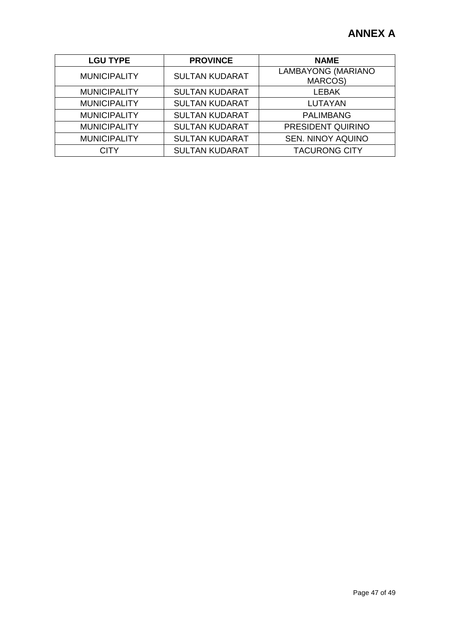| <b>LGU TYPE</b>     | <b>PROVINCE</b>       | <b>NAME</b>                          |
|---------------------|-----------------------|--------------------------------------|
| <b>MUNICIPALITY</b> | <b>SULTAN KUDARAT</b> | LAMBAYONG (MARIANO<br><b>MARCOS)</b> |
| <b>MUNICIPALITY</b> | <b>SULTAN KUDARAT</b> | <b>LEBAK</b>                         |
| <b>MUNICIPALITY</b> | <b>SULTAN KUDARAT</b> | <b>LUTAYAN</b>                       |
| <b>MUNICIPALITY</b> | <b>SULTAN KUDARAT</b> | <b>PALIMBANG</b>                     |
| <b>MUNICIPALITY</b> | <b>SULTAN KUDARAT</b> | PRESIDENT QUIRINO                    |
| <b>MUNICIPALITY</b> | <b>SULTAN KUDARAT</b> | <b>SEN. NINOY AQUINO</b>             |
| <b>CITY</b>         | <b>SULTAN KUDARAT</b> | <b>TACURONG CITY</b>                 |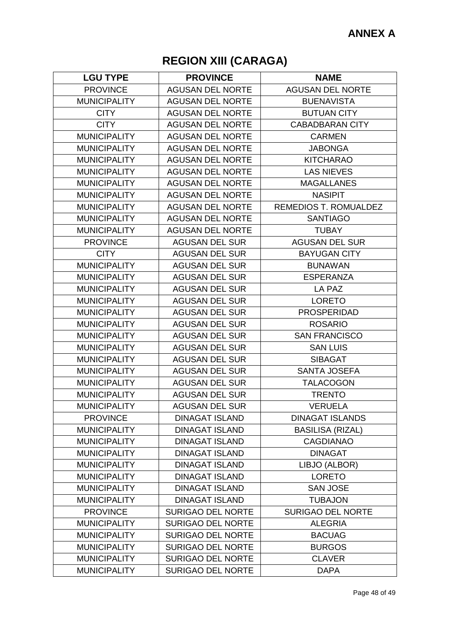# **REGION XIII (CARAGA)**

| <b>LGU TYPE</b>     | <b>PROVINCE</b>          | <b>NAME</b>                  |
|---------------------|--------------------------|------------------------------|
| <b>PROVINCE</b>     | <b>AGUSAN DEL NORTE</b>  | <b>AGUSAN DEL NORTE</b>      |
| <b>MUNICIPALITY</b> | <b>AGUSAN DEL NORTE</b>  | <b>BUENAVISTA</b>            |
| <b>CITY</b>         | <b>AGUSAN DEL NORTE</b>  | <b>BUTUAN CITY</b>           |
| <b>CITY</b>         | <b>AGUSAN DEL NORTE</b>  | <b>CABADBARAN CITY</b>       |
| <b>MUNICIPALITY</b> | <b>AGUSAN DEL NORTE</b>  | <b>CARMEN</b>                |
| <b>MUNICIPALITY</b> | <b>AGUSAN DEL NORTE</b>  | <b>JABONGA</b>               |
| <b>MUNICIPALITY</b> | <b>AGUSAN DEL NORTE</b>  | <b>KITCHARAO</b>             |
| <b>MUNICIPALITY</b> | <b>AGUSAN DEL NORTE</b>  | <b>LAS NIEVES</b>            |
| <b>MUNICIPALITY</b> | <b>AGUSAN DEL NORTE</b>  | <b>MAGALLANES</b>            |
| <b>MUNICIPALITY</b> | <b>AGUSAN DEL NORTE</b>  | <b>NASIPIT</b>               |
| <b>MUNICIPALITY</b> | <b>AGUSAN DEL NORTE</b>  | <b>REMEDIOS T. ROMUALDEZ</b> |
| <b>MUNICIPALITY</b> | <b>AGUSAN DEL NORTE</b>  | <b>SANTIAGO</b>              |
| <b>MUNICIPALITY</b> | <b>AGUSAN DEL NORTE</b>  | <b>TUBAY</b>                 |
| <b>PROVINCE</b>     | <b>AGUSAN DEL SUR</b>    | <b>AGUSAN DEL SUR</b>        |
| <b>CITY</b>         | <b>AGUSAN DEL SUR</b>    | <b>BAYUGAN CITY</b>          |
| <b>MUNICIPALITY</b> | <b>AGUSAN DEL SUR</b>    | <b>BUNAWAN</b>               |
| <b>MUNICIPALITY</b> | <b>AGUSAN DEL SUR</b>    | <b>ESPERANZA</b>             |
| <b>MUNICIPALITY</b> | <b>AGUSAN DEL SUR</b>    | LA PAZ                       |
| <b>MUNICIPALITY</b> | <b>AGUSAN DEL SUR</b>    | <b>LORETO</b>                |
| <b>MUNICIPALITY</b> | <b>AGUSAN DEL SUR</b>    | <b>PROSPERIDAD</b>           |
| <b>MUNICIPALITY</b> | <b>AGUSAN DEL SUR</b>    | <b>ROSARIO</b>               |
| <b>MUNICIPALITY</b> | <b>AGUSAN DEL SUR</b>    | <b>SAN FRANCISCO</b>         |
| <b>MUNICIPALITY</b> | <b>AGUSAN DEL SUR</b>    | <b>SAN LUIS</b>              |
| <b>MUNICIPALITY</b> | <b>AGUSAN DEL SUR</b>    | <b>SIBAGAT</b>               |
| <b>MUNICIPALITY</b> | <b>AGUSAN DEL SUR</b>    | <b>SANTA JOSEFA</b>          |
| <b>MUNICIPALITY</b> | <b>AGUSAN DEL SUR</b>    | <b>TALACOGON</b>             |
| <b>MUNICIPALITY</b> | <b>AGUSAN DEL SUR</b>    | <b>TRENTO</b>                |
| <b>MUNICIPALITY</b> | <b>AGUSAN DEL SUR</b>    | <b>VERUELA</b>               |
| <b>PROVINCE</b>     | <b>DINAGAT ISLAND</b>    | <b>DINAGAT ISLANDS</b>       |
| <b>MUNICIPALITY</b> | <b>DINAGAT ISLAND</b>    | <b>BASILISA (RIZAL)</b>      |
| <b>MUNICIPALITY</b> | <b>DINAGAT ISLAND</b>    | <b>CAGDIANAO</b>             |
| <b>MUNICIPALITY</b> | <b>DINAGAT ISLAND</b>    | <b>DINAGAT</b>               |
| <b>MUNICIPALITY</b> | <b>DINAGAT ISLAND</b>    | LIBJO (ALBOR)                |
| <b>MUNICIPALITY</b> | <b>DINAGAT ISLAND</b>    | <b>LORETO</b>                |
| <b>MUNICIPALITY</b> | <b>DINAGAT ISLAND</b>    | <b>SAN JOSE</b>              |
| <b>MUNICIPALITY</b> | <b>DINAGAT ISLAND</b>    | <b>TUBAJON</b>               |
| <b>PROVINCE</b>     | <b>SURIGAO DEL NORTE</b> | <b>SURIGAO DEL NORTE</b>     |
| <b>MUNICIPALITY</b> | <b>SURIGAO DEL NORTE</b> | <b>ALEGRIA</b>               |
| <b>MUNICIPALITY</b> | <b>SURIGAO DEL NORTE</b> | <b>BACUAG</b>                |
| <b>MUNICIPALITY</b> | <b>SURIGAO DEL NORTE</b> | <b>BURGOS</b>                |
| <b>MUNICIPALITY</b> | <b>SURIGAO DEL NORTE</b> | <b>CLAVER</b>                |
| <b>MUNICIPALITY</b> | <b>SURIGAO DEL NORTE</b> | <b>DAPA</b>                  |